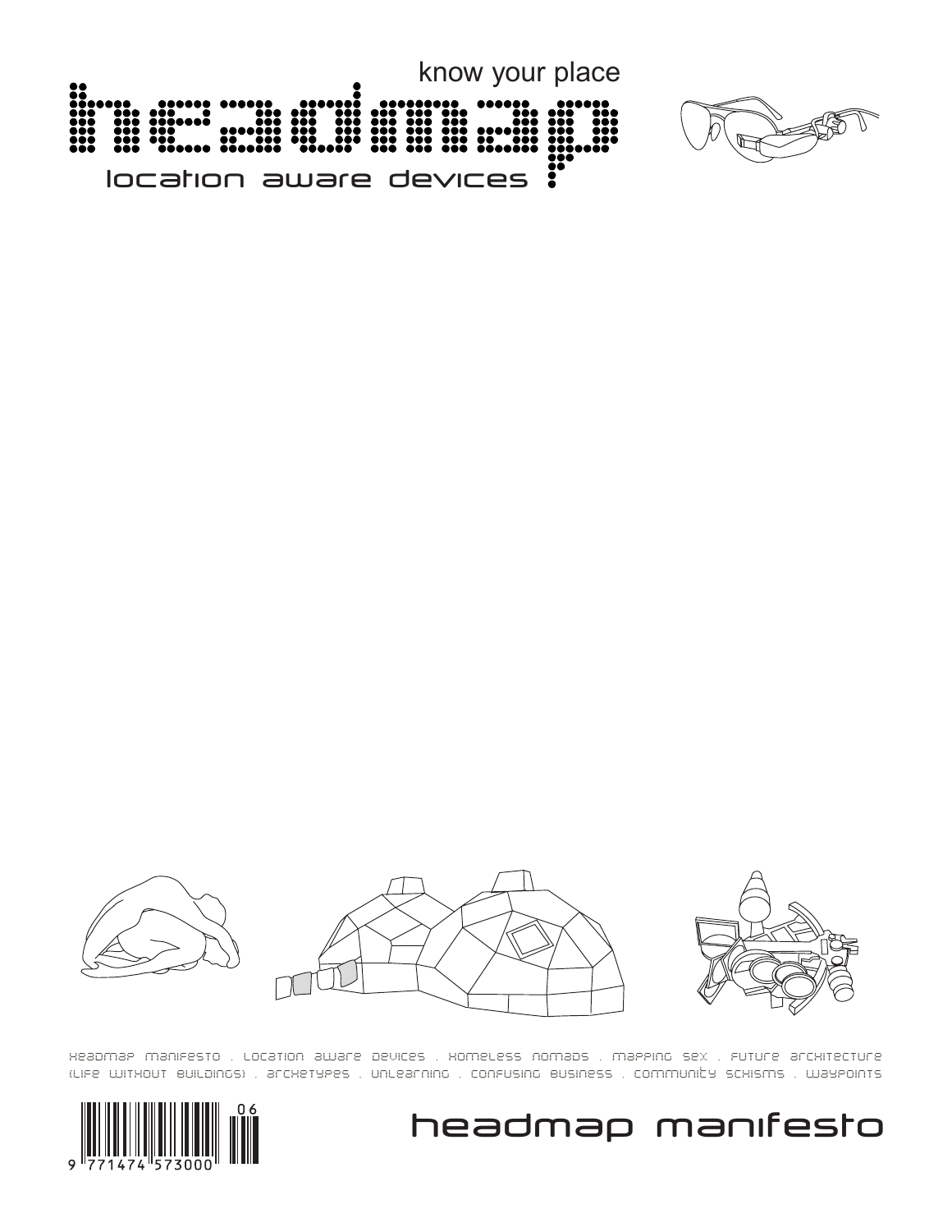

# headmap manifesto

HeaDmaP manifesto . Location aware Devices . HomeLess nomaDs . maPPinG sex . Future arcHitecture [Life wiTHouT BuiLDinGs] . arcHeTYPes . unLearninG . confusinG Business . communitY scHisms . waYPoinTs









location aware devices

know your place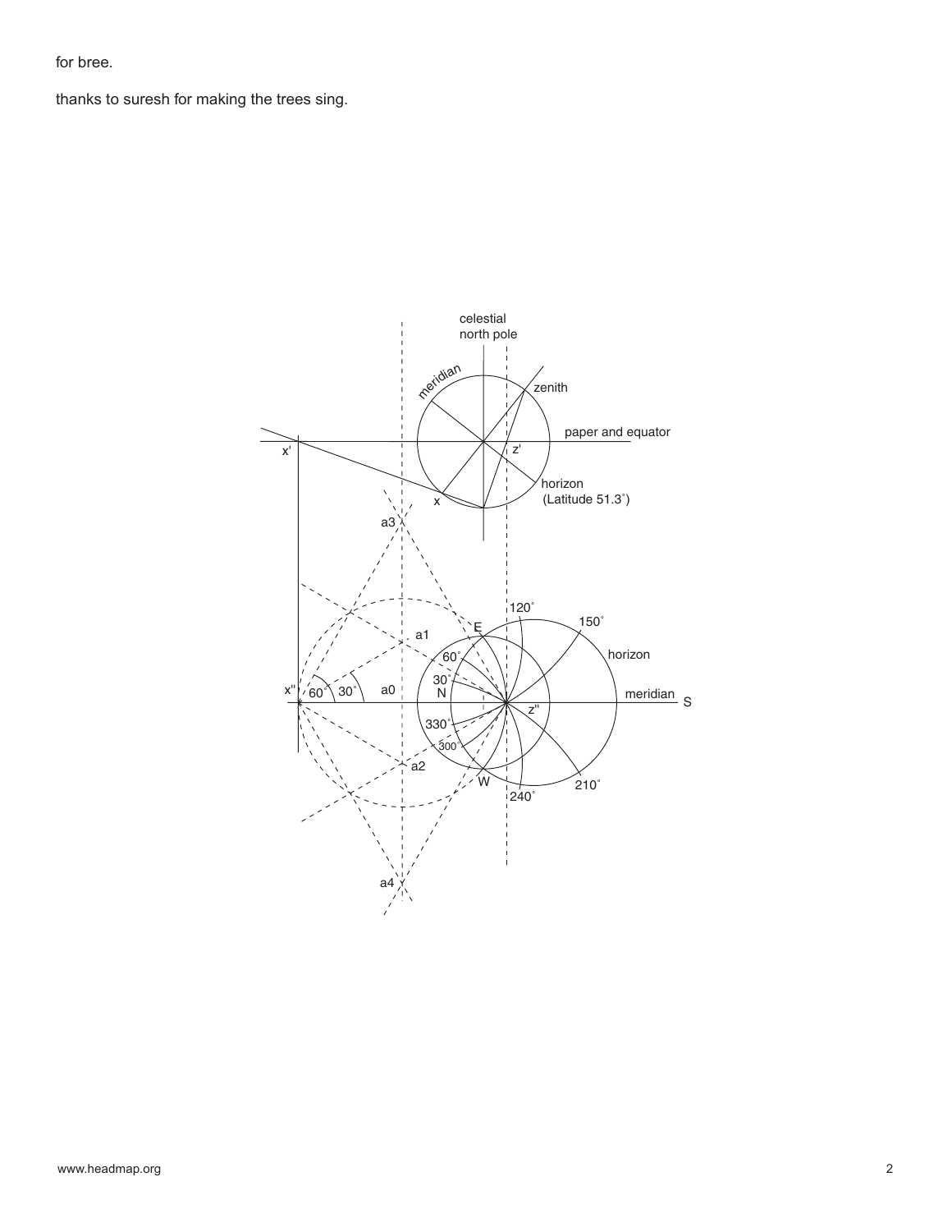for bree.

thanks to suresh for making the trees sing.

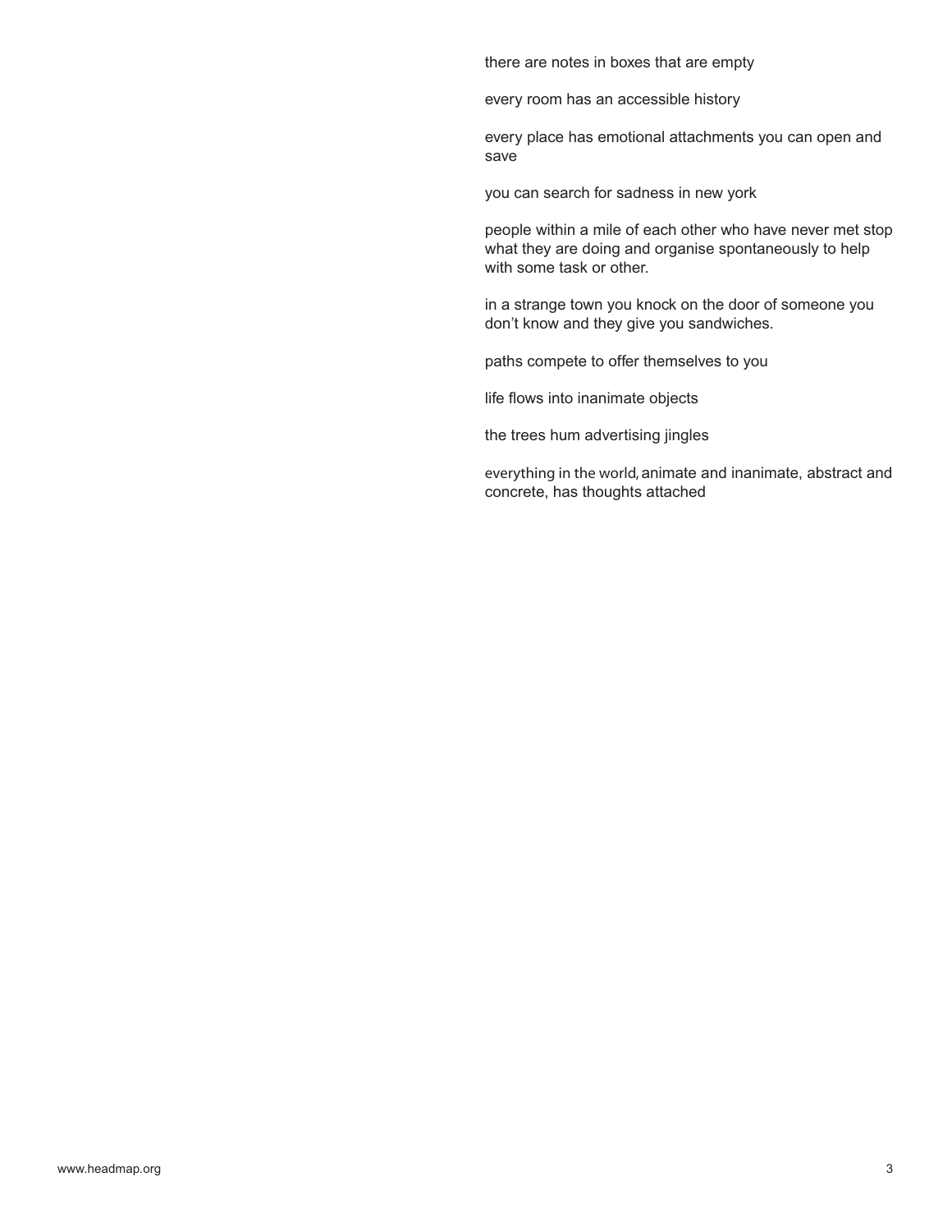there are notes in boxes that are empty

every room has an accessible history

every place has emotional attachments you can open and save

you can search for sadness in new york

people within a mile of each other who have never met stop what they are doing and organise spontaneously to help with some task or other.

in a strange town you knock on the door of someone you don't know and they give you sandwiches.

paths compete to offer themselves to you

life flows into inanimate objects

the trees hum advertising jingles

everything in the world, animate and inanimate, abstract and concrete, has thoughts attached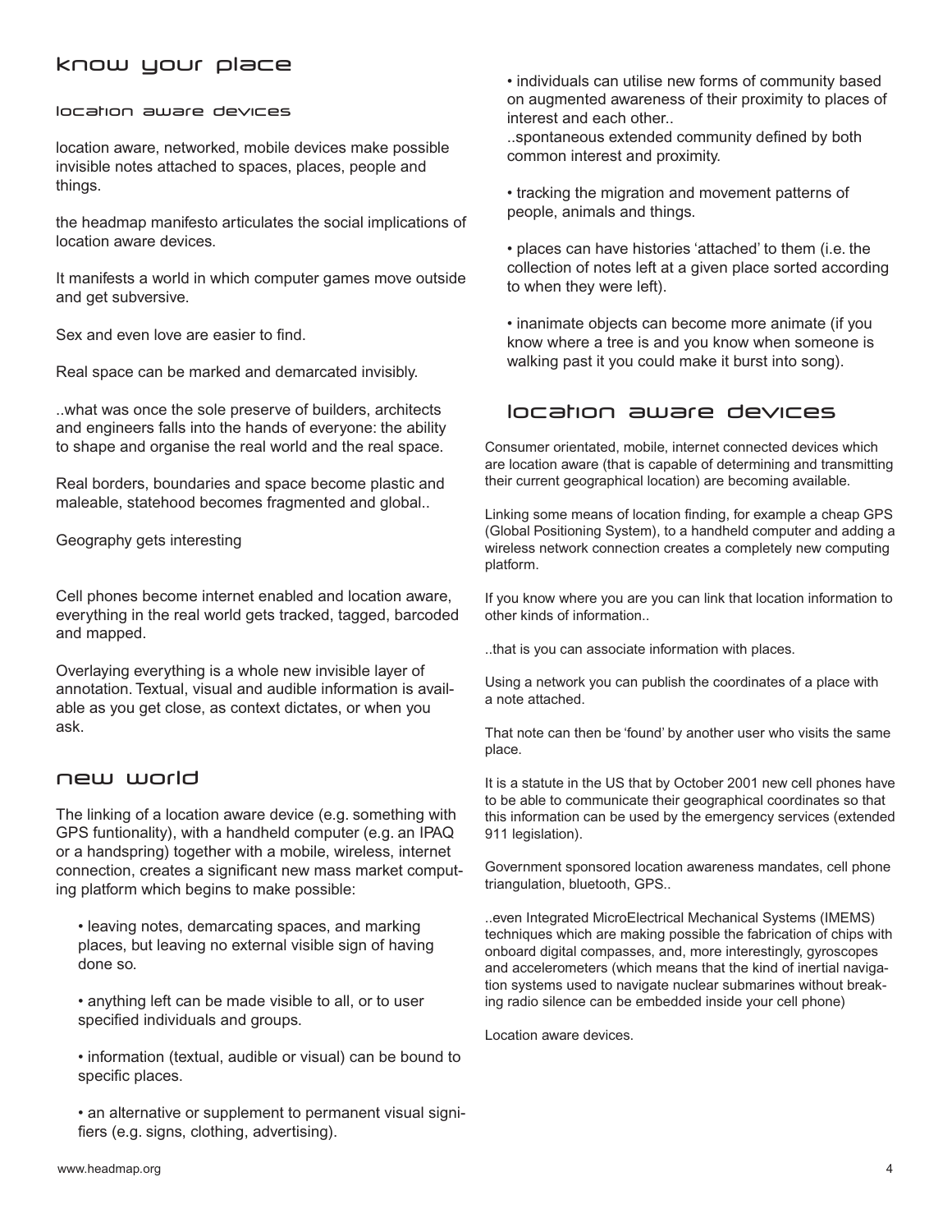# know your place

# location aware devices

location aware, networked, mobile devices make possible invisible notes attached to spaces, places, people and things.

the headmap manifesto articulates the social implications of location aware devices.

It manifests a world in which computer games move outside and get subversive.

Sex and even love are easier to find.

Real space can be marked and demarcated invisibly.

..what was once the sole preserve of builders, architects and engineers falls into the hands of everyone: the ability to shape and organise the real world and the real space.

Real borders, boundaries and space become plastic and maleable, statehood becomes fragmented and global..

Geography gets interesting

Cell phones become internet enabled and location aware, everything in the real world gets tracked, tagged, barcoded and mapped.

Overlaying everything is a whole new invisible layer of annotation. Textual, visual and audible information is available as you get close, as context dictates, or when you ask.

# new world

The linking of a location aware device (e.g. something with GPS funtionality), with a handheld computer (e.g. an IPAQ or a handspring) together with a mobile, wireless, internet connection, creates a significant new mass market computing platform which begins to make possible:

• leaving notes, demarcating spaces, and marking places, but leaving no external visible sign of having done so.

• anything left can be made visible to all, or to user specified individuals and groups.

• information (textual, audible or visual) can be bound to specific places.

• an alternative or supplement to permanent visual signifiers (e.g. signs, clothing, advertising).

• individuals can utilise new forms of community based on augmented awareness of their proximity to places of interest and each other..

..spontaneous extended community defined by both common interest and proximity.

• tracking the migration and movement patterns of people, animals and things.

• places can have histories 'attached' to them (i.e. the collection of notes left at a given place sorted according to when they were left).

• inanimate objects can become more animate (if you know where a tree is and you know when someone is walking past it you could make it burst into song).

# location aware devices

Consumer orientated, mobile, internet connected devices which are location aware (that is capable of determining and transmitting their current geographical location) are becoming available.

Linking some means of location finding, for example a cheap GPS (Global Positioning System), to a handheld computer and adding a wireless network connection creates a completely new computing platform.

If you know where you are you can link that location information to other kinds of information..

..that is you can associate information with places.

Using a network you can publish the coordinates of a place with a note attached.

That note can then be 'found' by another user who visits the same place.

It is a statute in the US that by October 2001 new cell phones have to be able to communicate their geographical coordinates so that this information can be used by the emergency services (extended 911 legislation).

Government sponsored location awareness mandates, cell phone triangulation, bluetooth, GPS..

..even Integrated MicroElectrical Mechanical Systems (IMEMS) techniques which are making possible the fabrication of chips with onboard digital compasses, and, more interestingly, gyroscopes and accelerometers (which means that the kind of inertial navigation systems used to navigate nuclear submarines without breaking radio silence can be embedded inside your cell phone)

Location aware devices.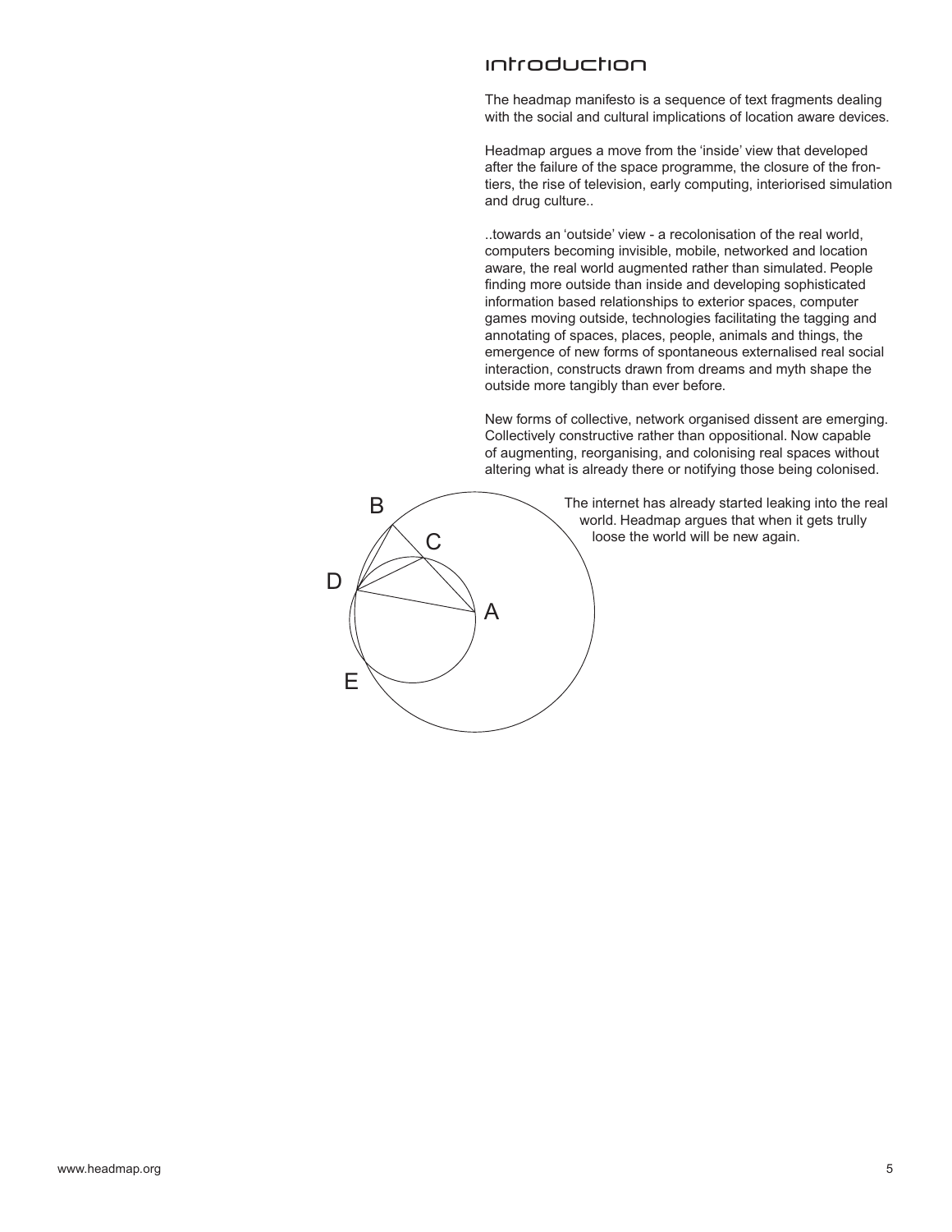# introduction

The headmap manifesto is a sequence of text fragments dealing with the social and cultural implications of location aware devices.

Headmap argues a move from the 'inside' view that developed after the failure of the space programme, the closure of the frontiers, the rise of television, early computing, interiorised simulation and drug culture..

..towards an 'outside' view - a recolonisation of the real world, computers becoming invisible, mobile, networked and location aware, the real world augmented rather than simulated. People finding more outside than inside and developing sophisticated information based relationships to exterior spaces, computer games moving outside, technologies facilitating the tagging and annotating of spaces, places, people, animals and things, the emergence of new forms of spontaneous externalised real social interaction, constructs drawn from dreams and myth shape the outside more tangibly than ever before.

New forms of collective, network organised dissent are emerging. Collectively constructive rather than oppositional. Now capable of augmenting, reorganising, and colonising real spaces without altering what is already there or notifying those being colonised.

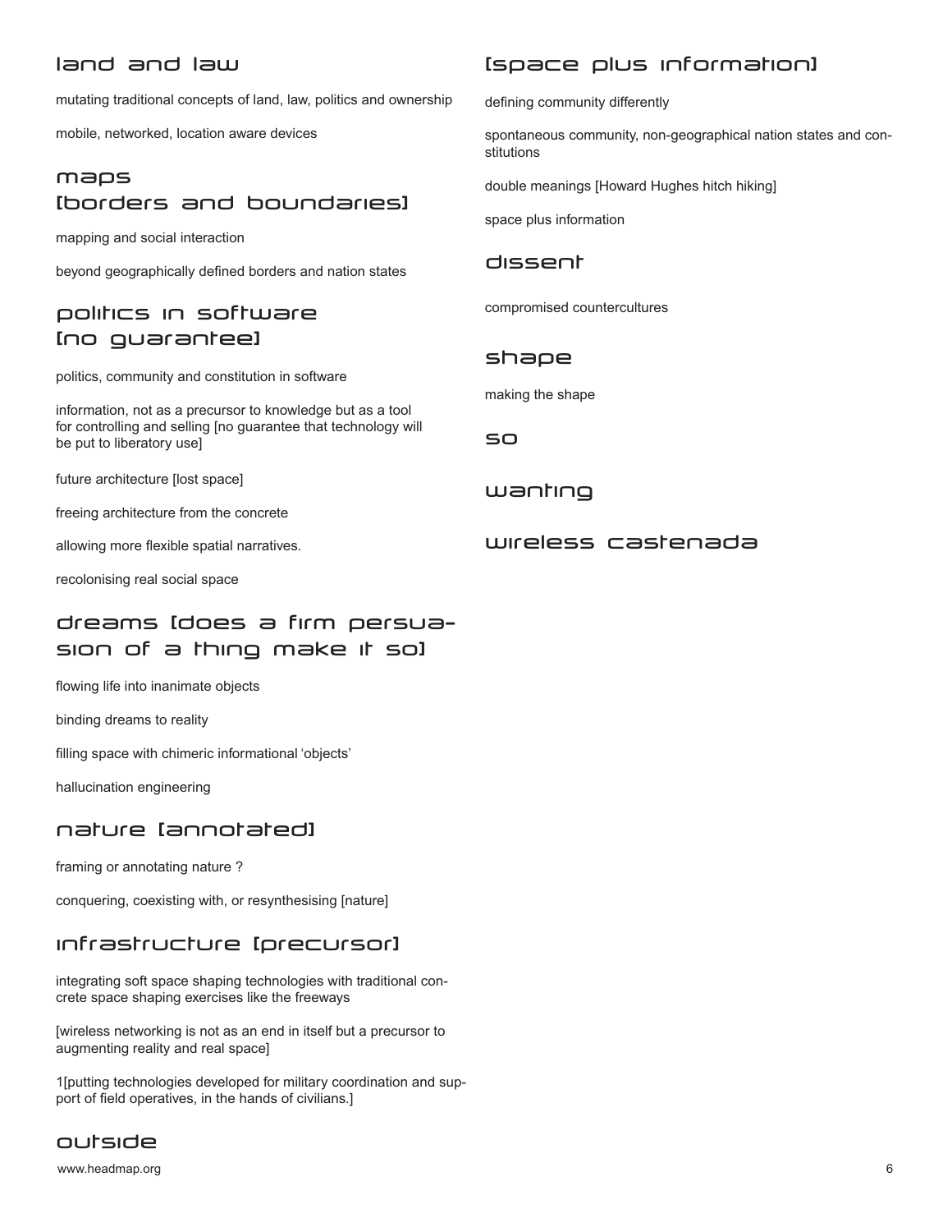# land and law

mutating traditional concepts of land, law, politics and ownership

mobile, networked, location aware devices

# maps [borders and boundaries]

mapping and social interaction

beyond geographically defined borders and nation states

# politics in software [no guarantee]

politics, community and constitution in software

information, not as a precursor to knowledge but as a tool for controlling and selling [no guarantee that technology will be put to liberatory use]

future architecture [lost space]

freeing architecture from the concrete

allowing more flexible spatial narratives.

recolonising real social space

# dreams [does a firm persuasion of a thing make it so]

flowing life into inanimate objects

binding dreams to reality

filling space with chimeric informational 'objects'

hallucination engineering

# nature [annotated]

framing or annotating nature ?

conquering, coexisting with, or resynthesising [nature]

# infrastructure [precursor]

integrating soft space shaping technologies with traditional concrete space shaping exercises like the freeways

[wireless networking is not as an end in itself but a precursor to augmenting reality and real space]

1[putting technologies developed for military coordination and support of field operatives, in the hands of civilians.]

# outside

www.headmap.org 6

# [space plus information]

defining community differently

spontaneous community, non-geographical nation states and constitutions

double meanings [Howard Hughes hitch hiking]

space plus information

# dissent

compromised countercultures

# shape

making the shape

so

# wanting

wireless castenada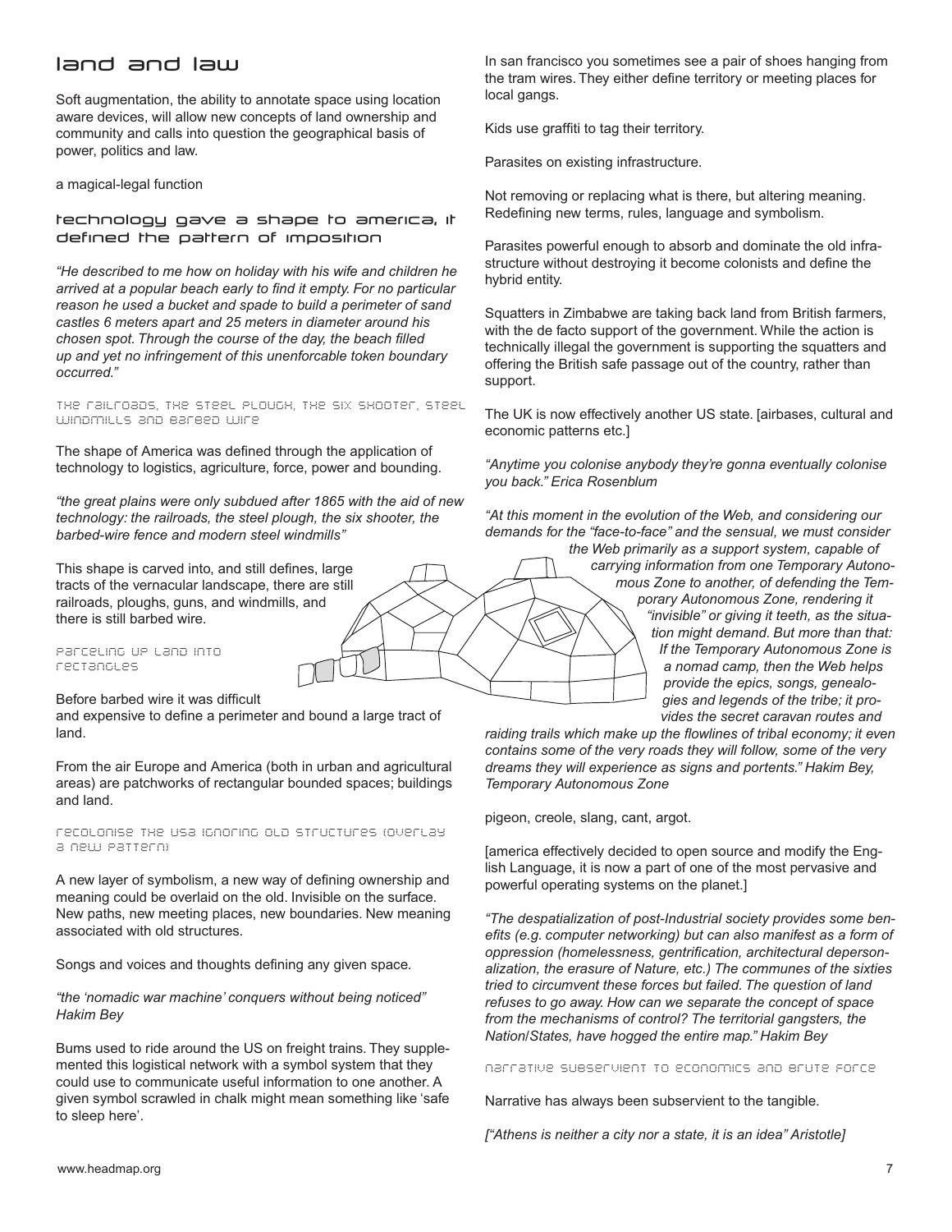# land and law

Soft augmentation, the ability to annotate space using location aware devices, will allow new concepts of land ownership and community and calls into question the geographical basis of power, politics and law.

a magical-legal function

### technology gave a shape to america, it defined the pattern of imposition

*"He described to me how on holiday with his wife and children he arrived at a popular beach early to find it empty. For no particular reason he used a bucket and spade to build a perimeter of sand castles 6 meters apart and 25 meters in diameter around his chosen spot. Through the course of the day, the beach filled up and yet no infringement of this unenforcable token boundary occurred."*

THe raiLroaDs, THe sTeeL PLouGH, THe six sHooTer, sTeeL winDmiLLs anD BarBeD wire

The shape of America was defined through the application of technology to logistics, agriculture, force, power and bounding.

*"the great plains were only subdued after 1865 with the aid of new technology: the railroads, the steel plough, the six shooter, the barbed-wire fence and modern steel windmills"* 

This shape is carved into, and still defines, large tracts of the vernacular landscape, there are still railroads, ploughs, guns, and windmills, and there is still barbed wire.

ParceLinG uP LanD inTo recTanGLes

Before barbed wire it was difficult

and expensive to define a perimeter and bound a large tract of land.

From the air Europe and America (both in urban and agricultural areas) are patchworks of rectangular bounded spaces; buildings and land.

recoLonise THe usa iGnorinG oLD sTrucTures [overLaY a new PaTTern]

A new layer of symbolism, a new way of defining ownership and meaning could be overlaid on the old. Invisible on the surface. New paths, new meeting places, new boundaries. New meaning associated with old structures.

Songs and voices and thoughts defining any given space.

*"the 'nomadic war machine' conquers without being noticed" Hakim Bey*

Bums used to ride around the US on freight trains. They supplemented this logistical network with a symbol system that they could use to communicate useful information to one another. A given symbol scrawled in chalk might mean something like 'safe to sleep here'.

In san francisco you sometimes see a pair of shoes hanging from the tram wires. They either define territory or meeting places for local gangs.

Kids use graffiti to tag their territory.

Parasites on existing infrastructure.

Not removing or replacing what is there, but altering meaning. Redefining new terms, rules, language and symbolism.

Parasites powerful enough to absorb and dominate the old infrastructure without destroying it become colonists and define the hybrid entity.

Squatters in Zimbabwe are taking back land from British farmers, with the de facto support of the government. While the action is technically illegal the government is supporting the squatters and offering the British safe passage out of the country, rather than support.

The UK is now effectively another US state. [airbases, cultural and economic patterns etc.]

*"Anytime you colonise anybody they're gonna eventually colonise you back." Erica Rosenblum*

*"At this moment in the evolution of the Web, and considering our demands for the "face-to-face" and the sensual, we must consider* 

*the Web primarily as a support system, capable of carrying information from one Temporary Autonomous Zone to another, of defending the Temporary Autonomous Zone, rendering it "invisible" or giving it teeth, as the situation might demand. But more than that: If the Temporary Autonomous Zone is a nomad camp, then the Web helps provide the epics, songs, genealogies and legends of the tribe; it provides the secret caravan routes and* 

*raiding trails which make up the flowlines of tribal economy; it even contains some of the very roads they will follow, some of the very dreams they will experience as signs and portents." Hakim Bey, Temporary Autonomous Zone*

pigeon, creole, slang, cant, argot.

[america effectively decided to open source and modify the English Language, it is now a part of one of the most pervasive and powerful operating systems on the planet.]

*"The despatialization of post-Industrial society provides some benefits (e.g. computer networking) but can also manifest as a form of oppression (homelessness, gentrification, architectural depersonalization, the erasure of Nature, etc.) The communes of the sixties tried to circumvent these forces but failed. The question of land refuses to go away. How can we separate the concept of space from the mechanisms of control? The territorial gangsters, the Nation/States, have hogged the entire map." Hakim Bey*

narraTive suBservienT To economics anD BruTe force

Narrative has always been subservient to the tangible.

*["Athens is neither a city nor a state, it is an idea" Aristotle]*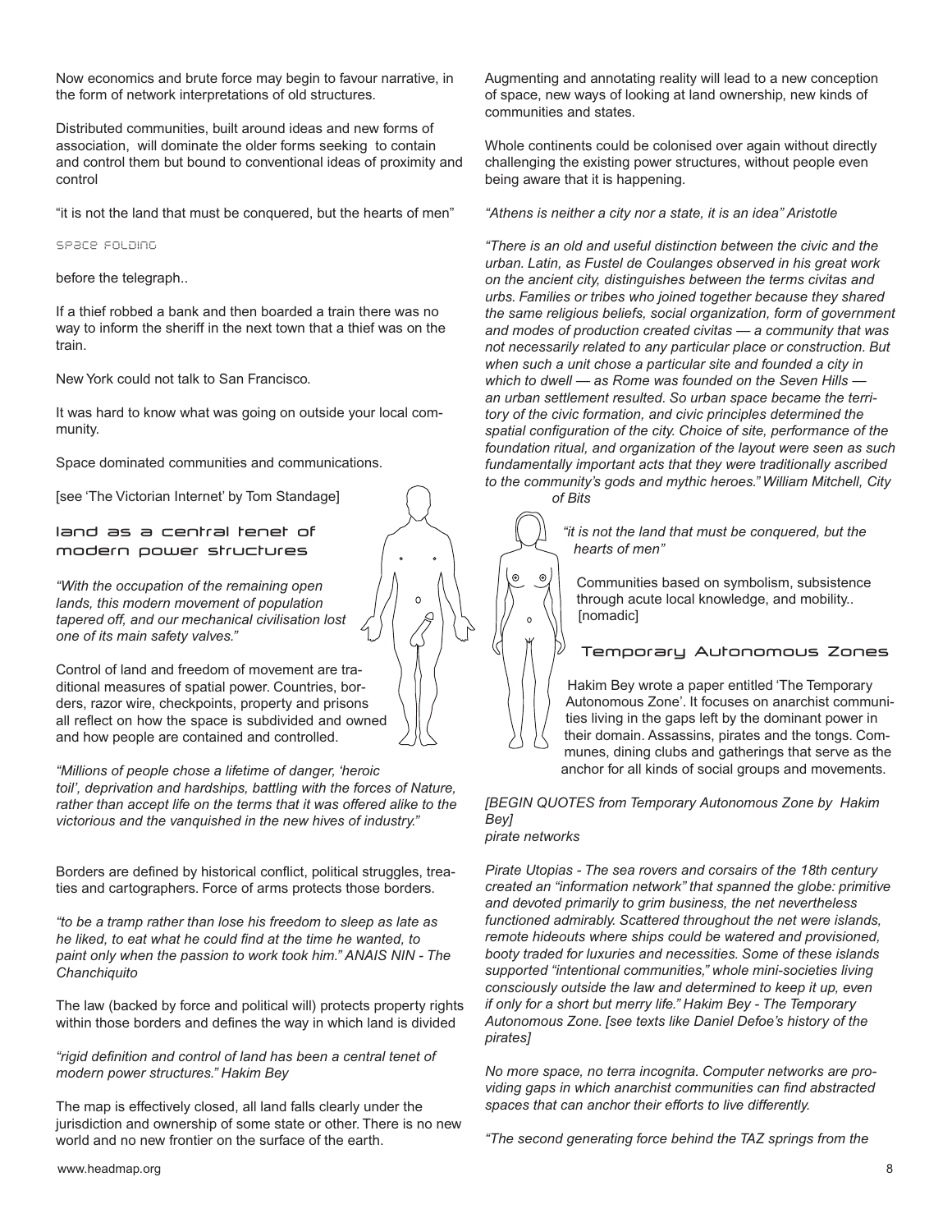Now economics and brute force may begin to favour narrative, in the form of network interpretations of old structures.

Distributed communities, built around ideas and new forms of association, will dominate the older forms seeking to contain and control them but bound to conventional ideas of proximity and control

"it is not the land that must be conquered, but the hearts of men"

sPace foLDinG

before the telegraph..

If a thief robbed a bank and then boarded a train there was no way to inform the sheriff in the next town that a thief was on the train.

New York could not talk to San Francisco.

It was hard to know what was going on outside your local community.

Space dominated communities and communications.

[see 'The Victorian Internet' by Tom Standage]

# land as a central tenet of modern power structures

*"With the occupation of the remaining open lands, this modern movement of population tapered off, and our mechanical civilisation lost one of its main safety valves."* 

Control of land and freedom of movement are traditional measures of spatial power. Countries, borders, razor wire, checkpoints, property and prisons all reflect on how the space is subdivided and owned and how people are contained and controlled.

*"Millions of people chose a lifetime of danger, 'heroic toil', deprivation and hardships, battling with the forces of Nature, rather than accept life on the terms that it was offered alike to the victorious and the vanquished in the new hives of industry."* 

Borders are defined by historical conflict, political struggles, treaties and cartographers. Force of arms protects those borders.

*"to be a tramp rather than lose his freedom to sleep as late as he liked, to eat what he could find at the time he wanted, to paint only when the passion to work took him." ANAIS NIN - The Chanchiquito* 

The law (backed by force and political will) protects property rights within those borders and defines the way in which land is divided

*"rigid definition and control of land has been a central tenet of modern power structures." Hakim Bey* 

The map is effectively closed, all land falls clearly under the jurisdiction and ownership of some state or other. There is no new world and no new frontier on the surface of the earth.

Augmenting and annotating reality will lead to a new conception of space, new ways of looking at land ownership, new kinds of communities and states.

Whole continents could be colonised over again without directly challenging the existing power structures, without people even being aware that it is happening.

*"Athens is neither a city nor a state, it is an idea" Aristotle*

*"There is an old and useful distinction between the civic and the urban. Latin, as Fustel de Coulanges observed in his great work on the ancient city, distinguishes between the terms civitas and urbs. Families or tribes who joined together because they shared the same religious beliefs, social organization, form of government and modes of production created civitas — a community that was not necessarily related to any particular place or construction. But when such a unit chose a particular site and founded a city in which to dwell — as Rome was founded on the Seven Hills an urban settlement resulted. So urban space became the territory of the civic formation, and civic principles determined the spatial configuration of the city. Choice of site, performance of the foundation ritual, and organization of the layout were seen as such fundamentally important acts that they were traditionally ascribed to the community's gods and mythic heroes." William Mitchell, City* 

*of Bits*

 $\odot$ 

*"it is not the land that must be conquered, but the hearts of men"*

Communities based on symbolism, subsistence through acute local knowledge, and mobility.. [nomadic]

# Temporary Autonomous Zones

Hakim Bey wrote a paper entitled 'The Temporary Autonomous Zone'. It focuses on anarchist communities living in the gaps left by the dominant power in their domain. Assassins, pirates and the tongs. Communes, dining clubs and gatherings that serve as the anchor for all kinds of social groups and movements.

*[BEGIN QUOTES from Temporary Autonomous Zone by Hakim Bey]*

*pirate networks*

*Pirate Utopias - The sea rovers and corsairs of the 18th century created an "information network" that spanned the globe: primitive and devoted primarily to grim business, the net nevertheless functioned admirably. Scattered throughout the net were islands, remote hideouts where ships could be watered and provisioned, booty traded for luxuries and necessities. Some of these islands supported "intentional communities," whole mini-societies living consciously outside the law and determined to keep it up, even if only for a short but merry life." Hakim Bey - The Temporary Autonomous Zone. [see texts like Daniel Defoe's history of the pirates]*

*No more space, no terra incognita. Computer networks are providing gaps in which anarchist communities can find abstracted spaces that can anchor their efforts to live differently.* 

*"The second generating force behind the TAZ springs from the*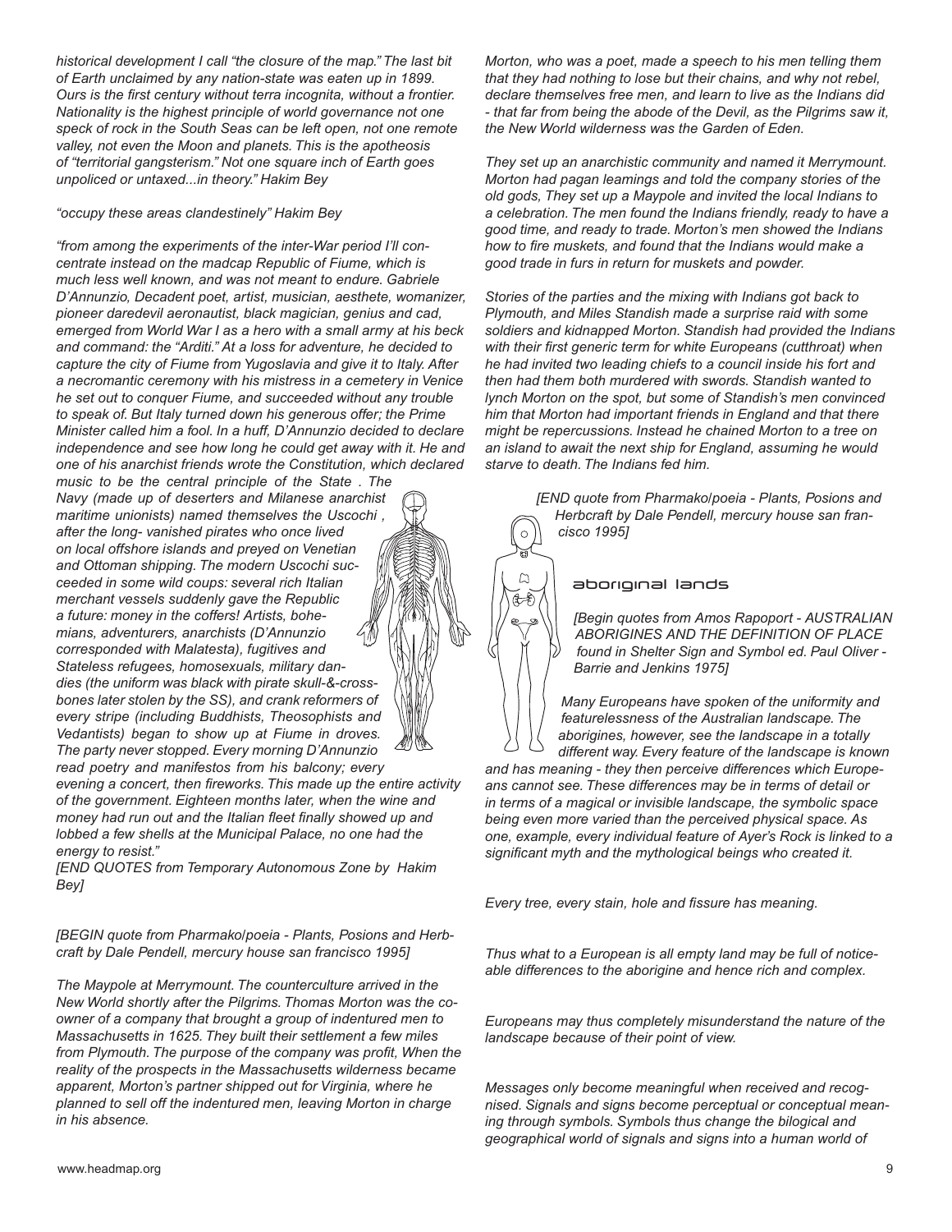*historical development I call "the closure of the map." The last bit of Earth unclaimed by any nation-state was eaten up in 1899. Ours is the first century without terra incognita, without a frontier. Nationality is the highest principle of world governance not one speck of rock in the South Seas can be left open, not one remote valley, not even the Moon and planets. This is the apotheosis of "territorial gangsterism." Not one square inch of Earth goes unpoliced or untaxed...in theory." Hakim Bey*

#### *"occupy these areas clandestinely" Hakim Bey*

*"from among the experiments of the inter-War period I'll concentrate instead on the madcap Republic of Fiume, which is much less well known, and was not meant to endure. Gabriele D'Annunzio, Decadent poet, artist, musician, aesthete, womanizer, pioneer daredevil aeronautist, black magician, genius and cad, emerged from World War I as a hero with a small army at his beck and command: the "Arditi." At a loss for adventure, he decided to capture the city of Fiume from Yugoslavia and give it to Italy. After a necromantic ceremony with his mistress in a cemetery in Venice he set out to conquer Fiume, and succeeded without any trouble to speak of. But Italy turned down his generous offer; the Prime Minister called him a fool. In a huff, D'Annunzio decided to declare independence and see how long he could get away with it. He and one of his anarchist friends wrote the Constitution, which declared* 

*music to be the central principle of the State . The Navy (made up of deserters and Milanese anarchist maritime unionists) named themselves the Uscochi , after the long- vanished pirates who once lived on local offshore islands and preyed on Venetian and Ottoman shipping. The modern Uscochi succeeded in some wild coups: several rich Italian merchant vessels suddenly gave the Republic a future: money in the coffers! Artists, bohemians, adventurers, anarchists (D'Annunzio corresponded with Malatesta), fugitives and Stateless refugees, homosexuals, military dandies (the uniform was black with pirate skull-&-crossbones later stolen by the SS), and crank reformers of every stripe (including Buddhists, Theosophists and Vedantists) began to show up at Fiume in droves. The party never stopped. Every morning D'Annunzio read poetry and manifestos from his balcony; every* 

*evening a concert, then fireworks. This made up the entire activity of the government. Eighteen months later, when the wine and money had run out and the Italian fleet finally showed up and lobbed a few shells at the Municipal Palace, no one had the energy to resist."* 

*[END QUOTES from Temporary Autonomous Zone by Hakim Bey]*

*[BEGIN quote from Pharmako/poeia - Plants, Posions and Herbcraft by Dale Pendell, mercury house san francisco 1995]*

*The Maypole at Merrymount. The counterculture arrived in the New World shortly after the Pilgrims. Thomas Morton was the coowner of a company that brought a group of indentured men to Massachusetts in 1625. They built their settlement a few miles from Plymouth. The purpose of the company was profit, When the reality of the prospects in the Massachusetts wilderness became apparent, Morton's partner shipped out for Virginia, where he planned to sell off the indentured men, leaving Morton in charge in his absence.*

*Morton, who was a poet, made a speech to his men telling them that they had nothing to lose but their chains, and why not rebel, declare themselves free men, and learn to live as the Indians did - that far from being the abode of the Devil, as the Pilgrims saw it, the New World wilderness was the Garden of Eden.*

*They set up an anarchistic community and named it Merrymount. Morton had pagan leamings and told the company stories of the old gods, They set up a Maypole and invited the local Indians to a celebration. The men found the Indians friendly, ready to have a good time, and ready to trade. Morton's men showed the Indians how to fire muskets, and found that the Indians would make a good trade in furs in return for muskets and powder.*

*Stories of the parties and the mixing with Indians got back to Plymouth, and Miles Standish made a surprise raid with some soldiers and kidnapped Morton. Standish had provided the Indians with their first generic term for white Europeans (cutthroat) when he had invited two leading chiefs to a council inside his fort and then had them both murdered with swords. Standish wanted to lynch Morton on the spot, but some of Standish's men convinced him that Morton had important friends in England and that there might be repercussions. Instead he chained Morton to a tree on an island to await the next ship for England, assuming he would starve to death. The Indians fed him.*

> *[END quote from Pharmako/poeia - Plants, Posions and Herbcraft by Dale Pendell, mercury house san francisco 1995]*

### aboriginal lands

 $\overline{C}$ 

 $\omega$ Æ

> *[Begin quotes from Amos Rapoport - AUSTRALIAN ABORIGINES AND THE DEFINITION OF PLACE found in Shelter Sign and Symbol ed. Paul Oliver - Barrie and Jenkins 1975]*

*Many Europeans have spoken of the uniformity and featurelessness of the Australian landscape. The aborigines, however, see the landscape in a totally different way. Every feature of the landscape is known* 

*and has meaning - they then perceive differences which Europeans cannot see. These differences may be in terms of detail or in terms of a magical or invisible landscape, the symbolic space being even more varied than the perceived physical space. As one, example, every individual feature of Ayer's Rock is linked to a significant myth and the mythological beings who created it.*

*Every tree, every stain, hole and fissure has meaning.*

*Thus what to a European is all empty land may be full of noticeable differences to the aborigine and hence rich and complex.*

*Europeans may thus completely misunderstand the nature of the landscape because of their point of view.*

*Messages only become meaningful when received and recognised. Signals and signs become perceptual or conceptual meaning through symbols. Symbols thus change the bilogical and geographical world of signals and signs into a human world of*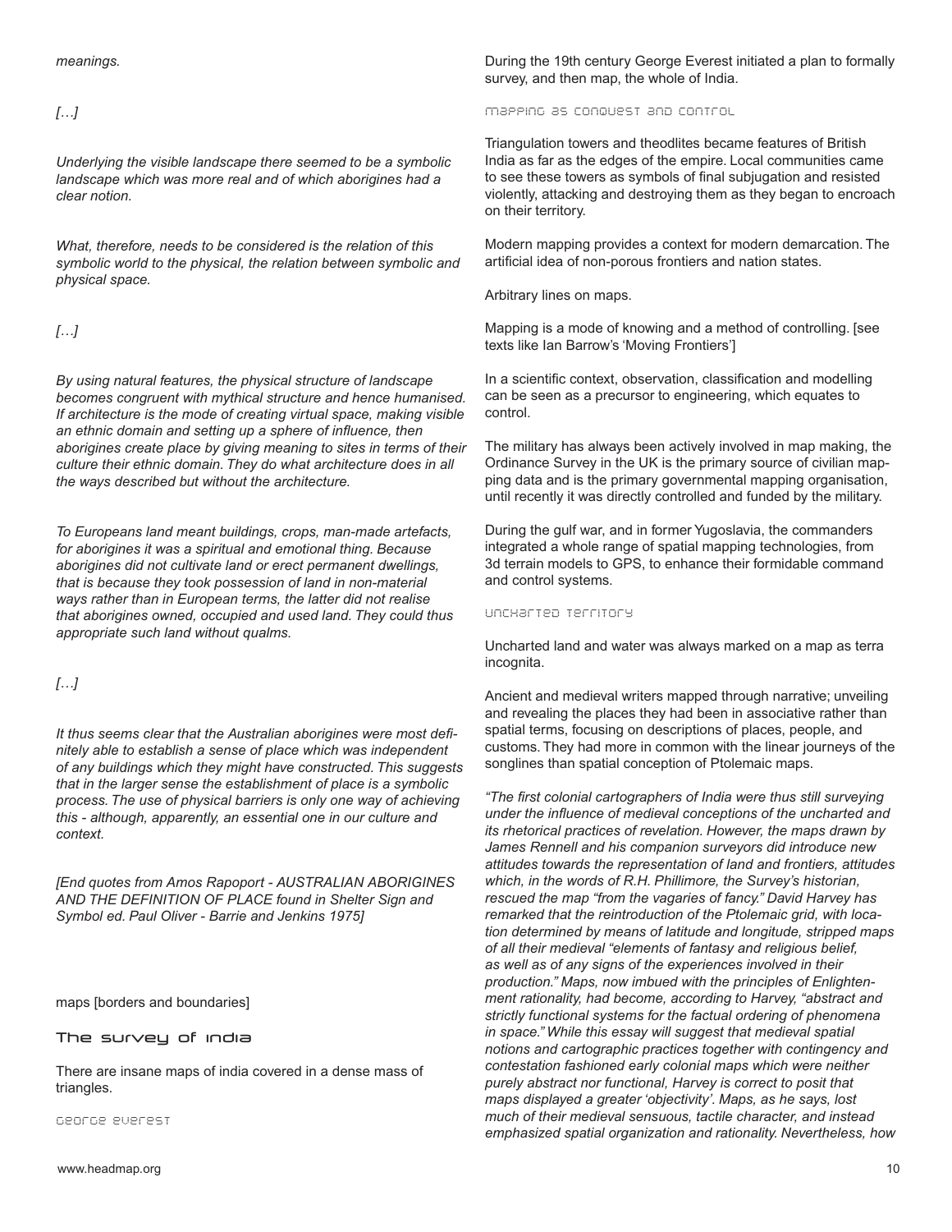*[…]*

*Underlying the visible landscape there seemed to be a symbolic landscape which was more real and of which aborigines had a clear notion.*

*What, therefore, needs to be considered is the relation of this symbolic world to the physical, the relation between symbolic and physical space.*

*[…]*

*By using natural features, the physical structure of landscape becomes congruent with mythical structure and hence humanised. If architecture is the mode of creating virtual space, making visible an ethnic domain and setting up a sphere of influence, then aborigines create place by giving meaning to sites in terms of their culture their ethnic domain. They do what architecture does in all the ways described but without the architecture.*

*To Europeans land meant buildings, crops, man-made artefacts, for aborigines it was a spiritual and emotional thing. Because aborigines did not cultivate land or erect permanent dwellings, that is because they took possession of land in non-material ways rather than in European terms, the latter did not realise that aborigines owned, occupied and used land. They could thus appropriate such land without qualms.*

*[…]*

*It thus seems clear that the Australian aborigines were most definitely able to establish a sense of place which was independent of any buildings which they might have constructed. This suggests that in the larger sense the establishment of place is a symbolic process. The use of physical barriers is only one way of achieving this - although, apparently, an essential one in our culture and context.* 

*[End quotes from Amos Rapoport - AUSTRALIAN ABORIGINES AND THE DEFINITION OF PLACE found in Shelter Sign and Symbol ed. Paul Oliver - Barrie and Jenkins 1975]*

maps [borders and boundaries]

The survey of india

There are insane maps of india covered in a dense mass of triangles.

GeorGe everesT

During the 19th century George Everest initiated a plan to formally survey, and then map, the whole of India.

maPPinG as conQuesT anD conTroL

Triangulation towers and theodlites became features of British India as far as the edges of the empire. Local communities came to see these towers as symbols of final subjugation and resisted violently, attacking and destroying them as they began to encroach on their territory.

Modern mapping provides a context for modern demarcation. The artificial idea of non-porous frontiers and nation states.

Arbitrary lines on maps.

Mapping is a mode of knowing and a method of controlling. [see texts like Ian Barrow's 'Moving Frontiers']

In a scientific context, observation, classification and modelling can be seen as a precursor to engineering, which equates to control.

The military has always been actively involved in map making, the Ordinance Survey in the UK is the primary source of civilian mapping data and is the primary governmental mapping organisation, until recently it was directly controlled and funded by the military.

During the gulf war, and in former Yugoslavia, the commanders integrated a whole range of spatial mapping technologies, from 3d terrain models to GPS, to enhance their formidable command and control systems.

#### uncHarTeD TerriTorY

Uncharted land and water was always marked on a map as terra incognita.

Ancient and medieval writers mapped through narrative; unveiling and revealing the places they had been in associative rather than spatial terms, focusing on descriptions of places, people, and customs. They had more in common with the linear journeys of the songlines than spatial conception of Ptolemaic maps.

*"The first colonial cartographers of India were thus still surveying under the influence of medieval conceptions of the uncharted and its rhetorical practices of revelation. However, the maps drawn by James Rennell and his companion surveyors did introduce new attitudes towards the representation of land and frontiers, attitudes which, in the words of R.H. Phillimore, the Survey's historian, rescued the map "from the vagaries of fancy." David Harvey has remarked that the reintroduction of the Ptolemaic grid, with location determined by means of latitude and longitude, stripped maps of all their medieval "elements of fantasy and religious belief, as well as of any signs of the experiences involved in their production." Maps, now imbued with the principles of Enlightenment rationality, had become, according to Harvey, "abstract and strictly functional systems for the factual ordering of phenomena in space." While this essay will suggest that medieval spatial notions and cartographic practices together with contingency and contestation fashioned early colonial maps which were neither purely abstract nor functional, Harvey is correct to posit that maps displayed a greater 'objectivity'. Maps, as he says, lost much of their medieval sensuous, tactile character, and instead emphasized spatial organization and rationality. Nevertheless, how*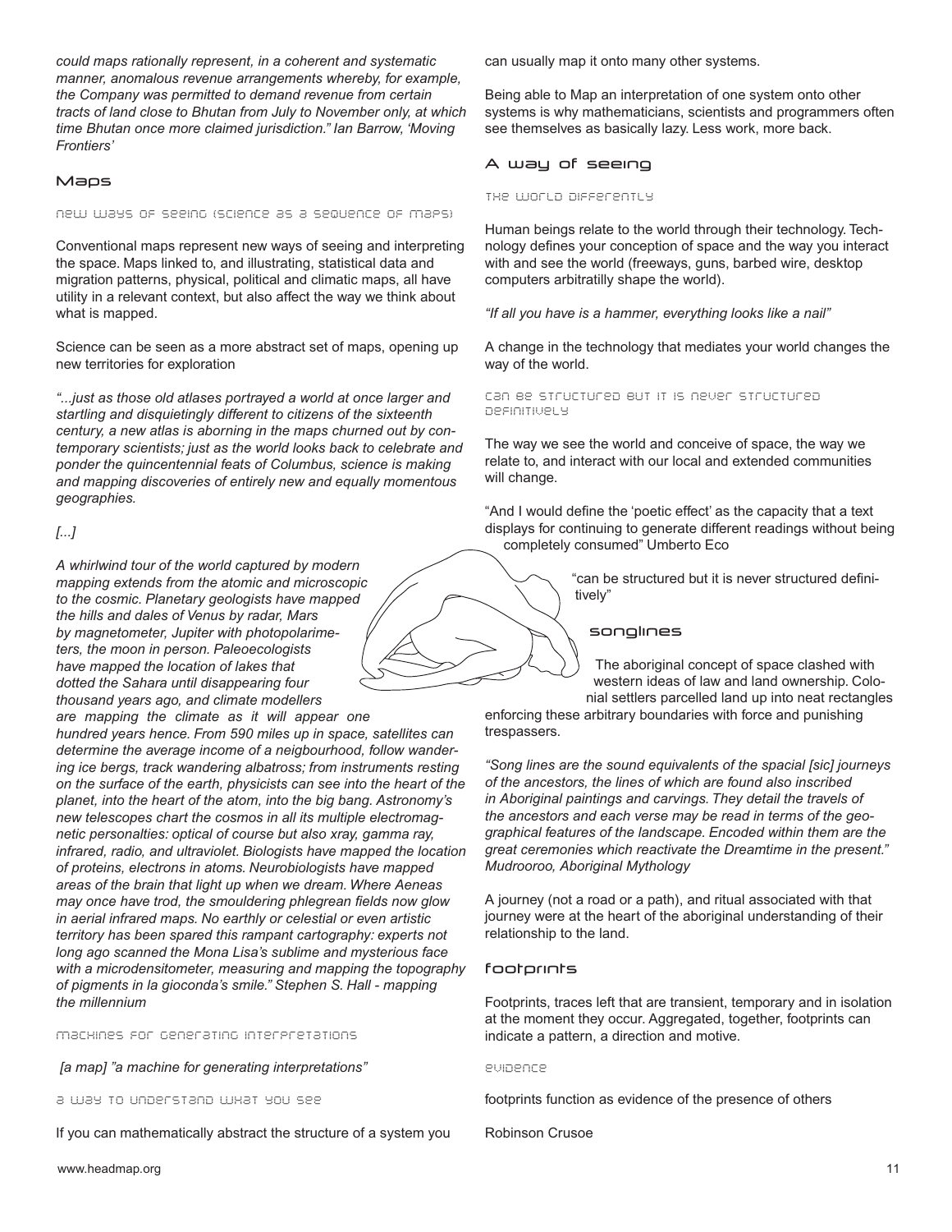*could maps rationally represent, in a coherent and systematic manner, anomalous revenue arrangements whereby, for example, the Company was permitted to demand revenue from certain tracts of land close to Bhutan from July to November only, at which time Bhutan once more claimed jurisdiction." Ian Barrow, 'Moving Frontiers'*

### Maps

new ways of seeing (science as a sequence of maps)

Conventional maps represent new ways of seeing and interpreting the space. Maps linked to, and illustrating, statistical data and migration patterns, physical, political and climatic maps, all have utility in a relevant context, but also affect the way we think about what is mapped.

Science can be seen as a more abstract set of maps, opening up new territories for exploration

*"...just as those old atlases portrayed a world at once larger and startling and disquietingly different to citizens of the sixteenth century, a new atlas is aborning in the maps churned out by contemporary scientists; just as the world looks back to celebrate and ponder the quincentennial feats of Columbus, science is making and mapping discoveries of entirely new and equally momentous geographies.*

*[...]*

*A whirlwind tour of the world captured by modern mapping extends from the atomic and microscopic to the cosmic. Planetary geologists have mapped the hills and dales of Venus by radar, Mars by magnetometer, Jupiter with photopolarimeters, the moon in person. Paleoecologists have mapped the location of lakes that dotted the Sahara until disappearing four thousand years ago, and climate modellers* 

*are mapping the climate as it will appear one hundred years hence. From 590 miles up in space, satellites can determine the average income of a neigbourhood, follow wandering ice bergs, track wandering albatross; from instruments resting on the surface of the earth, physicists can see into the heart of the planet, into the heart of the atom, into the big bang. Astronomy's new telescopes chart the cosmos in all its multiple electromagnetic personalties: optical of course but also xray, gamma ray, infrared, radio, and ultraviolet. Biologists have mapped the location of proteins, electrons in atoms. Neurobiologists have mapped areas of the brain that light up when we dream. Where Aeneas may once have trod, the smouldering phlegrean fields now glow in aerial infrared maps. No earthly or celestial or even artistic territory has been spared this rampant cartography: experts not long ago scanned the Mona Lisa's sublime and mysterious face with a microdensitometer, measuring and mapping the topography of pigments in la gioconda's smile." Stephen S. Hall - mapping the millennium*

macHines for GeneraTinG inTerPreTaTions

 *[a map] "a machine for generating interpretations"* 

a waY To unDersTanD wHaT You see

If you can mathematically abstract the structure of a system you

can usually map it onto many other systems.

Being able to Map an interpretation of one system onto other systems is why mathematicians, scientists and programmers often see themselves as basically lazy. Less work, more back.

### A way of seeing

THe worLD DifferenTLY

Human beings relate to the world through their technology. Technology defines your conception of space and the way you interact with and see the world (freeways, guns, barbed wire, desktop computers arbitratilly shape the world).

*"If all you have is a hammer, everything looks like a nail"*

A change in the technology that mediates your world changes the way of the world.

can Be structured but it is never structured DefinitiveLY

The way we see the world and conceive of space, the way we relate to, and interact with our local and extended communities will change.

"And I would define the 'poetic effect' as the capacity that a text displays for continuing to generate different readings without being completely consumed" Umberto Eco

> "can be structured but it is never structured definitively"

songlines

The aboriginal concept of space clashed with western ideas of law and land ownership. Colonial settlers parcelled land up into neat rectangles

enforcing these arbitrary boundaries with force and punishing trespassers.

*"Song lines are the sound equivalents of the spacial [sic] journeys of the ancestors, the lines of which are found also inscribed in Aboriginal paintings and carvings. They detail the travels of the ancestors and each verse may be read in terms of the geographical features of the landscape. Encoded within them are the great ceremonies which reactivate the Dreamtime in the present." Mudrooroo, Aboriginal Mythology* 

A journey (not a road or a path), and ritual associated with that journey were at the heart of the aboriginal understanding of their relationship to the land.

### footprints

Footprints, traces left that are transient, temporary and in isolation at the moment they occur. Aggregated, together, footprints can indicate a pattern, a direction and motive.

eviDence

footprints function as evidence of the presence of others

Robinson Crusoe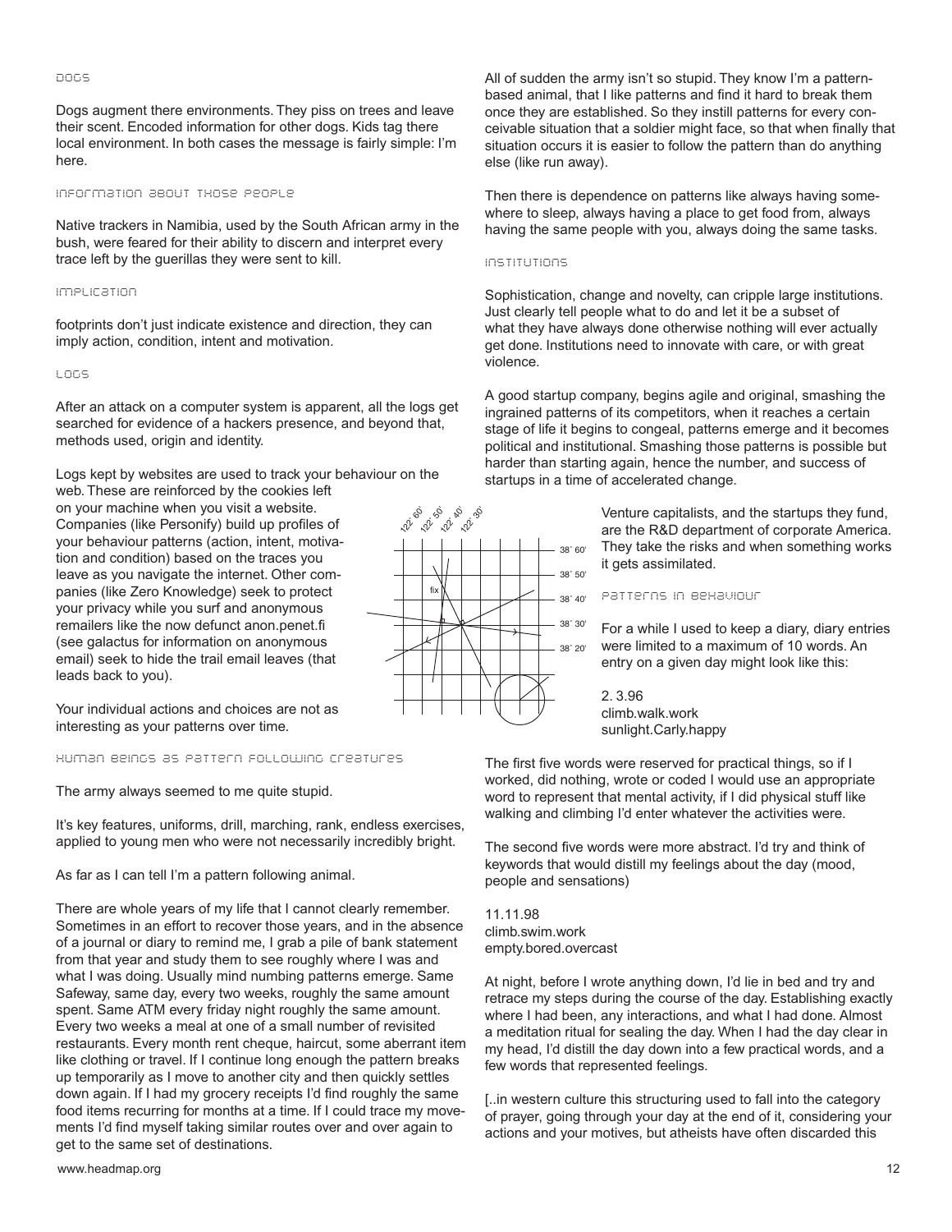DoGs

Dogs augment there environments. They piss on trees and leave their scent. Encoded information for other dogs. Kids tag there local environment. In both cases the message is fairly simple: I'm here.

#### informaTion aBouT THose PeoPLe

Native trackers in Namibia, used by the South African army in the bush, were feared for their ability to discern and interpret every trace left by the guerillas they were sent to kill.

#### imPLicaTion

footprints don't just indicate existence and direction, they can imply action, condition, intent and motivation.

#### LoGs

After an attack on a computer system is apparent, all the logs get searched for evidence of a hackers presence, and beyond that, methods used, origin and identity.

Logs kept by websites are used to track your behaviour on the web. These are reinforced by the cookies left

on your machine when you visit a website. Companies (like Personify) build up profiles of your behaviour patterns (action, intent, motivation and condition) based on the traces you leave as you navigate the internet. Other companies (like Zero Knowledge) seek to protect your privacy while you surf and anonymous remailers like the now defunct anon.penet.fi (see galactus for information on anonymous email) seek to hide the trail email leaves (that leads back to you).

Your individual actions and choices are not as interesting as your patterns over time.

Human BeinGs as PaTTern foLLowinG creaTures

The army always seemed to me quite stupid.

It's key features, uniforms, drill, marching, rank, endless exercises, applied to young men who were not necessarily incredibly bright.

As far as I can tell I'm a pattern following animal.

There are whole years of my life that I cannot clearly remember. Sometimes in an effort to recover those years, and in the absence of a journal or diary to remind me, I grab a pile of bank statement from that year and study them to see roughly where I was and what I was doing. Usually mind numbing patterns emerge. Same Safeway, same day, every two weeks, roughly the same amount spent. Same ATM every friday night roughly the same amount. Every two weeks a meal at one of a small number of revisited restaurants. Every month rent cheque, haircut, some aberrant item like clothing or travel. If I continue long enough the pattern breaks up temporarily as I move to another city and then quickly settles down again. If I had my grocery receipts I'd find roughly the same food items recurring for months at a time. If I could trace my movements I'd find myself taking similar routes over and over again to get to the same set of destinations.

www.headmap.org 12



All of sudden the army isn't so stupid. They know I'm a patternbased animal, that I like patterns and find it hard to break them once they are established. So they instill patterns for every conceivable situation that a soldier might face, so that when finally that situation occurs it is easier to follow the pattern than do anything else (like run away).

Then there is dependence on patterns like always having somewhere to sleep, always having a place to get food from, always having the same people with you, always doing the same tasks.

#### insTiTuTions

Sophistication, change and novelty, can cripple large institutions. Just clearly tell people what to do and let it be a subset of what they have always done otherwise nothing will ever actually get done. Institutions need to innovate with care, or with great violence.

A good startup company, begins agile and original, smashing the ingrained patterns of its competitors, when it reaches a certain stage of life it begins to congeal, patterns emerge and it becomes political and institutional. Smashing those patterns is possible but harder than starting again, hence the number, and success of startups in a time of accelerated change.

> Venture capitalists, and the startups they fund, are the R&D department of corporate America. They take the risks and when something works it gets assimilated.

#### PaTTerns in BeHaviour

For a while I used to keep a diary, diary entries were limited to a maximum of 10 words. An entry on a given day might look like this:

2. 3.96 climb.walk.work sunlight.Carly.happy

The first five words were reserved for practical things, so if I worked, did nothing, wrote or coded I would use an appropriate word to represent that mental activity, if I did physical stuff like walking and climbing I'd enter whatever the activities were.

The second five words were more abstract. I'd try and think of keywords that would distill my feelings about the day (mood, people and sensations)

11.11.98 climb.swim.work empty.bored.overcast

At night, before I wrote anything down, I'd lie in bed and try and retrace my steps during the course of the day. Establishing exactly where I had been, any interactions, and what I had done. Almost a meditation ritual for sealing the day. When I had the day clear in my head, I'd distill the day down into a few practical words, and a few words that represented feelings.

[..in western culture this structuring used to fall into the category of prayer, going through your day at the end of it, considering your actions and your motives, but atheists have often discarded this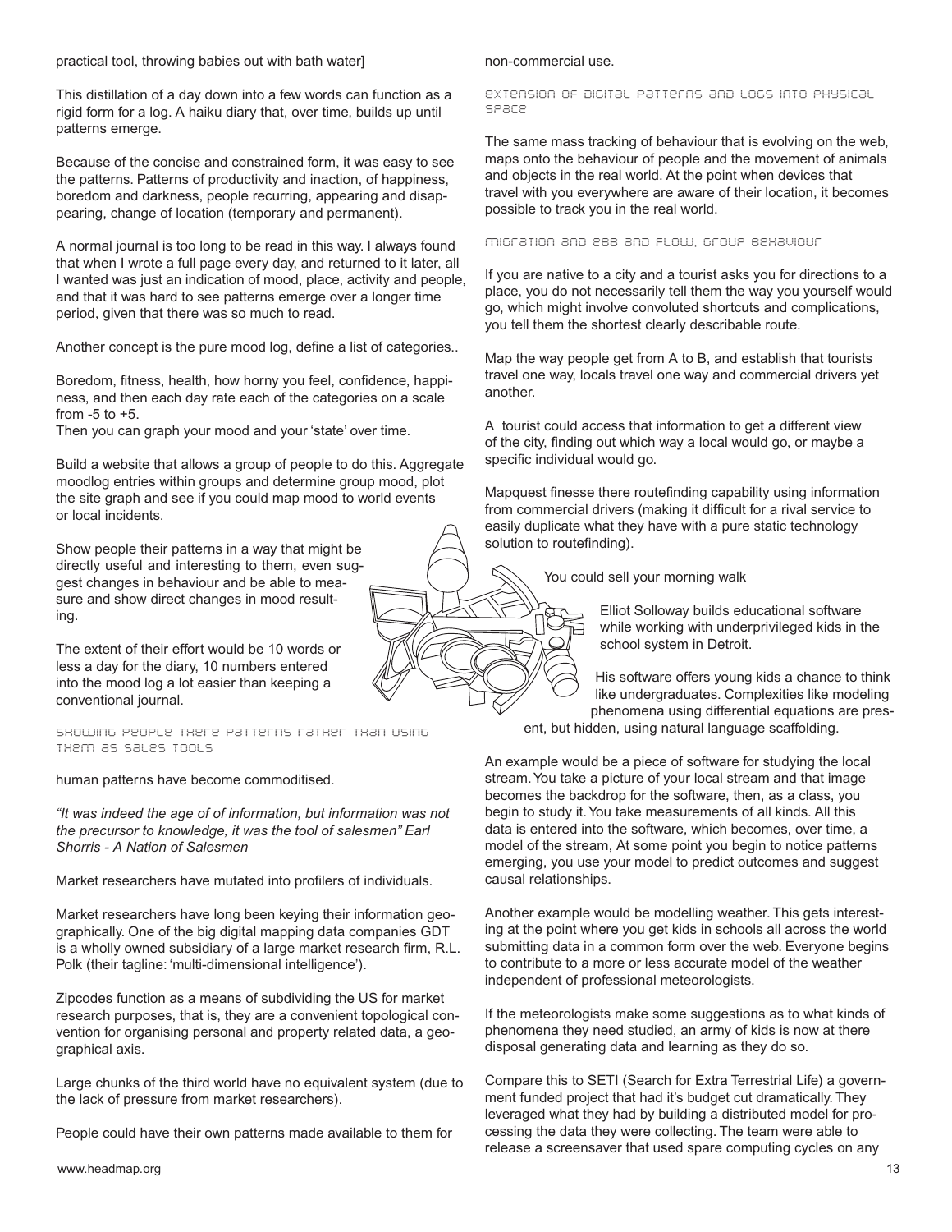# practical tool, throwing babies out with bath water]

This distillation of a day down into a few words can function as a rigid form for a log. A haiku diary that, over time, builds up until patterns emerge.

Because of the concise and constrained form, it was easy to see the patterns. Patterns of productivity and inaction, of happiness, boredom and darkness, people recurring, appearing and disappearing, change of location (temporary and permanent).

A normal journal is too long to be read in this way. I always found that when I wrote a full page every day, and returned to it later, all I wanted was just an indication of mood, place, activity and people, and that it was hard to see patterns emerge over a longer time period, given that there was so much to read.

Another concept is the pure mood log, define a list of categories..

Boredom, fitness, health, how horny you feel, confidence, happiness, and then each day rate each of the categories on a scale from  $-5$  to  $+5$ .

Then you can graph your mood and your 'state' over time.

Build a website that allows a group of people to do this. Aggregate moodlog entries within groups and determine group mood, plot the site graph and see if you could map mood to world events or local incidents.

Show people their patterns in a way that might be directly useful and interesting to them, even suggest changes in behaviour and be able to measure and show direct changes in mood resulting.

The extent of their effort would be 10 words or less a day for the diary, 10 numbers entered into the mood log a lot easier than keeping a conventional journal.

sHowinG PeoPLe THere PaTTerns raTHer THan usinG THem as saLes TooLs

human patterns have become commoditised.

*"It was indeed the age of of information, but information was not the precursor to knowledge, it was the tool of salesmen" Earl Shorris - A Nation of Salesmen* 

Market researchers have mutated into profilers of individuals.

Market researchers have long been keying their information geographically. One of the big digital mapping data companies GDT is a wholly owned subsidiary of a large market research firm, R.L. Polk (their tagline: 'multi-dimensional intelligence').

Zipcodes function as a means of subdividing the US for market research purposes, that is, they are a convenient topological convention for organising personal and property related data, a geographical axis.

Large chunks of the third world have no equivalent system (due to the lack of pressure from market researchers).

People could have their own patterns made available to them for

# non-commercial use.

exTension of DiGiTaL PaTTerns anD LoGs inTo PHYsicaL sPace

The same mass tracking of behaviour that is evolving on the web, maps onto the behaviour of people and the movement of animals and objects in the real world. At the point when devices that travel with you everywhere are aware of their location, it becomes possible to track you in the real world.

miGraTion anD eBB anD fLow, GrouP BeHaviour

If you are native to a city and a tourist asks you for directions to a place, you do not necessarily tell them the way you yourself would go, which might involve convoluted shortcuts and complications, you tell them the shortest clearly describable route.

Map the way people get from A to B, and establish that tourists travel one way, locals travel one way and commercial drivers yet another.

A tourist could access that information to get a different view of the city, finding out which way a local would go, or maybe a specific individual would go.

Mapquest finesse there routefinding capability using information from commercial drivers (making it difficult for a rival service to easily duplicate what they have with a pure static technology solution to routefinding).

You could sell your morning walk

Elliot Solloway builds educational software while working with underprivileged kids in the school system in Detroit.

His software offers young kids a chance to think like undergraduates. Complexities like modeling phenomena using differential equations are present, but hidden, using natural language scaffolding.

An example would be a piece of software for studying the local stream. You take a picture of your local stream and that image becomes the backdrop for the software, then, as a class, you begin to study it. You take measurements of all kinds. All this data is entered into the software, which becomes, over time, a model of the stream, At some point you begin to notice patterns emerging, you use your model to predict outcomes and suggest causal relationships.

Another example would be modelling weather. This gets interesting at the point where you get kids in schools all across the world submitting data in a common form over the web. Everyone begins to contribute to a more or less accurate model of the weather independent of professional meteorologists.

If the meteorologists make some suggestions as to what kinds of phenomena they need studied, an army of kids is now at there disposal generating data and learning as they do so.

Compare this to SETI (Search for Extra Terrestrial Life) a government funded project that had it's budget cut dramatically. They leveraged what they had by building a distributed model for processing the data they were collecting. The team were able to release a screensaver that used spare computing cycles on any

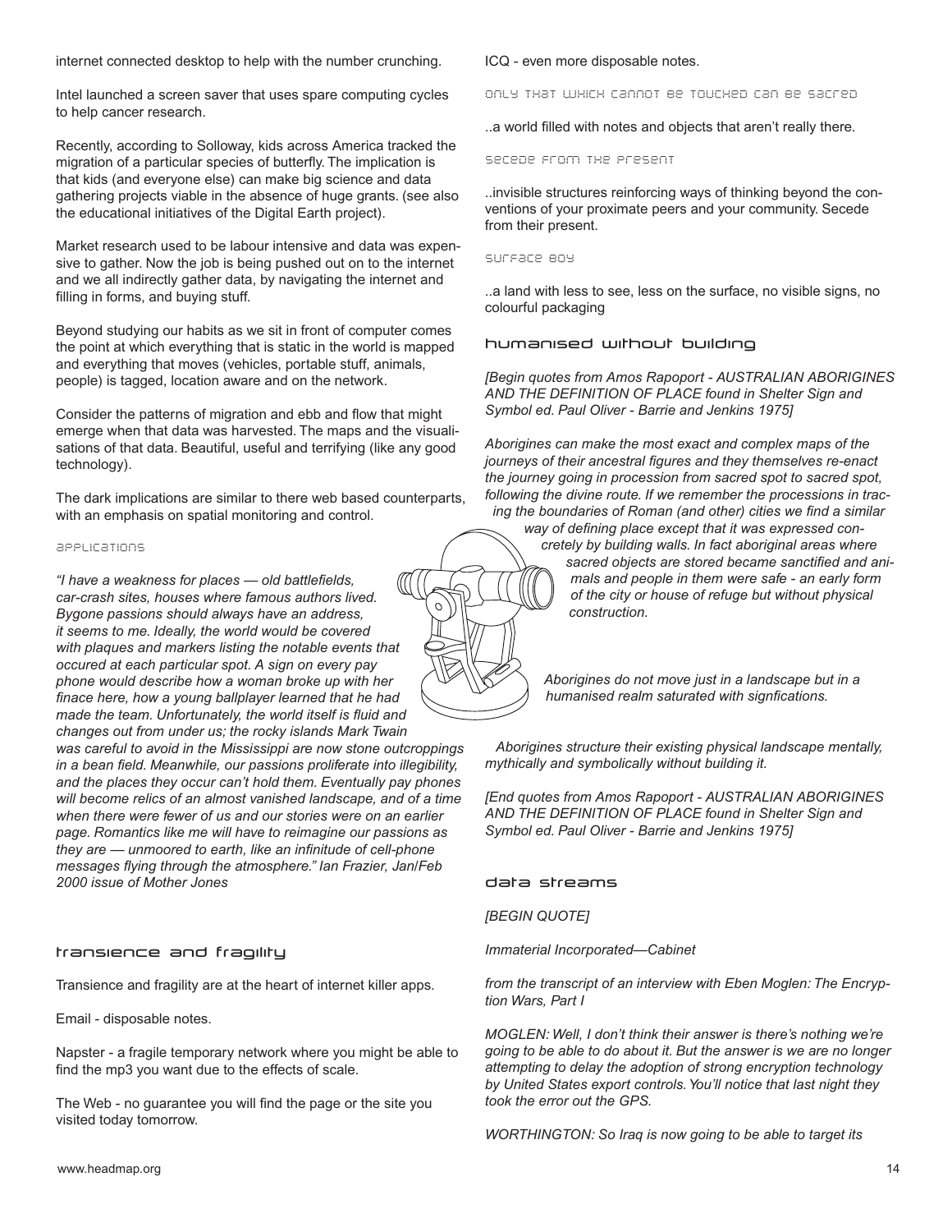internet connected desktop to help with the number crunching.

Intel launched a screen saver that uses spare computing cycles to help cancer research.

Recently, according to Solloway, kids across America tracked the migration of a particular species of butterfly. The implication is that kids (and everyone else) can make big science and data gathering projects viable in the absence of huge grants. (see also the educational initiatives of the Digital Earth project).

Market research used to be labour intensive and data was expensive to gather. Now the job is being pushed out on to the internet and we all indirectly gather data, by navigating the internet and filling in forms, and buying stuff.

Beyond studying our habits as we sit in front of computer comes the point at which everything that is static in the world is mapped and everything that moves (vehicles, portable stuff, animals, people) is tagged, location aware and on the network.

Consider the patterns of migration and ebb and flow that might emerge when that data was harvested. The maps and the visualisations of that data. Beautiful, useful and terrifying (like any good technology).

The dark implications are similar to there web based counterparts, with an emphasis on spatial monitoring and control.

### aPPLicaTions

*"I have a weakness for places — old battlefields, car-crash sites, houses where famous authors lived.*   $\circ$ *Bygone passions should always have an address, it seems to me. Ideally, the world would be covered with plaques and markers listing the notable events that occured at each particular spot. A sign on every pay phone would describe how a woman broke up with her finace here, how a young ballplayer learned that he had made the team. Unfortunately, the world itself is fluid and changes out from under us; the rocky islands Mark Twain was careful to avoid in the Mississippi are now stone outcroppings in a bean field. Meanwhile, our passions proliferate into illegibility, and the places they occur can't hold them. Eventually pay phones will become relics of an almost vanished landscape, and of a time when there were fewer of us and our stories were on an earlier page. Romantics like me will have to reimagine our passions as they are — unmoored to earth, like an infinitude of cell-phone messages flying through the atmosphere." Ian Frazier, Jan/Feb 2000 issue of Mother Jones*

### transience and fragility

Transience and fragility are at the heart of internet killer apps.

Email - disposable notes.

Napster - a fragile temporary network where you might be able to find the mp3 you want due to the effects of scale.

The Web - no guarantee you will find the page or the site you visited today tomorrow.

#### ICQ - even more disposable notes.

onLY THaT wHicH cannoT Be ToucHeD can Be sacreD

..a world filled with notes and objects that aren't really there.

seceDe from THe PresenT

..invisible structures reinforcing ways of thinking beyond the conventions of your proximate peers and your community. Secede from their present.

#### surface BoY

..a land with less to see, less on the surface, no visible signs, no colourful packaging

#### humanised without building

*[Begin quotes from Amos Rapoport - AUSTRALIAN ABORIGINES AND THE DEFINITION OF PLACE found in Shelter Sign and Symbol ed. Paul Oliver - Barrie and Jenkins 1975]*

*Aborigines can make the most exact and complex maps of the journeys of their ancestral figures and they themselves re-enact the journey going in procession from sacred spot to sacred spot, following the divine route. If we remember the processions in tracing the boundaries of Roman (and other) cities we find a similar* 

*way of defining place except that it was expressed con-*

*cretely by building walls. In fact aboriginal areas where sacred objects are stored became sanctified and animals and people in them were safe - an early form of the city or house of refuge but without physical construction.*

*Aborigines do not move just in a landscape but in a humanised realm saturated with signfications.*

*Aborigines structure their existing physical landscape mentally, mythically and symbolically without building it.*

*[End quotes from Amos Rapoport - AUSTRALIAN ABORIGINES AND THE DEFINITION OF PLACE found in Shelter Sign and Symbol ed. Paul Oliver - Barrie and Jenkins 1975]*

#### data streams

*[BEGIN QUOTE]*

*Immaterial Incorporated—Cabinet* 

*from the transcript of an interview with Eben Moglen: The Encryption Wars, Part I* 

*MOGLEN: Well, I don't think their answer is there's nothing we're going to be able to do about it. But the answer is we are no longer attempting to delay the adoption of strong encryption technology by United States export controls. You'll notice that last night they took the error out the GPS.* 

*WORTHINGTON: So Iraq is now going to be able to target its* 

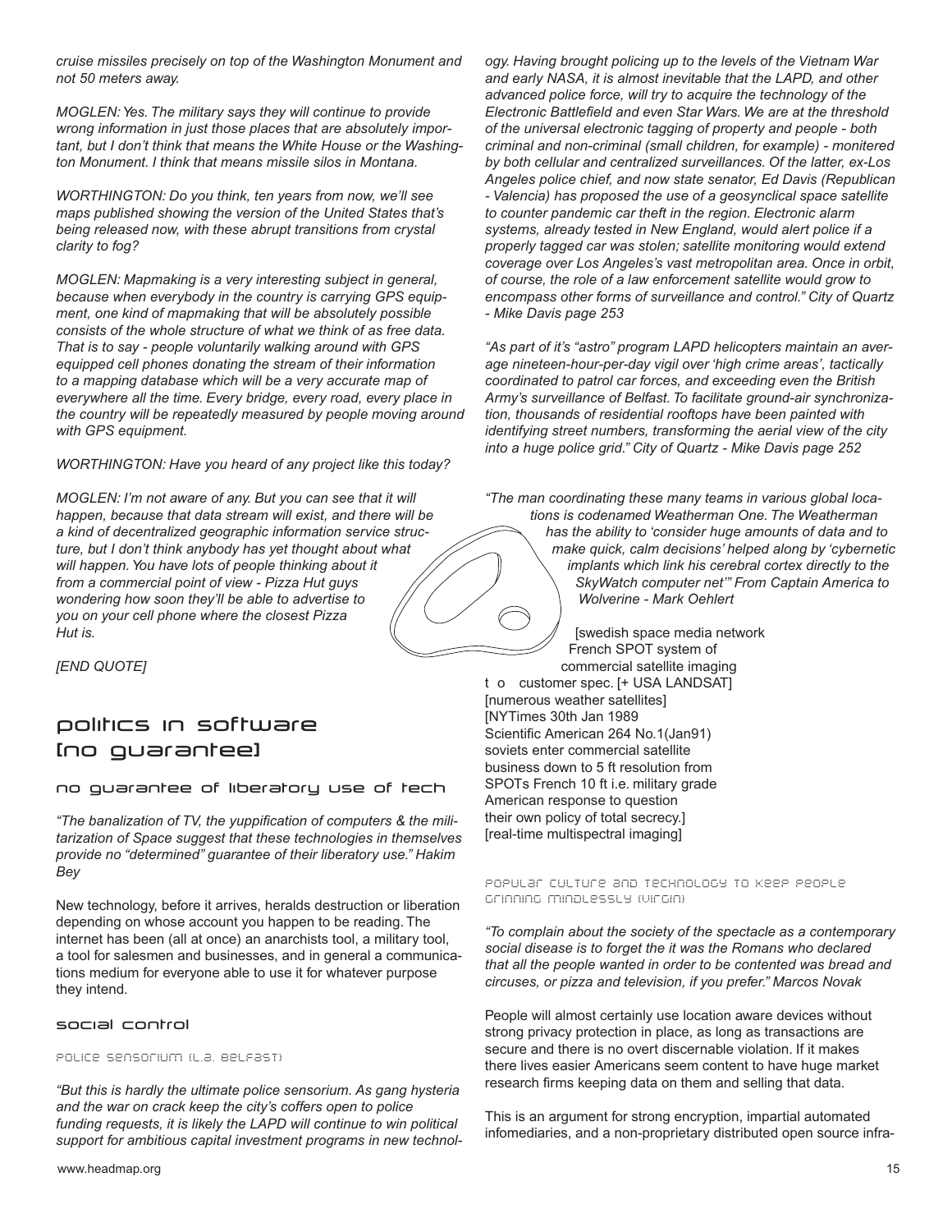*cruise missiles precisely on top of the Washington Monument and not 50 meters away.*

*MOGLEN: Yes. The military says they will continue to provide wrong information in just those places that are absolutely important, but I don't think that means the White House or the Washington Monument. I think that means missile silos in Montana.* 

*WORTHINGTON: Do you think, ten years from now, we'll see maps published showing the version of the United States that's being released now, with these abrupt transitions from crystal clarity to fog?*

*MOGLEN: Mapmaking is a very interesting subject in general, because when everybody in the country is carrying GPS equipment, one kind of mapmaking that will be absolutely possible consists of the whole structure of what we think of as free data. That is to say - people voluntarily walking around with GPS equipped cell phones donating the stream of their information to a mapping database which will be a very accurate map of everywhere all the time. Every bridge, every road, every place in the country will be repeatedly measured by people moving around with GPS equipment.* 

*WORTHINGTON: Have you heard of any project like this today?*

*MOGLEN: I'm not aware of any. But you can see that it will happen, because that data stream will exist, and there will be a kind of decentralized geographic information service structure, but I don't think anybody has yet thought about what will happen. You have lots of people thinking about it from a commercial point of view - Pizza Hut guys wondering how soon they'll be able to advertise to you on your cell phone where the closest Pizza Hut is.* 

*[END QUOTE]*

# politics in software [no guarantee]

no guarantee of liberatory use of tech

*"The banalization of TV, the yuppification of computers & the militarization of Space suggest that these technologies in themselves provide no "determined" guarantee of their liberatory use." Hakim Bey*

New technology, before it arrives, heralds destruction or liberation depending on whose account you happen to be reading. The internet has been (all at once) an anarchists tool, a military tool, a tool for salesmen and businesses, and in general a communications medium for everyone able to use it for whatever purpose they intend.

### social control

### PoLice sensorium [L.a. BeLfasT]

*"But this is hardly the ultimate police sensorium. As gang hysteria and the war on crack keep the city's coffers open to police funding requests, it is likely the LAPD will continue to win political support for ambitious capital investment programs in new technol-* *ogy. Having brought policing up to the levels of the Vietnam War and early NASA, it is almost inevitable that the LAPD, and other advanced police force, will try to acquire the technology of the Electronic Battlefield and even Star Wars. We are at the threshold of the universal electronic tagging of property and people - both criminal and non-criminal (small children, for example) - monitered by both cellular and centralized surveillances. Of the latter, ex-Los Angeles police chief, and now state senator, Ed Davis (Republican - Valencia) has proposed the use of a geosynclical space satellite to counter pandemic car theft in the region. Electronic alarm systems, already tested in New England, would alert police if a properly tagged car was stolen; satellite monitoring would extend coverage over Los Angeles's vast metropolitan area. Once in orbit, of course, the role of a law enforcement satellite would grow to encompass other forms of surveillance and control." City of Quartz - Mike Davis page 253* 

*"As part of it's "astro" program LAPD helicopters maintain an average nineteen-hour-per-day vigil over 'high crime areas', tactically coordinated to patrol car forces, and exceeding even the British Army's surveillance of Belfast. To facilitate ground-air synchronization, thousands of residential rooftops have been painted with identifying street numbers, transforming the aerial view of the city into a huge police grid." City of Quartz - Mike Davis page 252* 

*"The man coordinating these many teams in various global locations is codenamed Weatherman One. The Weatherman has the ability to 'consider huge amounts of data and to make quick, calm decisions' helped along by 'cybernetic implants which link his cerebral cortex directly to the SkyWatch computer net'" From Captain America to Wolverine - Mark Oehlert*

> [swedish space media network French SPOT system of commercial satellite imaging

t o customer spec. [+ USA LANDSAT] [numerous weather satellites] [NYTimes 30th Jan 1989 Scientific American 264 No.1(Jan91) soviets enter commercial satellite business down to 5 ft resolution from SPOTs French 10 ft i.e. military grade American response to question their own policy of total secrecy.] [real-time multispectral imaging]

#### PoPuLar cuLTure anD TecHnoLoGY To KeeP PeoPLe GrinninG minDLessLY [virGin]

*"To complain about the society of the spectacle as a contemporary social disease is to forget the it was the Romans who declared that all the people wanted in order to be contented was bread and circuses, or pizza and television, if you prefer." Marcos Novak* 

People will almost certainly use location aware devices without strong privacy protection in place, as long as transactions are secure and there is no overt discernable violation. If it makes there lives easier Americans seem content to have huge market research firms keeping data on them and selling that data.

This is an argument for strong encryption, impartial automated infomediaries, and a non-proprietary distributed open source infra-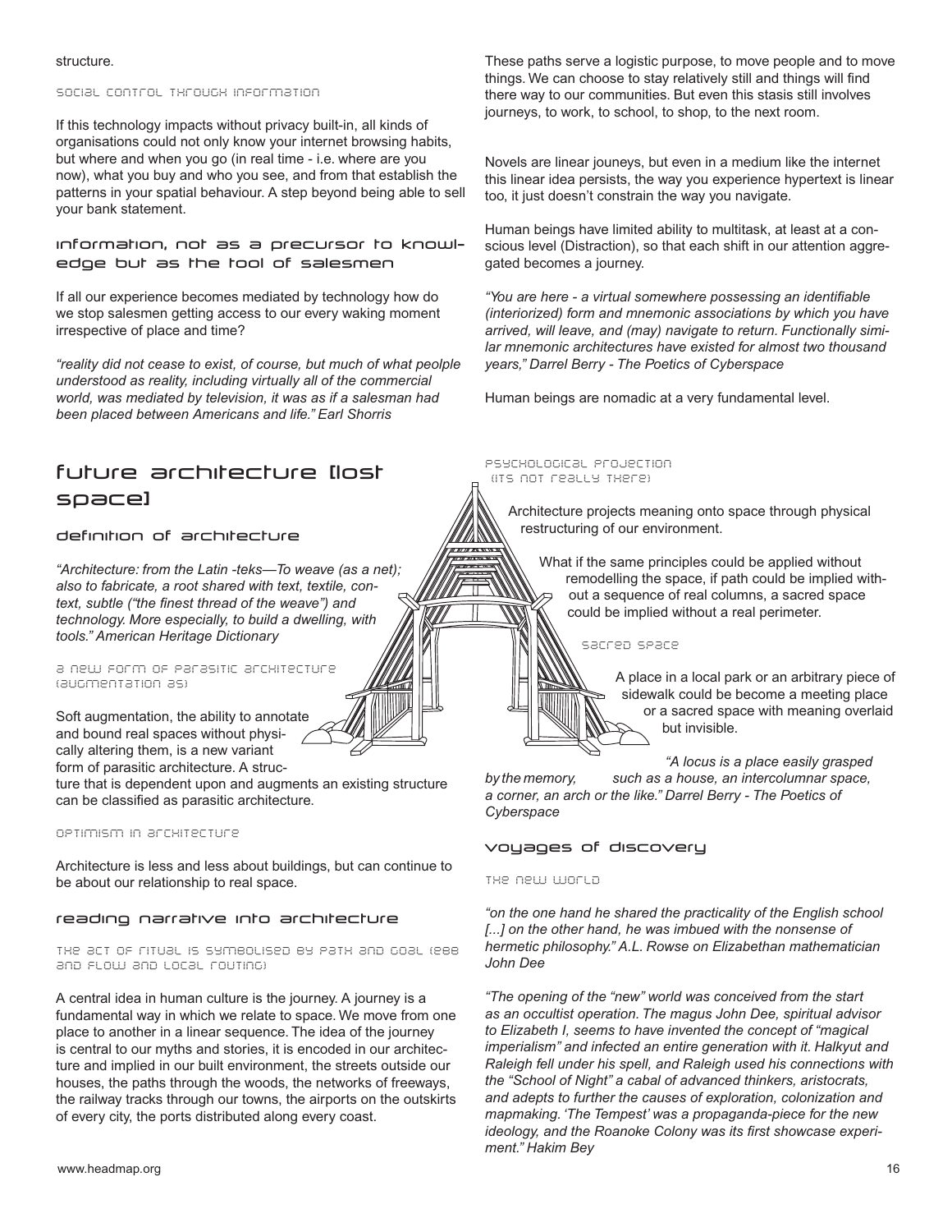#### structure.

sociaL conTroL THrouGH informaTion

If this technology impacts without privacy built-in, all kinds of organisations could not only know your internet browsing habits, but where and when you go (in real time - i.e. where are you now), what you buy and who you see, and from that establish the patterns in your spatial behaviour. A step beyond being able to sell your bank statement.

### information, not as a precursor to knowledge but as the tool of salesmen

If all our experience becomes mediated by technology how do we stop salesmen getting access to our every waking moment irrespective of place and time?

*"reality did not cease to exist, of course, but much of what peolple understood as reality, including virtually all of the commercial world, was mediated by television, it was as if a salesman had been placed between Americans and life." Earl Shorris* 

# future architecture [lost space]

### definition of architecture

*"Architecture: from the Latin -teks—To weave (as a net); also to fabricate, a root shared with text, textile, context, subtle ("the finest thread of the weave") and technology. More especially, to build a dwelling, with tools." American Heritage Dictionary* 

a new form of ParasiTic arcHiTecTure [auGmenTaTion as]

Soft augmentation, the ability to annotate and bound real spaces without physically altering them, is a new variant form of parasitic architecture. A struc-

ture that is dependent upon and augments an existing structure can be classified as parasitic architecture.

oPTimism in arcHiTecTure

Architecture is less and less about buildings, but can continue to be about our relationship to real space.

#### reading narrative into architecture

THe acT of riTuaL is sYmBoLiseD BY PaTH anD GoaL [eBB and flow and local routing)

A central idea in human culture is the journey. A journey is a fundamental way in which we relate to space. We move from one place to another in a linear sequence. The idea of the journey is central to our myths and stories, it is encoded in our architecture and implied in our built environment, the streets outside our houses, the paths through the woods, the networks of freeways, the railway tracks through our towns, the airports on the outskirts of every city, the ports distributed along every coast.

These paths serve a logistic purpose, to move people and to move things. We can choose to stay relatively still and things will find there way to our communities. But even this stasis still involves journeys, to work, to school, to shop, to the next room.

Novels are linear jouneys, but even in a medium like the internet this linear idea persists, the way you experience hypertext is linear too, it just doesn't constrain the way you navigate.

Human beings have limited ability to multitask, at least at a conscious level (Distraction), so that each shift in our attention aggregated becomes a journey.

*"You are here - a virtual somewhere possessing an identifiable (interiorized) form and mnemonic associations by which you have arrived, will leave, and (may) navigate to return. Functionally similar mnemonic architectures have existed for almost two thousand years," Darrel Berry - The Poetics of Cyberspace*

Human beings are nomadic at a very fundamental level.

PsYcHoLoGicaL ProjecTion [iTs noT reaLLY THere]

> Architecture projects meaning onto space through physical restructuring of our environment.

What if the same principles could be applied without remodelling the space, if path could be implied without a sequence of real columns, a sacred space could be implied without a real perimeter.

sacreD sPace

A place in a local park or an arbitrary piece of sidewalk could be become a meeting place or a sacred space with meaning overlaid but invisible.

*"A locus is a place easily grasped* 

*by the memory, such as a house, an intercolumnar space, a corner, an arch or the like." Darrel Berry - The Poetics of Cyberspace*

### voyages of discovery

THE NEW HILD OF

*"on the one hand he shared the practicality of the English school*  [...] on the other hand, he was imbued with the nonsense of *hermetic philosophy." A.L. Rowse on Elizabethan mathematician John Dee* 

*"The opening of the "new" world was conceived from the start as an occultist operation. The magus John Dee, spiritual advisor to Elizabeth I, seems to have invented the concept of "magical imperialism" and infected an entire generation with it. Halkyut and Raleigh fell under his spell, and Raleigh used his connections with the "School of Night" a cabal of advanced thinkers, aristocrats, and adepts to further the causes of exploration, colonization and mapmaking. 'The Tempest' was a propaganda-piece for the new ideology, and the Roanoke Colony was its first showcase experiment." Hakim Bey*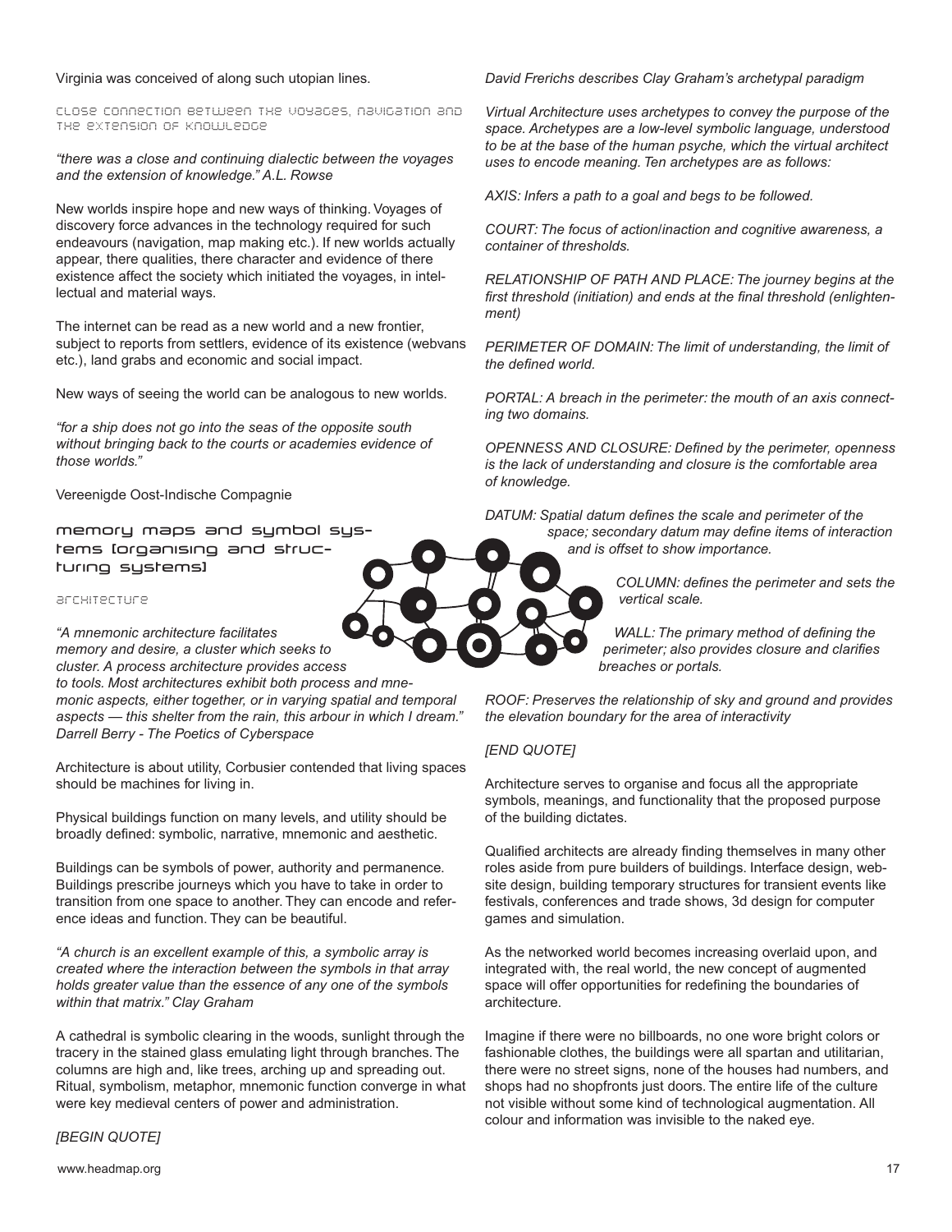#### Virginia was conceived of along such utopian lines.

cLose connecTion BeTween THe voYaGes, naviGaTion anD THE BYTENSION OF KNOWLEDGE

### *"there was a close and continuing dialectic between the voyages and the extension of knowledge." A.L. Rowse*

New worlds inspire hope and new ways of thinking. Voyages of discovery force advances in the technology required for such endeavours (navigation, map making etc.). If new worlds actually appear, there qualities, there character and evidence of there existence affect the society which initiated the voyages, in intellectual and material ways.

The internet can be read as a new world and a new frontier, subject to reports from settlers, evidence of its existence (webvans etc.), land grabs and economic and social impact.

New ways of seeing the world can be analogous to new worlds.

*"for a ship does not go into the seas of the opposite south without bringing back to the courts or academies evidence of those worlds."* 

Vereenigde Oost-Indische Compagnie

# memory maps and symbol systems [organising and structuring systems]

#### arcHiTecTure

*"A mnemonic architecture facilitates memory and desire, a cluster which seeks to cluster. A process architecture provides access* 

*to tools. Most architectures exhibit both process and mnemonic aspects, either together, or in varying spatial and temporal aspects — this shelter from the rain, this arbour in which I dream." Darrell Berry - The Poetics of Cyberspace* 

Architecture is about utility, Corbusier contended that living spaces should be machines for living in.

Physical buildings function on many levels, and utility should be broadly defined: symbolic, narrative, mnemonic and aesthetic.

Buildings can be symbols of power, authority and permanence. Buildings prescribe journeys which you have to take in order to transition from one space to another. They can encode and reference ideas and function. They can be beautiful.

*"A church is an excellent example of this, a symbolic array is created where the interaction between the symbols in that array holds greater value than the essence of any one of the symbols within that matrix." Clay Graham* 

A cathedral is symbolic clearing in the woods, sunlight through the tracery in the stained glass emulating light through branches. The columns are high and, like trees, arching up and spreading out. Ritual, symbolism, metaphor, mnemonic function converge in what were key medieval centers of power and administration.

*[BEGIN QUOTE]* 

#### *David Frerichs describes Clay Graham's archetypal paradigm*

*Virtual Architecture uses archetypes to convey the purpose of the space. Archetypes are a low-level symbolic language, understood to be at the base of the human psyche, which the virtual architect uses to encode meaning. Ten archetypes are as follows:* 

*AXIS: Infers a path to a goal and begs to be followed.* 

*COURT: The focus of action/inaction and cognitive awareness, a container of thresholds.* 

*RELATIONSHIP OF PATH AND PLACE: The journey begins at the first threshold (initiation) and ends at the final threshold (enlightenment)* 

*PERIMETER OF DOMAIN: The limit of understanding, the limit of the defined world.* 

*PORTAL: A breach in the perimeter: the mouth of an axis connecting two domains.* 

*OPENNESS AND CLOSURE: Defined by the perimeter, openness is the lack of understanding and closure is the comfortable area of knowledge.* 

*DATUM: Spatial datum defines the scale and perimeter of the space; secondary datum may define items of interaction* 

*and is offset to show importance.* 

*COLUMN: defines the perimeter and sets the vertical scale.* 

*WALL: The primary method of defining the perimeter; also provides closure and clarifies breaches or portals.* 

*ROOF: Preserves the relationship of sky and ground and provides the elevation boundary for the area of interactivity* 

# *[END QUOTE]*

Architecture serves to organise and focus all the appropriate symbols, meanings, and functionality that the proposed purpose of the building dictates.

Qualified architects are already finding themselves in many other roles aside from pure builders of buildings. Interface design, website design, building temporary structures for transient events like festivals, conferences and trade shows, 3d design for computer games and simulation.

As the networked world becomes increasing overlaid upon, and integrated with, the real world, the new concept of augmented space will offer opportunities for redefining the boundaries of architecture.

Imagine if there were no billboards, no one wore bright colors or fashionable clothes, the buildings were all spartan and utilitarian, there were no street signs, none of the houses had numbers, and shops had no shopfronts just doors. The entire life of the culture not visible without some kind of technological augmentation. All colour and information was invisible to the naked eye.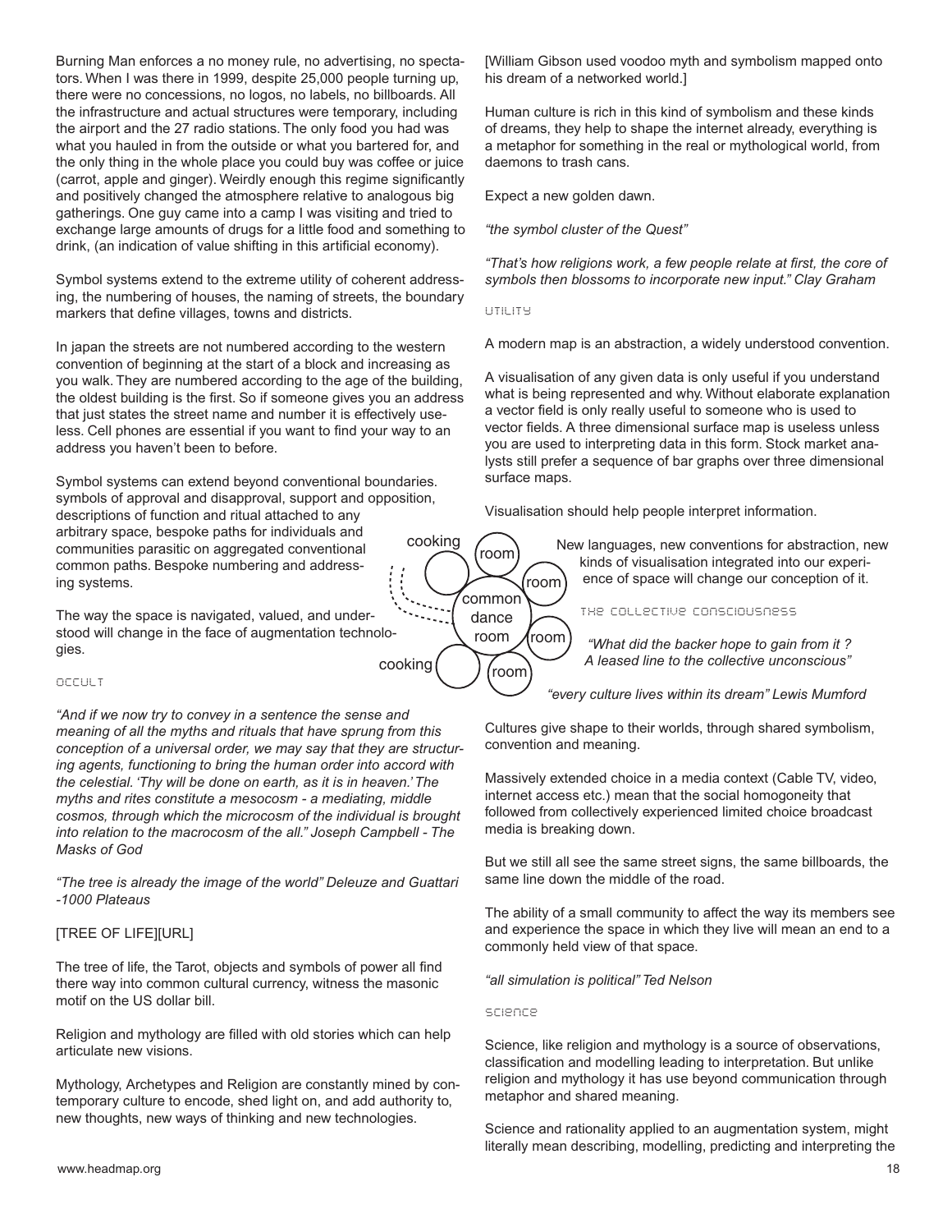Burning Man enforces a no money rule, no advertising, no spectators. When I was there in 1999, despite 25,000 people turning up, there were no concessions, no logos, no labels, no billboards. All the infrastructure and actual structures were temporary, including the airport and the 27 radio stations. The only food you had was what you hauled in from the outside or what you bartered for, and the only thing in the whole place you could buy was coffee or juice (carrot, apple and ginger). Weirdly enough this regime significantly and positively changed the atmosphere relative to analogous big gatherings. One guy came into a camp I was visiting and tried to exchange large amounts of drugs for a little food and something to drink, (an indication of value shifting in this artificial economy).

Symbol systems extend to the extreme utility of coherent addressing, the numbering of houses, the naming of streets, the boundary markers that define villages, towns and districts.

In japan the streets are not numbered according to the western convention of beginning at the start of a block and increasing as you walk. They are numbered according to the age of the building, the oldest building is the first. So if someone gives you an address that just states the street name and number it is effectively useless. Cell phones are essential if you want to find your way to an address you haven't been to before.

Symbol systems can extend beyond conventional boundaries. symbols of approval and disapproval, support and opposition, descriptions of function and ritual attached to any arbitrary space, bespoke paths for individuals and communities parasitic on aggregated conventional common paths. Bespoke numbering and addressing systems.

The way the space is navigated, valued, and understood will change in the face of augmentation technologies.

occuLT

*"And if we now try to convey in a sentence the sense and meaning of all the myths and rituals that have sprung from this conception of a universal order, we may say that they are structuring agents, functioning to bring the human order into accord with the celestial. 'Thy will be done on earth, as it is in heaven.' The myths and rites constitute a mesocosm - a mediating, middle cosmos, through which the microcosm of the individual is brought into relation to the macrocosm of the all." Joseph Campbell - The Masks of God* 

*"The tree is already the image of the world" Deleuze and Guattari -1000 Plateaus*

# [TREE OF LIFE][URL]

The tree of life, the Tarot, objects and symbols of power all find there way into common cultural currency, witness the masonic motif on the US dollar bill.

Religion and mythology are filled with old stories which can help articulate new visions.

Mythology, Archetypes and Religion are constantly mined by contemporary culture to encode, shed light on, and add authority to, new thoughts, new ways of thinking and new technologies.

[William Gibson used voodoo myth and symbolism mapped onto his dream of a networked world.]

Human culture is rich in this kind of symbolism and these kinds of dreams, they help to shape the internet already, everything is a metaphor for something in the real or mythological world, from daemons to trash cans.

Expect a new golden dawn.

*"the symbol cluster of the Quest"*

*"That's how religions work, a few people relate at first, the core of symbols then blossoms to incorporate new input." Clay Graham*

**UTILITY** 

A modern map is an abstraction, a widely understood convention.

A visualisation of any given data is only useful if you understand what is being represented and why. Without elaborate explanation a vector field is only really useful to someone who is used to vector fields. A three dimensional surface map is useless unless you are used to interpreting data in this form. Stock market analysts still prefer a sequence of bar graphs over three dimensional surface maps. room

Visualisation should help people interpret information.

New languages, new conventions for abstraction, new kinds of visualisation integrated into our experience of space will change our conception of it.

THe coLLecTive consciousness

*"What did the backer hope to gain from it ? A leased line to the collective unconscious"*

*"every culture lives within its dream" Lewis Mumford* 

Cultures give shape to their worlds, through shared symbolism, convention and meaning.

Massively extended choice in a media context (Cable TV, video, internet access etc.) mean that the social homogoneity that followed from collectively experienced limited choice broadcast media is breaking down.

But we still all see the same street signs, the same billboards, the same line down the middle of the road.

The ability of a small community to affect the way its members see and experience the space in which they live will mean an end to a commonly held view of that space.

*"all simulation is political" Ted Nelson*

science

Science, like religion and mythology is a source of observations, classification and modelling leading to interpretation. But unlike religion and mythology it has use beyond communication through metaphor and shared meaning.

Science and rationality applied to an augmentation system, might literally mean describing, modelling, predicting and interpreting the

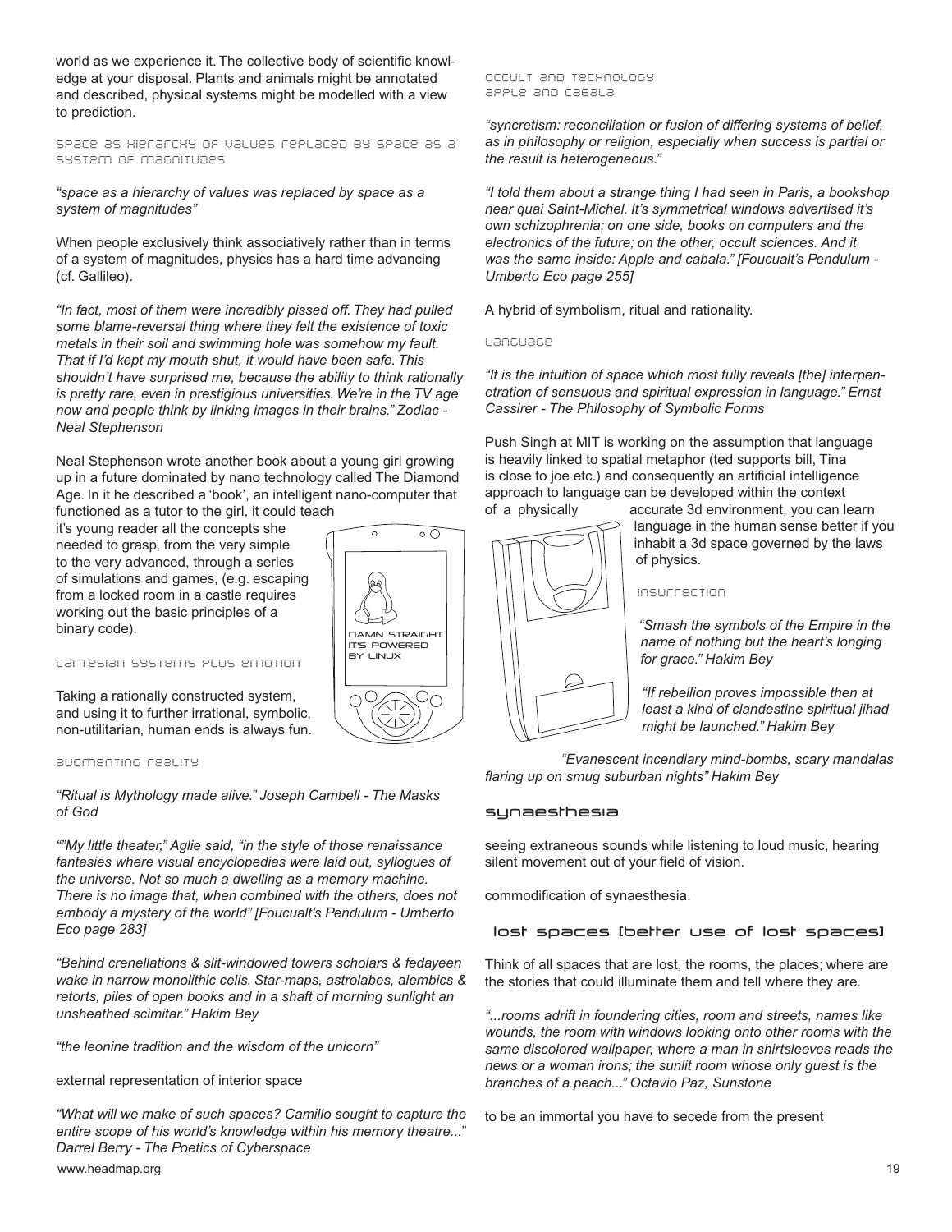world as we experience it. The collective body of scientific knowledge at your disposal. Plants and animals might be annotated and described, physical systems might be modelled with a view to prediction.

sPace as HierarcHY of vaLues rePLaceD BY sPace as a sYsTem of maGniTuDes

*"space as a hierarchy of values was replaced by space as a system of magnitudes"* 

When people exclusively think associatively rather than in terms of a system of magnitudes, physics has a hard time advancing (cf. Gallileo).

*"In fact, most of them were incredibly pissed off. They had pulled some blame-reversal thing where they felt the existence of toxic metals in their soil and swimming hole was somehow my fault. That if I'd kept my mouth shut, it would have been safe. This shouldn't have surprised me, because the ability to think rationally is pretty rare, even in prestigious universities. We're in the TV age now and people think by linking images in their brains." Zodiac - Neal Stephenson* 

Neal Stephenson wrote another book about a young girl growing up in a future dominated by nano technology called The Diamond Age. In it he described a 'book', an intelligent nano-computer that functioned as a tutor to the girl, it could teach

it's young reader all the concepts she needed to grasp, from the very simple to the very advanced, through a series of simulations and games, (e.g. escaping from a locked room in a castle requires working out the basic principles of a binary code).

carTesian sYsTems PLus emoTion

Taking a rationally constructed system, and using it to further irrational, symbolic, non-utilitarian, human ends is always fun.

augmenting reality

*"Ritual is Mythology made alive." Joseph Cambell - The Masks of God*

*""My little theater," Aglie said, "in the style of those renaissance fantasies where visual encyclopedias were laid out, syllogues of the universe. Not so much a dwelling as a memory machine. There is no image that, when combined with the others, does not embody a mystery of the world" [Foucualt's Pendulum - Umberto Eco page 283]*

*"Behind crenellations & slit-windowed towers scholars & fedayeen wake in narrow monolithic cells. Star-maps, astrolabes, alembics & retorts, piles of open books and in a shaft of morning sunlight an unsheathed scimitar." Hakim Bey*

*"the leonine tradition and the wisdom of the unicorn"*

external representation of interior space

*"What will we make of such spaces? Camillo sought to capture the entire scope of his world's knowledge within his memory theatre..." Darrel Berry - The Poetics of Cyberspace*

18 www.headmap.org 19

DAMN STRAIGHT IT'S POWERED  $BY$  LINUX

occuLT anD TecHnoLoGY aPPLe anD caBaLa

*"syncretism: reconciliation or fusion of differing systems of belief, as in philosophy or religion, especially when success is partial or the result is heterogeneous."* 

*"I told them about a strange thing I had seen in Paris, a bookshop near quai Saint-Michel. It's symmetrical windows advertised it's own schizophrenia; on one side, books on computers and the electronics of the future; on the other, occult sciences. And it was the same inside: Apple and cabala." [Foucualt's Pendulum - Umberto Eco page 255]*

A hybrid of symbolism, ritual and rationality.

LanGuaGe

*"It is the intuition of space which most fully reveals [the] interpenetration of sensuous and spiritual expression in language." Ernst Cassirer - The Philosophy of Symbolic Forms*

Push Singh at MIT is working on the assumption that language is heavily linked to spatial metaphor (ted supports bill, Tina is close to joe etc.) and consequently an artificial intelligence approach to language can be developed within the context<br>of a physically accurate 3d environment, you can le accurate 3d environment, you can learn

language in the human sense better if you inhabit a 3d space governed by the laws of physics.

insurrecTion

*"Smash the symbols of the Empire in the name of nothing but the heart's longing for grace." Hakim Bey*

*"If rebellion proves impossible then at least a kind of clandestine spiritual jihad might be launched." Hakim Bey*

*"Evanescent incendiary mind-bombs, scary mandalas flaring up on smug suburban nights" Hakim Bey*

#### synaesthesia

seeing extraneous sounds while listening to loud music, hearing silent movement out of your field of vision.

commodification of synaesthesia.

lost spaces [better use of lost spaces]

Think of all spaces that are lost, the rooms, the places; where are the stories that could illuminate them and tell where they are.

*"...rooms adrift in foundering cities, room and streets, names like wounds, the room with windows looking onto other rooms with the same discolored wallpaper, where a man in shirtsleeves reads the news or a woman irons; the sunlit room whose only guest is the branches of a peach..." Octavio Paz, Sunstone*

to be an immortal you have to secede from the present

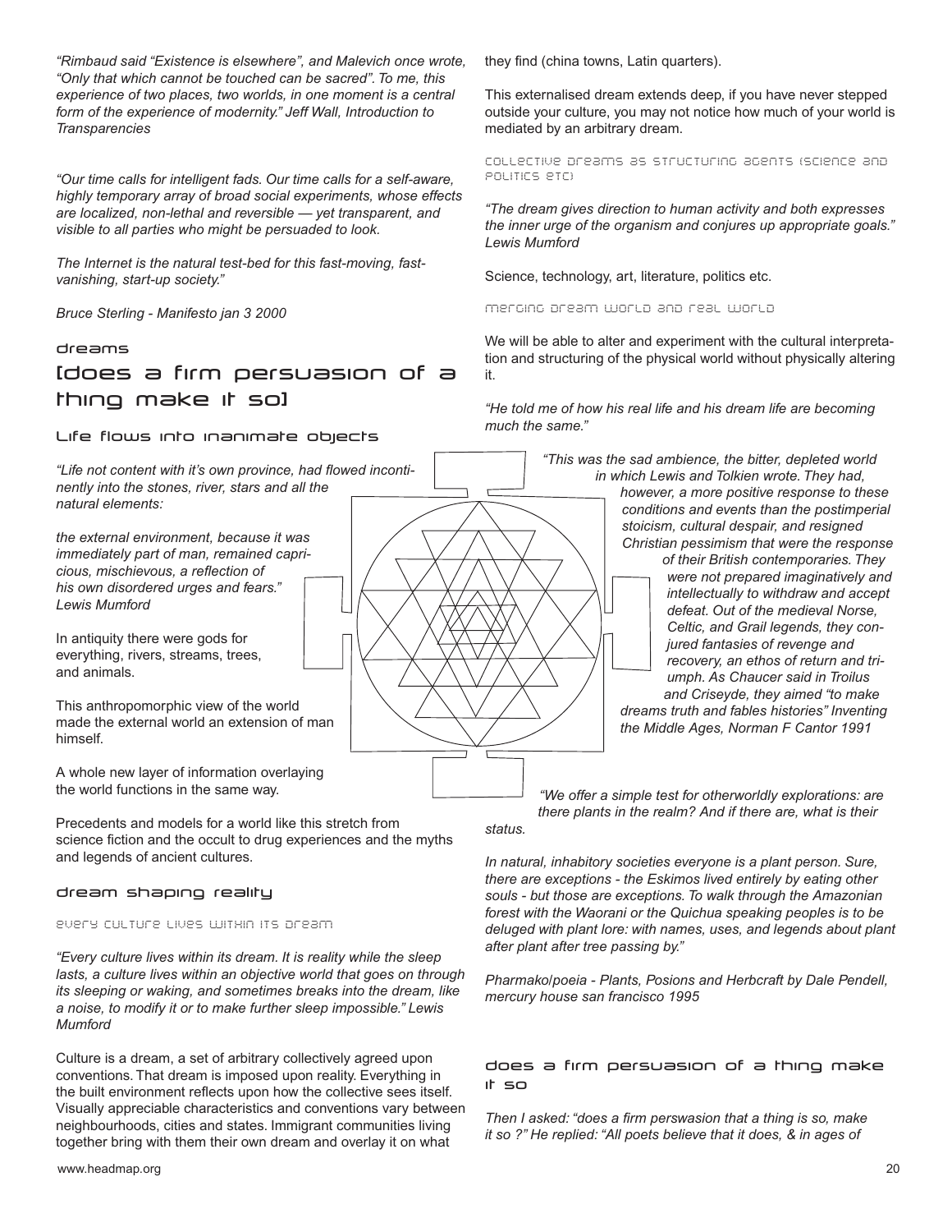*"Rimbaud said "Existence is elsewhere", and Malevich once wrote, "Only that which cannot be touched can be sacred". To me, this experience of two places, two worlds, in one moment is a central form of the experience of modernity." Jeff Wall, Introduction to Transparencies*

*"Our time calls for intelligent fads. Our time calls for a self-aware, highly temporary array of broad social experiments, whose effects are localized, non-lethal and reversible — yet transparent, and visible to all parties who might be persuaded to look.*

*The Internet is the natural test-bed for this fast-moving, fastvanishing, start-up society."*

*Bruce Sterling - Manifesto jan 3 2000*

### dreams

# [does a firm persuasion of a thing make it so]

Life flows into inanimate objects

*"Life not content with it's own province, had flowed incontinently into the stones, river, stars and all the natural elements:* 

*the external environment, because it was immediately part of man, remained capricious, mischievous, a reflection of his own disordered urges and fears." Lewis Mumford* 

In antiquity there were gods for everything, rivers, streams, trees, and animals.

This anthropomorphic view of the world made the external world an extension of man himself.

A whole new layer of information overlaying the world functions in the same way.

Precedents and models for a world like this stretch from science fiction and the occult to drug experiences and the myths and legends of ancient cultures.

### dream shaping reality

everY cuLTure Lives wiTHin iTs Dream

*"Every culture lives within its dream. It is reality while the sleep lasts, a culture lives within an objective world that goes on through its sleeping or waking, and sometimes breaks into the dream, like a noise, to modify it or to make further sleep impossible." Lewis Mumford* 

Culture is a dream, a set of arbitrary collectively agreed upon conventions. That dream is imposed upon reality. Everything in the built environment reflects upon how the collective sees itself. Visually appreciable characteristics and conventions vary between neighbourhoods, cities and states. Immigrant communities living together bring with them their own dream and overlay it on what

www.headmap.org 20

they find (china towns, Latin quarters).

This externalised dream extends deep, if you have never stepped outside your culture, you may not notice how much of your world is mediated by an arbitrary dream.

coLLecTive Dreams as sTrucTurinG aGenTs [science anD PoLiTics eTc]

*"The dream gives direction to human activity and both expresses the inner urge of the organism and conjures up appropriate goals." Lewis Mumford*

Science, technology, art, literature, politics etc.

merGinG Dream worLD anD reaL worLD

We will be able to alter and experiment with the cultural interpretation and structuring of the physical world without physically altering it.

*"He told me of how his real life and his dream life are becoming much the same."*

> *"This was the sad ambience, the bitter, depleted world in which Lewis and Tolkien wrote. They had,*

> > *however, a more positive response to these conditions and events than the postimperial stoicism, cultural despair, and resigned Christian pessimism that were the response*

> > > *of their British contemporaries. They were not prepared imaginatively and intellectually to withdraw and accept defeat. Out of the medieval Norse, Celtic, and Grail legends, they conjured fantasies of revenge and recovery, an ethos of return and triumph. As Chaucer said in Troilus and Criseyde, they aimed "to make*

*dreams truth and fables histories" Inventing the Middle Ages, Norman F Cantor 1991*

*"We offer a simple test for otherworldly explorations: are there plants in the realm? And if there are, what is their* 

*In natural, inhabitory societies everyone is a plant person. Sure, there are exceptions - the Eskimos lived entirely by eating other souls - but those are exceptions. To walk through the Amazonian forest with the Waorani or the Quichua speaking peoples is to be deluged with plant lore: with names, uses, and legends about plant after plant after tree passing by."* 

*status.* 

*Pharmako/poeia - Plants, Posions and Herbcraft by Dale Pendell, mercury house san francisco 1995*

# does a firm persuasion of a thing make it so

*Then I asked: "does a firm perswasion that a thing is so, make it so ?" He replied: "All poets believe that it does, & in ages of*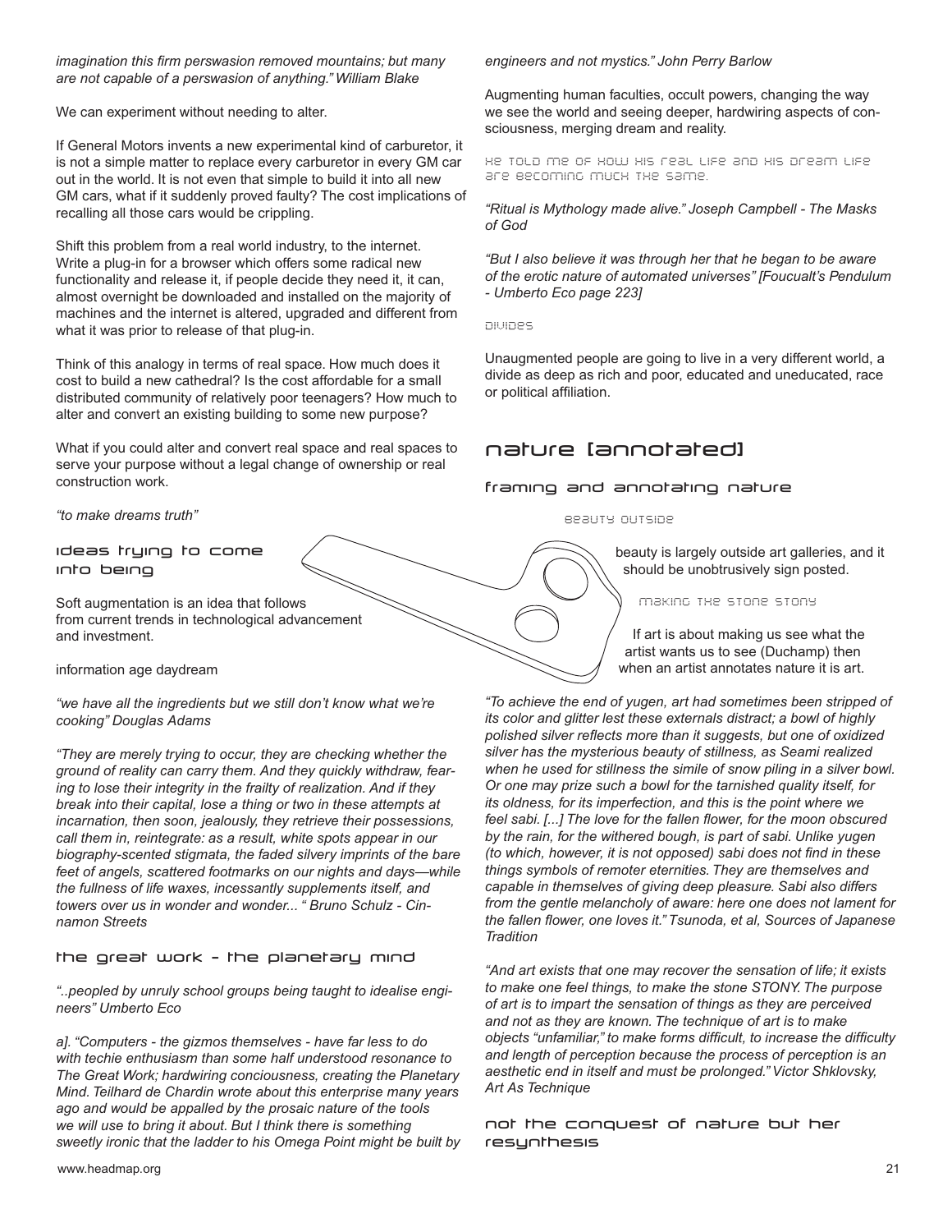*imagination this firm perswasion removed mountains; but many are not capable of a perswasion of anything." William Blake* 

We can experiment without needing to alter.

If General Motors invents a new experimental kind of carburetor, it is not a simple matter to replace every carburetor in every GM car out in the world. It is not even that simple to build it into all new GM cars, what if it suddenly proved faulty? The cost implications of recalling all those cars would be crippling.

Shift this problem from a real world industry, to the internet. Write a plug-in for a browser which offers some radical new functionality and release it, if people decide they need it, it can, almost overnight be downloaded and installed on the majority of machines and the internet is altered, upgraded and different from what it was prior to release of that plug-in.

Think of this analogy in terms of real space. How much does it cost to build a new cathedral? Is the cost affordable for a small distributed community of relatively poor teenagers? How much to alter and convert an existing building to some new purpose?

What if you could alter and convert real space and real spaces to serve your purpose without a legal change of ownership or real construction work.

*"to make dreams truth"* 

# ideas trying to come into being

Soft augmentation is an idea that follows from current trends in technological advancement and investment.

information age daydream

*"we have all the ingredients but we still don't know what we're cooking" Douglas Adams* 

*"They are merely trying to occur, they are checking whether the ground of reality can carry them. And they quickly withdraw, fearing to lose their integrity in the frailty of realization. And if they break into their capital, lose a thing or two in these attempts at incarnation, then soon, jealously, they retrieve their possessions, call them in, reintegrate: as a result, white spots appear in our biography-scented stigmata, the faded silvery imprints of the bare feet of angels, scattered footmarks on our nights and days—while the fullness of life waxes, incessantly supplements itself, and towers over us in wonder and wonder... " Bruno Schulz - Cinnamon Streets*

# the great work - the planetary mind

*"..peopled by unruly school groups being taught to idealise engineers" Umberto Eco* 

*a]. "Computers - the gizmos themselves - have far less to do with techie enthusiasm than some half understood resonance to The Great Work; hardwiring conciousness, creating the Planetary Mind. Teilhard de Chardin wrote about this enterprise many years ago and would be appalled by the prosaic nature of the tools we will use to bring it about. But I think there is something sweetly ironic that the ladder to his Omega Point might be built by*  *engineers and not mystics." John Perry Barlow*

Augmenting human faculties, occult powers, changing the way we see the world and seeing deeper, hardwiring aspects of consciousness, merging dream and reality.

He ToLD me of How His reaL Life anD His Dream Life are becoming much the same.

*"Ritual is Mythology made alive." Joseph Campbell - The Masks of God* 

*"But I also believe it was through her that he began to be aware of the erotic nature of automated universes" [Foucualt's Pendulum - Umberto Eco page 223]* 

DiviDes

Unaugmented people are going to live in a very different world, a divide as deep as rich and poor, educated and uneducated, race or political affiliation.

# nature [annotated]

# framing and annotating nature

BEAUTY OUTSIDE

beauty is largely outside art galleries, and it should be unobtrusively sign posted.

maKinG THe sTone sTonY

If art is about making us see what the artist wants us to see (Duchamp) then when an artist annotates nature it is art.

*"To achieve the end of yugen, art had sometimes been stripped of its color and glitter lest these externals distract; a bowl of highly polished silver reflects more than it suggests, but one of oxidized silver has the mysterious beauty of stillness, as Seami realized when he used for stillness the simile of snow piling in a silver bowl. Or one may prize such a bowl for the tarnished quality itself, for its oldness, for its imperfection, and this is the point where we feel sabi. [...] The love for the fallen flower, for the moon obscured by the rain, for the withered bough, is part of sabi. Unlike yugen (to which, however, it is not opposed) sabi does not find in these things symbols of remoter eternities. They are themselves and capable in themselves of giving deep pleasure. Sabi also differs from the gentle melancholy of aware: here one does not lament for the fallen flower, one loves it." Tsunoda, et al, Sources of Japanese Tradition*

*"And art exists that one may recover the sensation of life; it exists to make one feel things, to make the stone STONY. The purpose of art is to impart the sensation of things as they are perceived and not as they are known. The technique of art is to make objects "unfamiliar," to make forms difficult, to increase the difficulty and length of perception because the process of perception is an aesthetic end in itself and must be prolonged." Victor Shklovsky, Art As Technique* 

not the conquest of nature but her resynthesis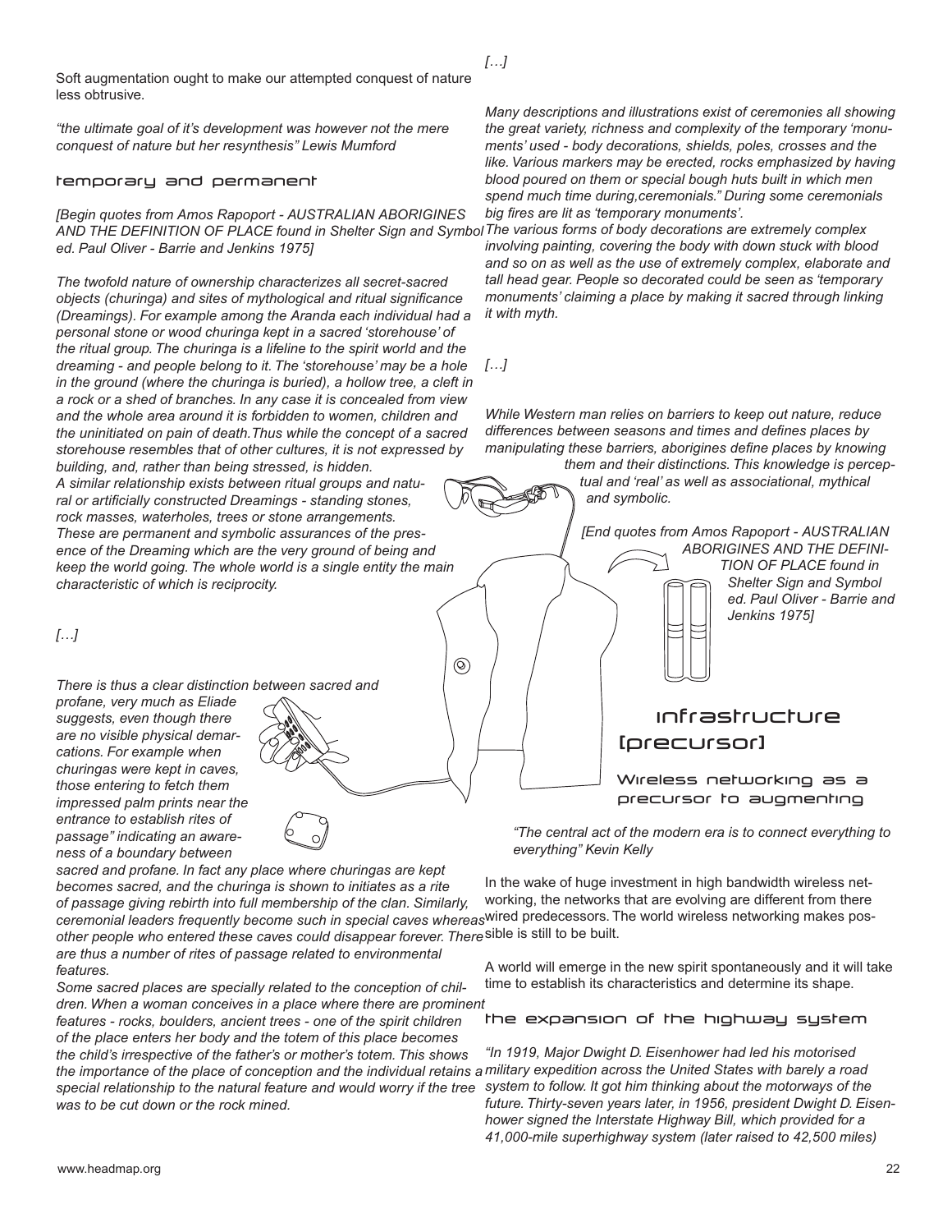Soft augmentation ought to make our attempted conquest of nature less obtrusive.

*"the ultimate goal of it's development was however not the mere conquest of nature but her resynthesis" Lewis Mumford*

### temporary and permanent

*[Begin quotes from Amos Rapoport - AUSTRALIAN ABORIGINES AND THE DEFINITION OF PLACE found in Shelter Sign and Symbol The various forms of body decorations are extremely complex ed. Paul Oliver - Barrie and Jenkins 1975]*

*The twofold nature of ownership characterizes all secret-sacred objects (churinga) and sites of mythological and ritual significance (Dreamings). For example among the Aranda each individual had a personal stone or wood churinga kept in a sacred 'storehouse' of the ritual group. The churinga is a lifeline to the spirit world and the dreaming - and people belong to it. The 'storehouse' may be a hole in the ground (where the churinga is buried), a hollow tree, a cleft in a rock or a shed of branches. In any case it is concealed from view and the whole area around it is forbidden to women, children and the uninitiated on pain of death.Thus while the concept of a sacred storehouse resembles that of other cultures, it is not expressed by building, and, rather than being stressed, is hidden. A similar relationship exists between ritual groups and natural or artificially constructed Dreamings - standing stones,* 

*rock masses, waterholes, trees or stone arrangements. These are permanent and symbolic assurances of the presence of the Dreaming which are the very ground of being and keep the world going. The whole world is a single entity the main characteristic of which is reciprocity.*

*[…]*

*There is thus a clear distinction between sacred and* 

*profane, very much as Eliade suggests, even though there are no visible physical demarcations. For example when churingas were kept in caves, those entering to fetch them impressed palm prints near the entrance to establish rites of passage" indicating an awareness of a boundary between* 



*sacred and profane. In fact any place where churingas are kept becomes sacred, and the churinga is shown to initiates as a rite of passage giving rebirth into full membership of the clan. Similarly,*  ceremonial leaders frequently become such in special caves whereas<sup>wired</sup> predecessors. The world wireless networking makes posother people who entered these caves could disappear forever. There<sup>sible</sup> is still to be built. *are thus a number of rites of passage related to environmental* 

*features.*

*Some sacred places are specially related to the conception of children. When a woman conceives in a place where there are prominent features - rocks, boulders, ancient trees - one of the spirit children of the place enters her body and the totem of this place becomes the child's irrespective of the father's or mother's totem. This shows*  the importance of the place of conception and the individual retains a*military expedition across the United States with barely a road special relationship to the natural feature and would worry if the tree system to follow. It got him thinking about the motorways of the was to be cut down or the rock mined.*

*Many descriptions and illustrations exist of ceremonies all showing the great variety, richness and complexity of the temporary 'monuments' used - body decorations, shields, poles, crosses and the like. Various markers may be erected, rocks emphasized by having blood poured on them or special bough huts built in which men spend much time during,ceremonials." During some ceremonials big fires are lit as 'temporary monuments'.*

*involving painting, covering the body with down stuck with blood and so on as well as the use of extremely complex, elaborate and tall head gear. People so decorated could be seen as 'temporary monuments' claiming a place by making it sacred through linking it with myth.*

*[…]*

*While Western man relies on barriers to keep out nature, reduce differences between seasons and times and defines places by manipulating these barriers, aborigines define places by knowing* 



 $\circledcirc$ 

*them and their distinctions. This knowledge is perceptual and 'real' as well as associational, mythical and symbolic.*

*[End quotes from Amos Rapoport - AUSTRALIAN ABORIGINES AND THE DEFINI-TION OF PLACE found in Shelter Sign and Symbol ed. Paul Oliver - Barrie and Jenkins 1975]*

# infrastructure [precursor]

Wireless networking as a precursor to augmenting

*"The central act of the modern era is to connect everything to everything" Kevin Kelly* 

In the wake of huge investment in high bandwidth wireless networking, the networks that are evolving are different from there

A world will emerge in the new spirit spontaneously and it will take time to establish its characteristics and determine its shape.

#### the expansion of the highway system

*"In 1919, Major Dwight D. Eisenhower had led his motorised future. Thirty-seven years later, in 1956, president Dwight D. Eisenhower signed the Interstate Highway Bill, which provided for a 41,000-mile superhighway system (later raised to 42,500 miles)* 

*[…]*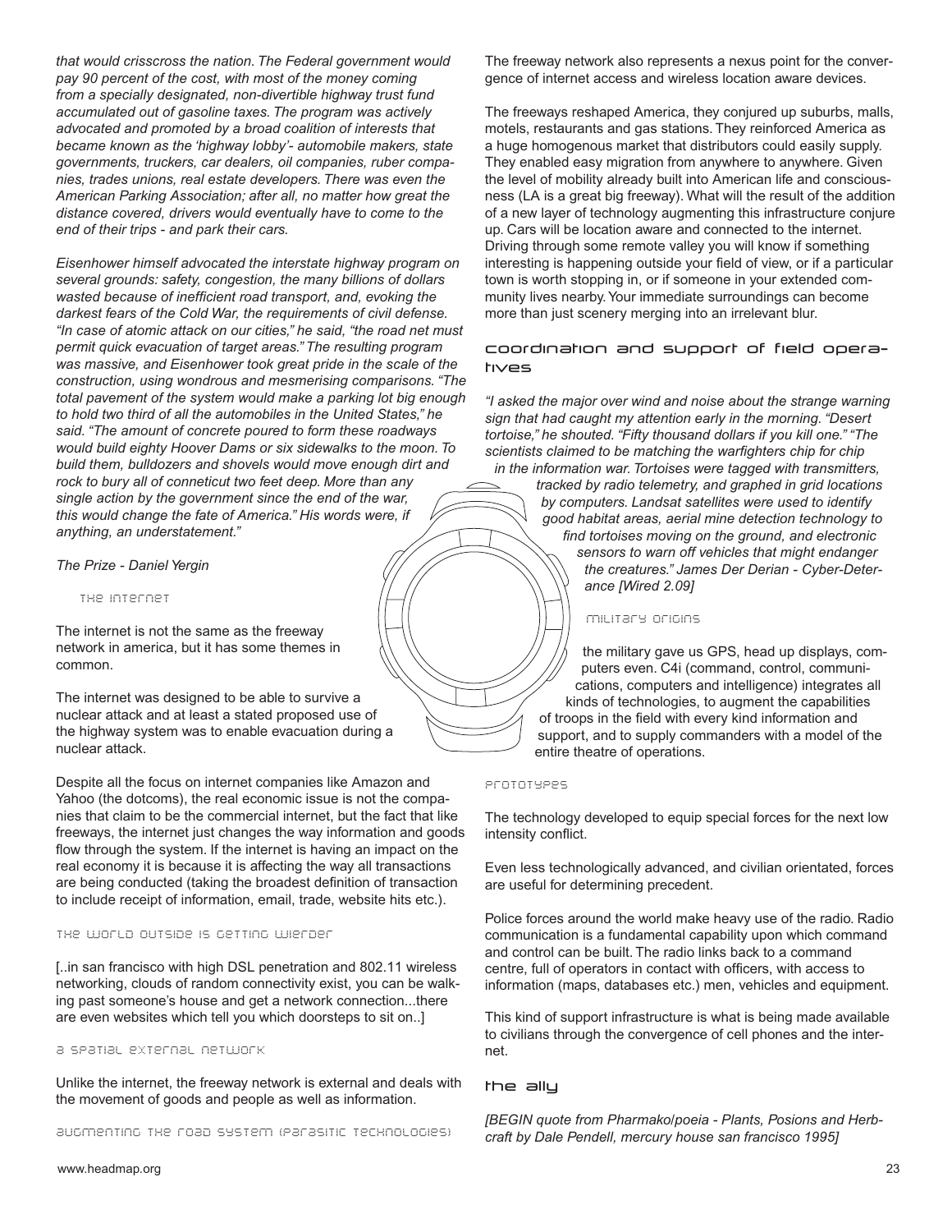*that would crisscross the nation. The Federal government would pay 90 percent of the cost, with most of the money coming from a specially designated, non-divertible highway trust fund accumulated out of gasoline taxes. The program was actively advocated and promoted by a broad coalition of interests that became known as the 'highway lobby'- automobile makers, state governments, truckers, car dealers, oil companies, ruber companies, trades unions, real estate developers. There was even the American Parking Association; after all, no matter how great the distance covered, drivers would eventually have to come to the end of their trips - and park their cars.* 

*Eisenhower himself advocated the interstate highway program on several grounds: safety, congestion, the many billions of dollars wasted because of inefficient road transport, and, evoking the darkest fears of the Cold War, the requirements of civil defense. "In case of atomic attack on our cities," he said, "the road net must permit quick evacuation of target areas." The resulting program was massive, and Eisenhower took great pride in the scale of the construction, using wondrous and mesmerising comparisons. "The total pavement of the system would make a parking lot big enough to hold two third of all the automobiles in the United States," he said. "The amount of concrete poured to form these roadways would build eighty Hoover Dams or six sidewalks to the moon. To build them, bulldozers and shovels would move enough dirt and rock to bury all of conneticut two feet deep. More than any single action by the government since the end of the war, this would change the fate of America." His words were, if anything, an understatement."* 

*The Prize - Daniel Yergin* 

THe inTerneT

The internet is not the same as the freeway network in america, but it has some themes in common.

The internet was designed to be able to survive a nuclear attack and at least a stated proposed use of the highway system was to enable evacuation during a nuclear attack.

Despite all the focus on internet companies like Amazon and Yahoo (the dotcoms), the real economic issue is not the companies that claim to be the commercial internet, but the fact that like freeways, the internet just changes the way information and goods flow through the system. If the internet is having an impact on the real economy it is because it is affecting the way all transactions are being conducted (taking the broadest definition of transaction to include receipt of information, email, trade, website hits etc.).

### THe worLD ouTsiDe is GeTTinG wierDer

[..in san francisco with high DSL penetration and 802.11 wireless networking, clouds of random connectivity exist, you can be walking past someone's house and get a network connection...there are even websites which tell you which doorsteps to sit on..]

a sPaTiaL exTernaL neTworK

Unlike the internet, the freeway network is external and deals with the movement of goods and people as well as information.

auGmenTinG THe roaD sYsTem [ParasiTic TecHnoLoGies]

The freeway network also represents a nexus point for the convergence of internet access and wireless location aware devices.

The freeways reshaped America, they conjured up suburbs, malls, motels, restaurants and gas stations. They reinforced America as a huge homogenous market that distributors could easily supply. They enabled easy migration from anywhere to anywhere. Given the level of mobility already built into American life and consciousness (LA is a great big freeway). What will the result of the addition of a new layer of technology augmenting this infrastructure conjure up. Cars will be location aware and connected to the internet. Driving through some remote valley you will know if something interesting is happening outside your field of view, or if a particular town is worth stopping in, or if someone in your extended community lives nearby. Your immediate surroundings can become more than just scenery merging into an irrelevant blur.

### coordination and support of field operatives

*"I asked the major over wind and noise about the strange warning sign that had caught my attention early in the morning. "Desert tortoise," he shouted. "Fifty thousand dollars if you kill one." "The scientists claimed to be matching the warfighters chip for chip in the information war. Tortoises were tagged with transmitters,* 

*tracked by radio telemetry, and graphed in grid locations by computers. Landsat satellites were used to identify good habitat areas, aerial mine detection technology to find tortoises moving on the ground, and electronic* 

*sensors to warn off vehicles that might endanger the creatures." James Der Derian - Cyber-Deterance [Wired 2.09]* 

#### miLiTarY oriGins

the military gave us GPS, head up displays, computers even. C4i (command, control, communications, computers and intelligence) integrates all kinds of technologies, to augment the capabilities of troops in the field with every kind information and support, and to supply commanders with a model of the entire theatre of operations.

#### ProToTYPes

The technology developed to equip special forces for the next low intensity conflict.

Even less technologically advanced, and civilian orientated, forces are useful for determining precedent.

Police forces around the world make heavy use of the radio. Radio communication is a fundamental capability upon which command and control can be built. The radio links back to a command centre, full of operators in contact with officers, with access to information (maps, databases etc.) men, vehicles and equipment.

This kind of support infrastructure is what is being made available to civilians through the convergence of cell phones and the internet.

#### the ally

*[BEGIN quote from Pharmako/poeia - Plants, Posions and Herbcraft by Dale Pendell, mercury house san francisco 1995]*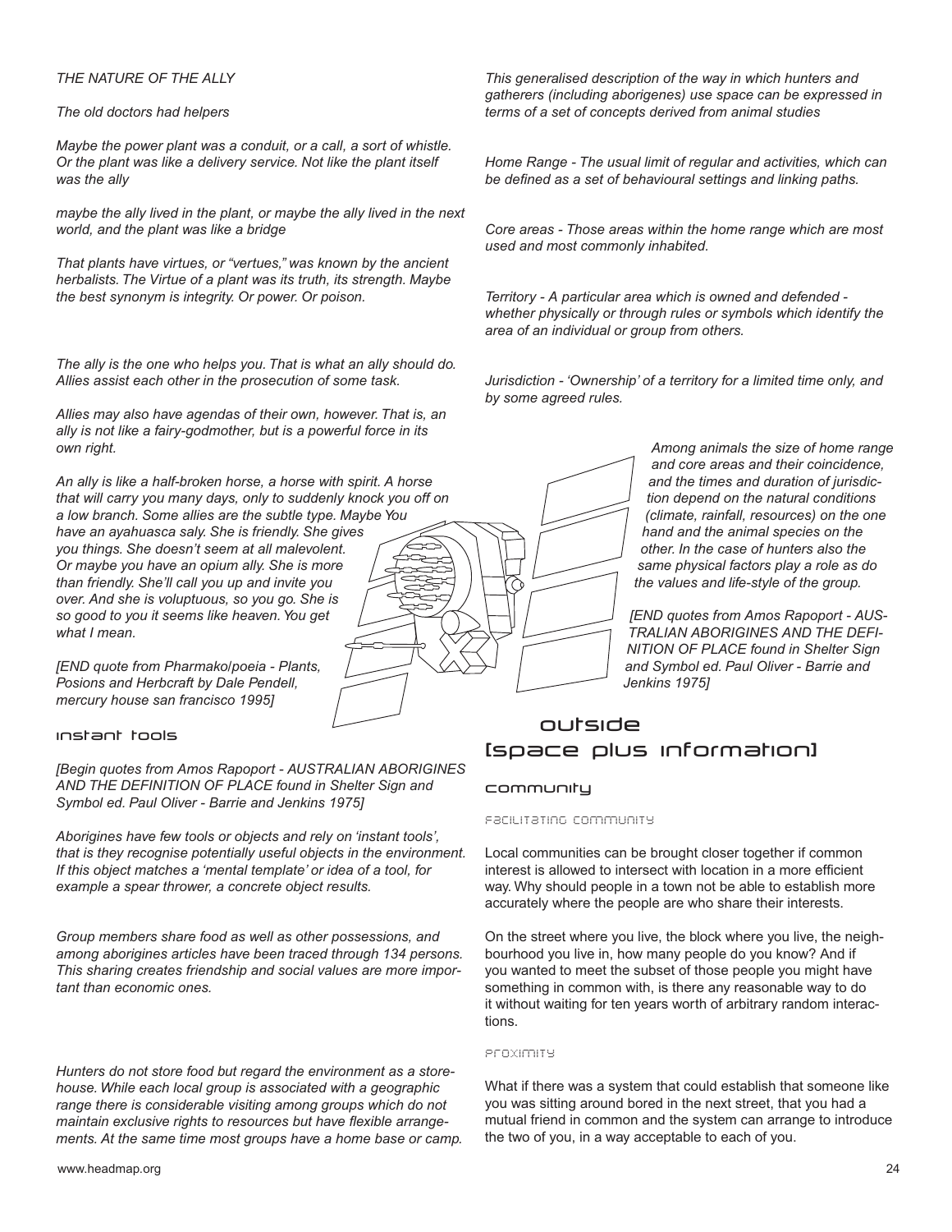### *THE NATURE OF THE ALLY*

*The old doctors had helpers*

*Maybe the power plant was a conduit, or a call, a sort of whistle. Or the plant was like a delivery service. Not like the plant itself was the ally*

*maybe the ally lived in the plant, or maybe the ally lived in the next world, and the plant was like a bridge* 

*That plants have virtues, or "vertues," was known by the ancient herbalists. The Virtue of a plant was its truth, its strength. Maybe the best synonym is integrity. Or power. Or poison.*

*The ally is the one who helps you. That is what an ally should do. Allies assist each other in the prosecution of some task.*

*Allies may also have agendas of their own, however. That is, an ally is not like a fairy-godmother, but is a powerful force in its own right.*

*An ally is like a half-broken horse, a horse with spirit. A horse that will carry you many days, only to suddenly knock you off on a low branch. Some allies are the subtle type. Maybe You have an ayahuasca saly. She is friendly. She gives you things. She doesn't seem at all malevolent. Or maybe you have an opium ally. She is more than friendly. She'll call you up and invite you over. And she is voluptuous, so you go. She is so good to you it seems like heaven. You get what I mean.*

*[END quote from Pharmako/poeia - Plants, Posions and Herbcraft by Dale Pendell, mercury house san francisco 1995]*

#### instant tools

*[Begin quotes from Amos Rapoport - AUSTRALIAN ABORIGINES AND THE DEFINITION OF PLACE found in Shelter Sign and Symbol ed. Paul Oliver - Barrie and Jenkins 1975]*

*Aborigines have few tools or objects and rely on 'instant tools', that is they recognise potentially useful objects in the environment. If this object matches a 'mental template' or idea of a tool, for example a spear thrower, a concrete object results.*

*Group members share food as well as other possessions, and among aborigines articles have been traced through 134 persons. This sharing creates friendship and social values are more important than economic ones.*

*Hunters do not store food but regard the environment as a storehouse. While each local group is associated with a geographic range there is considerable visiting among groups which do not maintain exclusive rights to resources but have flexible arrangements. At the same time most groups have a home base or camp.* 

www.headmap.org 24

*This generalised description of the way in which hunters and gatherers (including aborigenes) use space can be expressed in terms of a set of concepts derived from animal studies*

*Home Range - The usual limit of regular and activities, which can be defined as a set of behavioural settings and linking paths.*

*Core areas - Those areas within the home range which are most used and most commonly inhabited.*

*Territory - A particular area which is owned and defended whether physically or through rules or symbols which identify the area of an individual or group from others.*

*Jurisdiction - 'Ownership' of a territory for a limited time only, and by some agreed rules.*

> *Among animals the size of home range and core areas and their coincidence, and the times and duration of jurisdiction depend on the natural conditions (climate, rainfall, resources) on the one hand and the animal species on the other. In the case of hunters also the same physical factors play a role as do the values and life-style of the group.*

*[END quotes from Amos Rapoport - AUS-TRALIAN ABORIGINES AND THE DEFI-NITION OF PLACE found in Shelter Sign and Symbol ed. Paul Oliver - Barrie and Jenkins 1975]*

# outside [space plus information]

#### community

#### faciLiTaTinG communiTY

Local communities can be brought closer together if common interest is allowed to intersect with location in a more efficient way. Why should people in a town not be able to establish more accurately where the people are who share their interests.

On the street where you live, the block where you live, the neighbourhood you live in, how many people do you know? And if you wanted to meet the subset of those people you might have something in common with, is there any reasonable way to do it without waiting for ten years worth of arbitrary random interactions.

#### ProximiTY

What if there was a system that could establish that someone like you was sitting around bored in the next street, that you had a mutual friend in common and the system can arrange to introduce the two of you, in a way acceptable to each of you.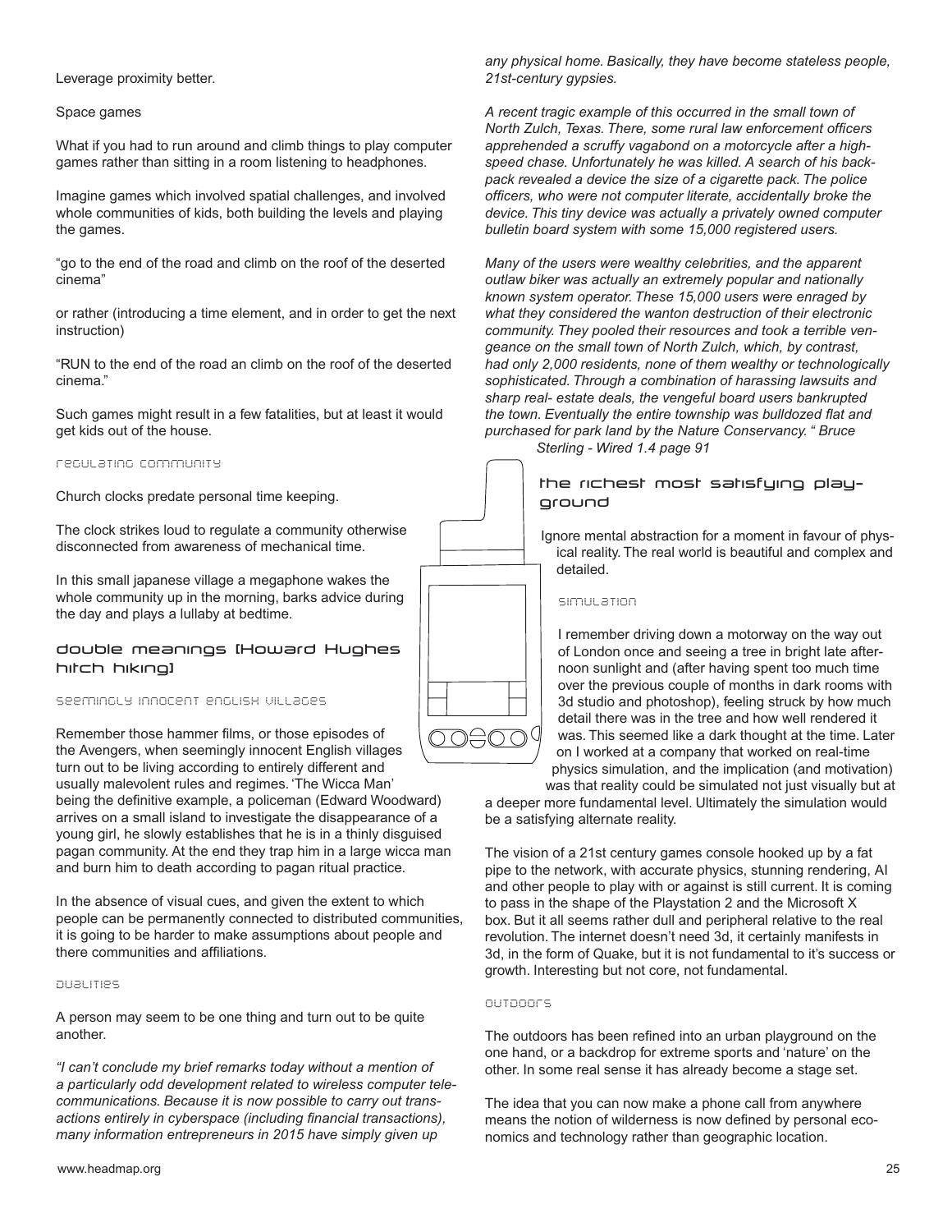Leverage proximity better.

### Space games

What if you had to run around and climb things to play computer games rather than sitting in a room listening to headphones.

Imagine games which involved spatial challenges, and involved whole communities of kids, both building the levels and playing the games.

"go to the end of the road and climb on the roof of the deserted cinema"

or rather (introducing a time element, and in order to get the next instruction)

"RUN to the end of the road an climb on the roof of the deserted cinema."

Such games might result in a few fatalities, but at least it would get kids out of the house.

#### reGuLaTinG communiTY

Church clocks predate personal time keeping.

The clock strikes loud to regulate a community otherwise disconnected from awareness of mechanical time.

In this small japanese village a megaphone wakes the whole community up in the morning, barks advice during the day and plays a lullaby at bedtime.

# double meanings [Howard Hughes hitch hiking]

seeminGLY innocenT enGLisH viLLaGes

Remember those hammer films, or those episodes of the Avengers, when seemingly innocent English villages turn out to be living according to entirely different and usually malevolent rules and regimes. 'The Wicca Man' being the definitive example, a policeman (Edward Woodward) arrives on a small island to investigate the disappearance of a young girl, he slowly establishes that he is in a thinly disguised pagan community. At the end they trap him in a large wicca man and burn him to death according to pagan ritual practice.

In the absence of visual cues, and given the extent to which people can be permanently connected to distributed communities, it is going to be harder to make assumptions about people and there communities and affiliations.

#### DuaLiTies

A person may seem to be one thing and turn out to be quite another.

*"I can't conclude my brief remarks today without a mention of a particularly odd development related to wireless computer telecommunications. Because it is now possible to carry out transactions entirely in cyberspace (including financial transactions), many information entrepreneurs in 2015 have simply given up* 

*any physical home. Basically, they have become stateless people, 21st-century gypsies.* 

*A recent tragic example of this occurred in the small town of North Zulch, Texas. There, some rural law enforcement officers apprehended a scruffy vagabond on a motorcycle after a highspeed chase. Unfortunately he was killed. A search of his backpack revealed a device the size of a cigarette pack. The police officers, who were not computer literate, accidentally broke the device. This tiny device was actually a privately owned computer bulletin board system with some 15,000 registered users.* 

*Many of the users were wealthy celebrities, and the apparent outlaw biker was actually an extremely popular and nationally known system operator. These 15,000 users were enraged by what they considered the wanton destruction of their electronic community. They pooled their resources and took a terrible vengeance on the small town of North Zulch, which, by contrast, had only 2,000 residents, none of them wealthy or technologically sophisticated. Through a combination of harassing lawsuits and sharp real- estate deals, the vengeful board users bankrupted the town. Eventually the entire township was bulldozed flat and purchased for park land by the Nature Conservancy. " Bruce* 

*Sterling - Wired 1.4 page 91*

# the richest most satisfying playground

Ignore mental abstraction for a moment in favour of physical reality. The real world is beautiful and complex and detailed.

### simuLaTion

I remember driving down a motorway on the way out of London once and seeing a tree in bright late afternoon sunlight and (after having spent too much time over the previous couple of months in dark rooms with 3d studio and photoshop), feeling struck by how much detail there was in the tree and how well rendered it was. This seemed like a dark thought at the time. Later on I worked at a company that worked on real-time physics simulation, and the implication (and motivation) was that reality could be simulated not just visually but at

a deeper more fundamental level. Ultimately the simulation would be a satisfying alternate reality.

The vision of a 21st century games console hooked up by a fat pipe to the network, with accurate physics, stunning rendering, AI and other people to play with or against is still current. It is coming to pass in the shape of the Playstation 2 and the Microsoft X box. But it all seems rather dull and peripheral relative to the real revolution. The internet doesn't need 3d, it certainly manifests in 3d, in the form of Quake, but it is not fundamental to it's success or growth. Interesting but not core, not fundamental.

### ouTDoors

The outdoors has been refined into an urban playground on the one hand, or a backdrop for extreme sports and 'nature' on the other. In some real sense it has already become a stage set.

The idea that you can now make a phone call from anywhere means the notion of wilderness is now defined by personal economics and technology rather than geographic location.

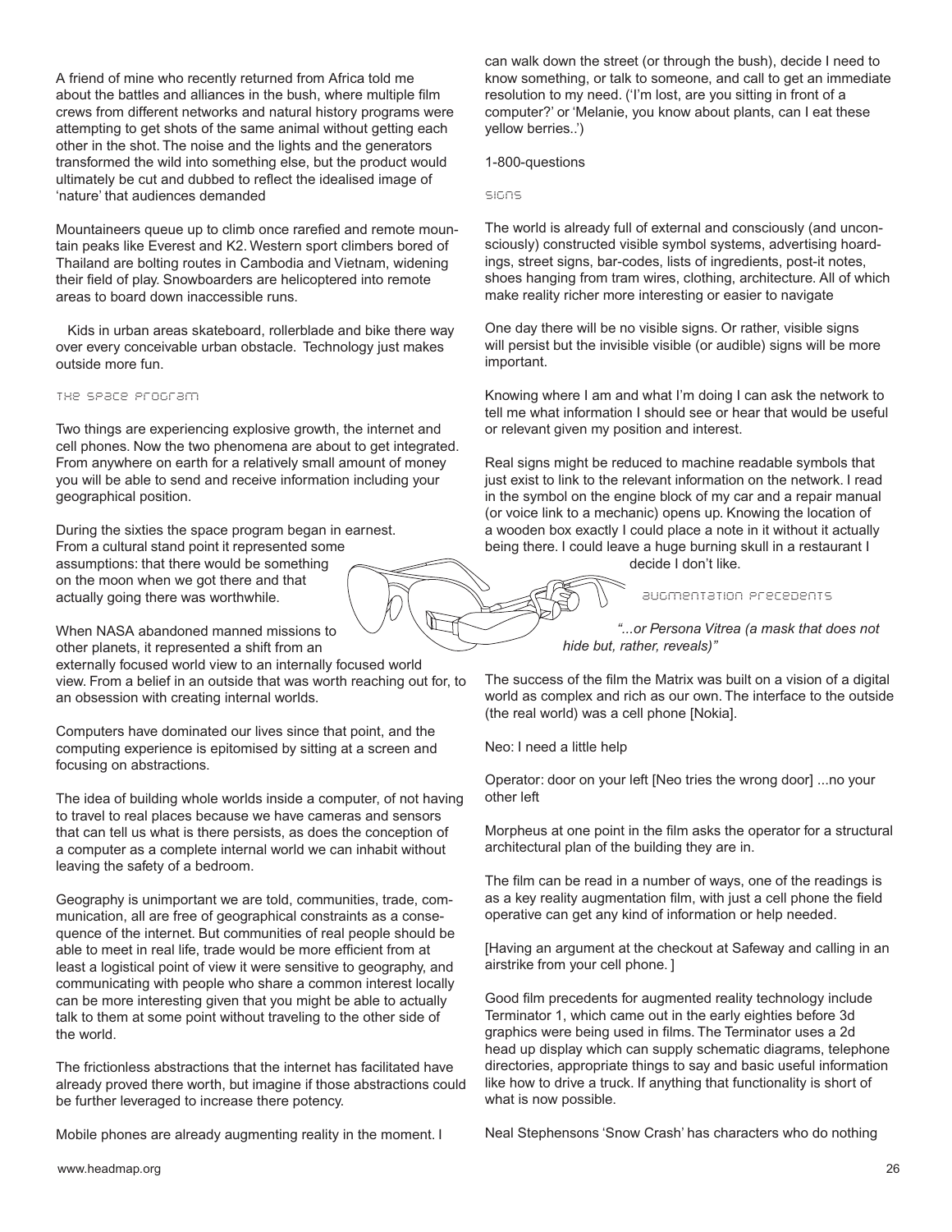A friend of mine who recently returned from Africa told me about the battles and alliances in the bush, where multiple film crews from different networks and natural history programs were attempting to get shots of the same animal without getting each other in the shot. The noise and the lights and the generators transformed the wild into something else, but the product would ultimately be cut and dubbed to reflect the idealised image of 'nature' that audiences demanded

Mountaineers queue up to climb once rarefied and remote mountain peaks like Everest and K2. Western sport climbers bored of Thailand are bolting routes in Cambodia and Vietnam, widening their field of play. Snowboarders are helicoptered into remote areas to board down inaccessible runs.

 Kids in urban areas skateboard, rollerblade and bike there way over every conceivable urban obstacle. Technology just makes outside more fun.

### THe sPace ProGram

Two things are experiencing explosive growth, the internet and cell phones. Now the two phenomena are about to get integrated. From anywhere on earth for a relatively small amount of money you will be able to send and receive information including your geographical position.

During the sixties the space program began in earnest. From a cultural stand point it represented some assumptions: that there would be something on the moon when we got there and that actually going there was worthwhile.

When NASA abandoned manned missions to other planets, it represented a shift from an

externally focused world view to an internally focused world view. From a belief in an outside that was worth reaching out for, to an obsession with creating internal worlds.

Computers have dominated our lives since that point, and the computing experience is epitomised by sitting at a screen and focusing on abstractions.

The idea of building whole worlds inside a computer, of not having to travel to real places because we have cameras and sensors that can tell us what is there persists, as does the conception of a computer as a complete internal world we can inhabit without leaving the safety of a bedroom.

Geography is unimportant we are told, communities, trade, communication, all are free of geographical constraints as a consequence of the internet. But communities of real people should be able to meet in real life, trade would be more efficient from at least a logistical point of view it were sensitive to geography, and communicating with people who share a common interest locally can be more interesting given that you might be able to actually talk to them at some point without traveling to the other side of the world.

The frictionless abstractions that the internet has facilitated have already proved there worth, but imagine if those abstractions could be further leveraged to increase there potency.

Mobile phones are already augmenting reality in the moment. I

can walk down the street (or through the bush), decide I need to know something, or talk to someone, and call to get an immediate resolution to my need. ('I'm lost, are you sitting in front of a computer?' or 'Melanie, you know about plants, can I eat these yellow berries..')

1-800-questions

siGns

The world is already full of external and consciously (and unconsciously) constructed visible symbol systems, advertising hoardings, street signs, bar-codes, lists of ingredients, post-it notes, shoes hanging from tram wires, clothing, architecture. All of which make reality richer more interesting or easier to navigate

One day there will be no visible signs. Or rather, visible signs will persist but the invisible visible (or audible) signs will be more important.

Knowing where I am and what I'm doing I can ask the network to tell me what information I should see or hear that would be useful or relevant given my position and interest.

Real signs might be reduced to machine readable symbols that just exist to link to the relevant information on the network. I read in the symbol on the engine block of my car and a repair manual (or voice link to a mechanic) opens up. Knowing the location of a wooden box exactly I could place a note in it without it actually being there. I could leave a huge burning skull in a restaurant I decide I don't like.

auGmenTaTion PreceDenTs

*"...or Persona Vitrea (a mask that does not hide but, rather, reveals)"*

The success of the film the Matrix was built on a vision of a digital world as complex and rich as our own. The interface to the outside (the real world) was a cell phone [Nokia].

Neo: I need a little help

Operator: door on your left [Neo tries the wrong door] ...no your other left

Morpheus at one point in the film asks the operator for a structural architectural plan of the building they are in.

The film can be read in a number of ways, one of the readings is as a key reality augmentation film, with just a cell phone the field operative can get any kind of information or help needed.

[Having an argument at the checkout at Safeway and calling in an airstrike from your cell phone. ]

Good film precedents for augmented reality technology include Terminator 1, which came out in the early eighties before 3d graphics were being used in films. The Terminator uses a 2d head up display which can supply schematic diagrams, telephone directories, appropriate things to say and basic useful information like how to drive a truck. If anything that functionality is short of what is now possible.

Neal Stephensons 'Snow Crash' has characters who do nothing

www.headmap.org 26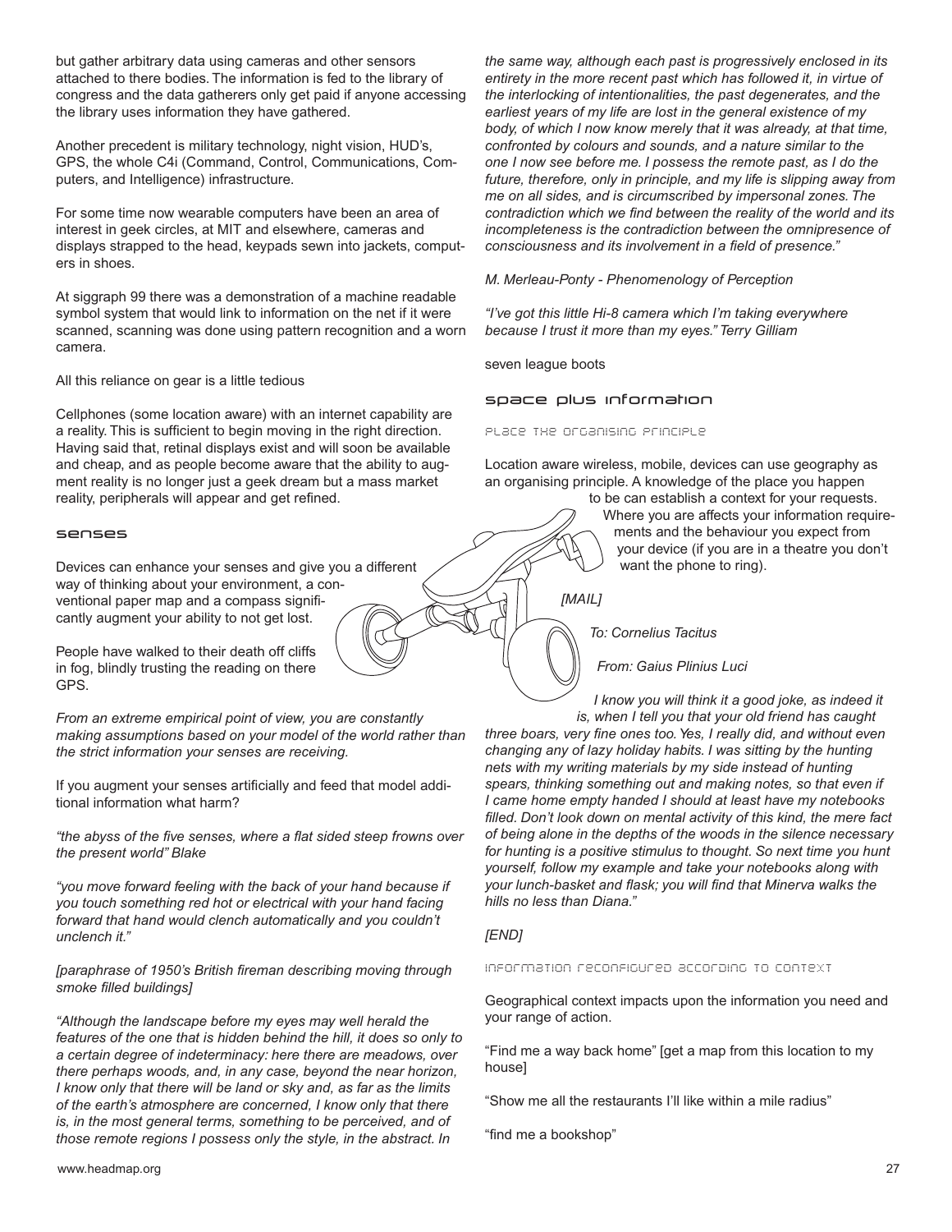but gather arbitrary data using cameras and other sensors attached to there bodies. The information is fed to the library of congress and the data gatherers only get paid if anyone accessing the library uses information they have gathered.

Another precedent is military technology, night vision, HUD's, GPS, the whole C4i (Command, Control, Communications, Computers, and Intelligence) infrastructure.

For some time now wearable computers have been an area of interest in geek circles, at MIT and elsewhere, cameras and displays strapped to the head, keypads sewn into jackets, computers in shoes.

At siggraph 99 there was a demonstration of a machine readable symbol system that would link to information on the net if it were scanned, scanning was done using pattern recognition and a worn camera.

All this reliance on gear is a little tedious

Cellphones (some location aware) with an internet capability are a reality. This is sufficient to begin moving in the right direction. Having said that, retinal displays exist and will soon be available and cheap, and as people become aware that the ability to augment reality is no longer just a geek dream but a mass market reality, peripherals will appear and get refined.

### senses

Devices can enhance your senses and give you a different way of thinking about your environment, a conventional paper map and a compass significantly augment your ability to not get lost.

People have walked to their death off cliffs in fog, blindly trusting the reading on there GPS.

*From an extreme empirical point of view, you are constantly making assumptions based on your model of the world rather than the strict information your senses are receiving.*

If you augment your senses artificially and feed that model additional information what harm?

*"the abyss of the five senses, where a flat sided steep frowns over the present world" Blake*

*"you move forward feeling with the back of your hand because if you touch something red hot or electrical with your hand facing forward that hand would clench automatically and you couldn't unclench it."*

*[paraphrase of 1950's British fireman describing moving through smoke filled buildings]* 

*"Although the landscape before my eyes may well herald the features of the one that is hidden behind the hill, it does so only to a certain degree of indeterminacy: here there are meadows, over there perhaps woods, and, in any case, beyond the near horizon, I know only that there will be land or sky and, as far as the limits of the earth's atmosphere are concerned, I know only that there is, in the most general terms, something to be perceived, and of those remote regions I possess only the style, in the abstract. In* 

*the same way, although each past is progressively enclosed in its entirety in the more recent past which has followed it, in virtue of the interlocking of intentionalities, the past degenerates, and the earliest years of my life are lost in the general existence of my body, of which I now know merely that it was already, at that time, confronted by colours and sounds, and a nature similar to the one I now see before me. I possess the remote past, as I do the future, therefore, only in principle, and my life is slipping away from me on all sides, and is circumscribed by impersonal zones. The contradiction which we find between the reality of the world and its incompleteness is the contradiction between the omnipresence of consciousness and its involvement in a field of presence."*

*M. Merleau-Ponty - Phenomenology of Perception* 

*"I've got this little Hi-8 camera which I'm taking everywhere because I trust it more than my eyes." Terry Gilliam* 

seven league boots

### space plus information

PLace THe orGanisinG PrinciPLe

Location aware wireless, mobile, devices can use geography as an organising principle. A knowledge of the place you happen

to be can establish a context for your requests. Where you are affects your information requirements and the behaviour you expect from your device (if you are in a theatre you don't want the phone to ring).

*[MAIL]* 

*To: Cornelius Tacitus* 

*From: Gaius Plinius Luci* 

*I know you will think it a good joke, as indeed it is, when I tell you that your old friend has caught* 

*three boars, very fine ones too. Yes, I really did, and without even changing any of lazy holiday habits. I was sitting by the hunting nets with my writing materials by my side instead of hunting spears, thinking something out and making notes, so that even if I came home empty handed I should at least have my notebooks filled. Don't look down on mental activity of this kind, the mere fact of being alone in the depths of the woods in the silence necessary for hunting is a positive stimulus to thought. So next time you hunt yourself, follow my example and take your notebooks along with your lunch-basket and flask; you will find that Minerva walks the hills no less than Diana."* 

*[END]* 

informaTion reconfiGureD accorDinG To conTexT

Geographical context impacts upon the information you need and your range of action.

"Find me a way back home" [get a map from this location to my house]

"Show me all the restaurants I'll like within a mile radius"

"find me a bookshop"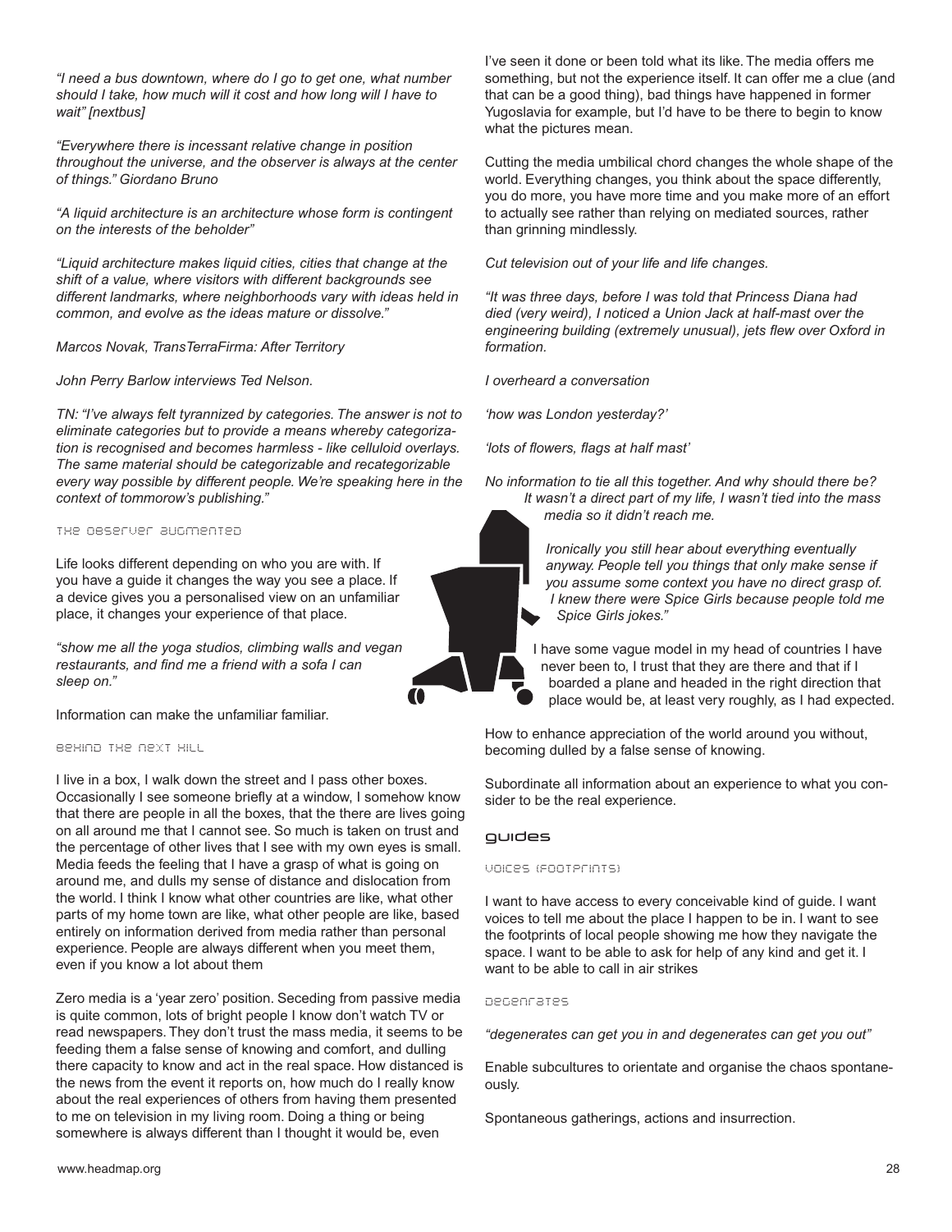*"I need a bus downtown, where do I go to get one, what number should I take, how much will it cost and how long will I have to wait" [nextbus]*

*"Everywhere there is incessant relative change in position throughout the universe, and the observer is always at the center of things." Giordano Bruno*

*"A liquid architecture is an architecture whose form is contingent on the interests of the beholder"*

*"Liquid architecture makes liquid cities, cities that change at the shift of a value, where visitors with different backgrounds see different landmarks, where neighborhoods vary with ideas held in common, and evolve as the ideas mature or dissolve."* 

*Marcos Novak, TransTerraFirma: After Territory* 

*John Perry Barlow interviews Ted Nelson.* 

*TN: "I've always felt tyrannized by categories. The answer is not to eliminate categories but to provide a means whereby categorization is recognised and becomes harmless - like celluloid overlays. The same material should be categorizable and recategorizable every way possible by different people. We're speaking here in the context of tommorow's publishing."* 

THe oBserver auGmenTeD

Life looks different depending on who you are with. If you have a guide it changes the way you see a place. If a device gives you a personalised view on an unfamiliar place, it changes your experience of that place.

*"show me all the yoga studios, climbing walls and vegan restaurants, and find me a friend with a sofa I can sleep on."*

Information can make the unfamiliar familiar.

BeHinD THe nexT HiLL

I live in a box, I walk down the street and I pass other boxes. Occasionally I see someone briefly at a window, I somehow know that there are people in all the boxes, that the there are lives going on all around me that I cannot see. So much is taken on trust and the percentage of other lives that I see with my own eyes is small. Media feeds the feeling that I have a grasp of what is going on around me, and dulls my sense of distance and dislocation from the world. I think I know what other countries are like, what other parts of my home town are like, what other people are like, based entirely on information derived from media rather than personal experience. People are always different when you meet them, even if you know a lot about them

Zero media is a 'year zero' position. Seceding from passive media is quite common, lots of bright people I know don't watch TV or read newspapers. They don't trust the mass media, it seems to be feeding them a false sense of knowing and comfort, and dulling there capacity to know and act in the real space. How distanced is the news from the event it reports on, how much do I really know about the real experiences of others from having them presented to me on television in my living room. Doing a thing or being somewhere is always different than I thought it would be, even

www.headmap.org 28

I've seen it done or been told what its like. The media offers me something, but not the experience itself. It can offer me a clue (and that can be a good thing), bad things have happened in former Yugoslavia for example, but I'd have to be there to begin to know what the pictures mean.

Cutting the media umbilical chord changes the whole shape of the world. Everything changes, you think about the space differently, you do more, you have more time and you make more of an effort to actually see rather than relying on mediated sources, rather than grinning mindlessly.

*Cut television out of your life and life changes.*

*"It was three days, before I was told that Princess Diana had died (very weird), I noticed a Union Jack at half-mast over the engineering building (extremely unusual), jets flew over Oxford in formation.* 

*I overheard a conversation*

*'how was London yesterday?'*

*'lots of flowers, flags at half mast'*

*No information to tie all this together. And why should there be?* 

*It wasn't a direct part of my life, I wasn't tied into the mass media so it didn't reach me.*

*Ironically you still hear about everything eventually anyway. People tell you things that only make sense if you assume some context you have no direct grasp of. I knew there were Spice Girls because people told me Spice Girls jokes."*

I have some vague model in my head of countries I have never been to, I trust that they are there and that if I boarded a plane and headed in the right direction that place would be, at least very roughly, as I had expected.

How to enhance appreciation of the world around you without, becoming dulled by a false sense of knowing.

Subordinate all information about an experience to what you consider to be the real experience.

### guides

voices [fooTPrinTs]

I want to have access to every conceivable kind of guide. I want voices to tell me about the place I happen to be in. I want to see the footprints of local people showing me how they navigate the space. I want to be able to ask for help of any kind and get it. I want to be able to call in air strikes

#### DeGenraTes

*"degenerates can get you in and degenerates can get you out"* 

Enable subcultures to orientate and organise the chaos spontaneously.

Spontaneous gatherings, actions and insurrection.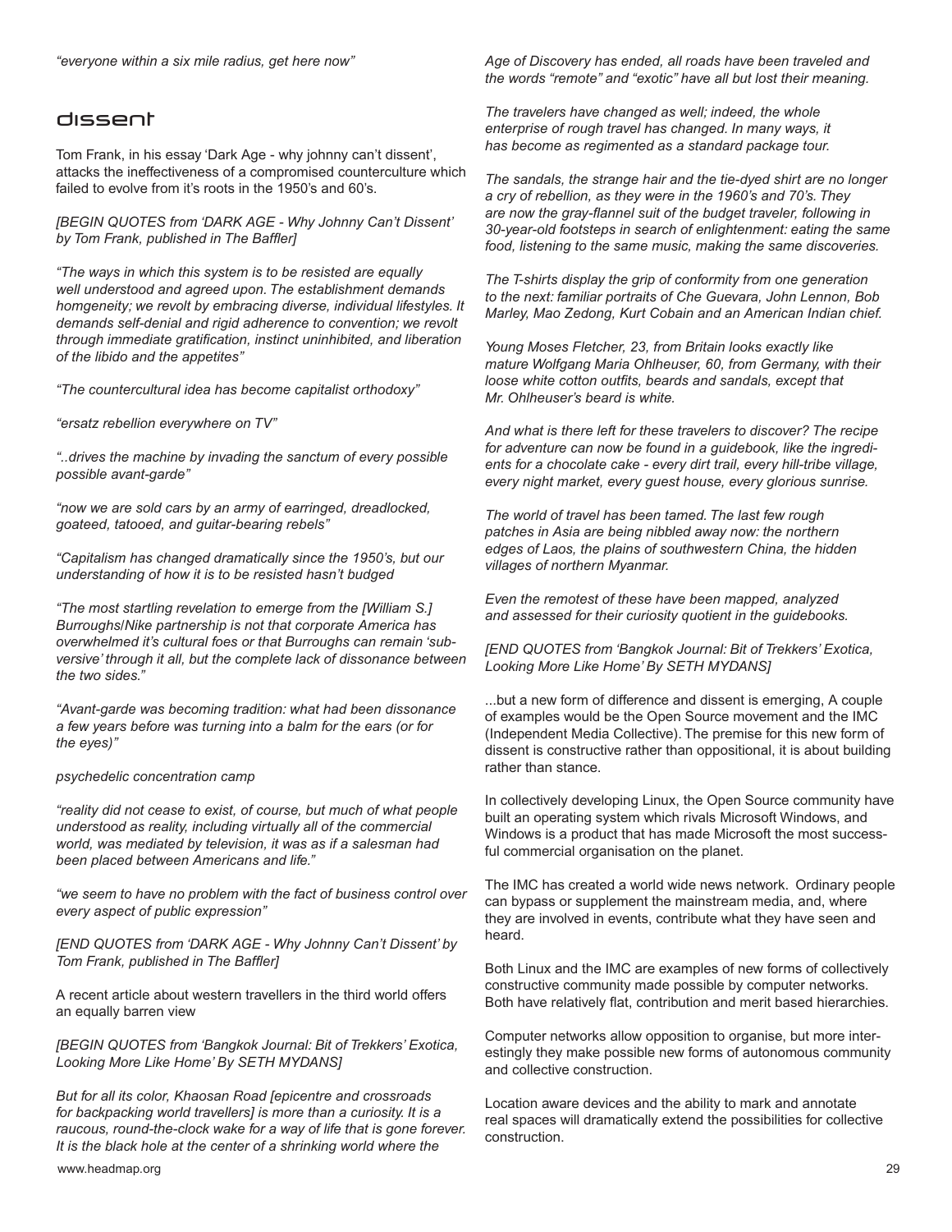# dissent

Tom Frank, in his essay 'Dark Age - why johnny can't dissent', attacks the ineffectiveness of a compromised counterculture which failed to evolve from it's roots in the 1950's and 60's.

*[BEGIN QUOTES from 'DARK AGE - Why Johnny Can't Dissent' by Tom Frank, published in The Baffler]*

*"The ways in which this system is to be resisted are equally well understood and agreed upon. The establishment demands homgeneity; we revolt by embracing diverse, individual lifestyles. It demands self-denial and rigid adherence to convention; we revolt through immediate gratification, instinct uninhibited, and liberation of the libido and the appetites"*

*"The countercultural idea has become capitalist orthodoxy"* 

*"ersatz rebellion everywhere on TV"* 

*"..drives the machine by invading the sanctum of every possible possible avant-garde"* 

*"now we are sold cars by an army of earringed, dreadlocked, goateed, tatooed, and guitar-bearing rebels"* 

*"Capitalism has changed dramatically since the 1950's, but our understanding of how it is to be resisted hasn't budged* 

*"The most startling revelation to emerge from the [William S.] Burroughs/Nike partnership is not that corporate America has overwhelmed it's cultural foes or that Burroughs can remain 'subversive' through it all, but the complete lack of dissonance between the two sides."* 

*"Avant-garde was becoming tradition: what had been dissonance a few years before was turning into a balm for the ears (or for the eyes)"*

*psychedelic concentration camp*

*"reality did not cease to exist, of course, but much of what people understood as reality, including virtually all of the commercial world, was mediated by television, it was as if a salesman had been placed between Americans and life."* 

*"we seem to have no problem with the fact of business control over every aspect of public expression"* 

*[END QUOTES from 'DARK AGE - Why Johnny Can't Dissent' by Tom Frank, published in The Baffler]*

A recent article about western travellers in the third world offers an equally barren view

*[BEGIN QUOTES from 'Bangkok Journal: Bit of Trekkers' Exotica, Looking More Like Home' By SETH MYDANS]*

*But for all its color, Khaosan Road [epicentre and crossroads for backpacking world travellers] is more than a curiosity. It is a raucous, round-the-clock wake for a way of life that is gone forever. It is the black hole at the center of a shrinking world where the* 

28 www.headmap.org 29

*Age of Discovery has ended, all roads have been traveled and the words "remote" and "exotic" have all but lost their meaning.*

*The travelers have changed as well; indeed, the whole enterprise of rough travel has changed. In many ways, it has become as regimented as a standard package tour.*

*The sandals, the strange hair and the tie-dyed shirt are no longer a cry of rebellion, as they were in the 1960's and 70's. They are now the gray-flannel suit of the budget traveler, following in 30-year-old footsteps in search of enlightenment: eating the same food, listening to the same music, making the same discoveries.*

*The T-shirts display the grip of conformity from one generation to the next: familiar portraits of Che Guevara, John Lennon, Bob Marley, Mao Zedong, Kurt Cobain and an American Indian chief.*

*Young Moses Fletcher, 23, from Britain looks exactly like mature Wolfgang Maria Ohlheuser, 60, from Germany, with their loose white cotton outfits, beards and sandals, except that Mr. Ohlheuser's beard is white.*

*And what is there left for these travelers to discover? The recipe for adventure can now be found in a guidebook, like the ingredients for a chocolate cake - every dirt trail, every hill-tribe village, every night market, every guest house, every glorious sunrise.*

*The world of travel has been tamed. The last few rough patches in Asia are being nibbled away now: the northern edges of Laos, the plains of southwestern China, the hidden villages of northern Myanmar.*

*Even the remotest of these have been mapped, analyzed and assessed for their curiosity quotient in the guidebooks.*

*[END QUOTES from 'Bangkok Journal: Bit of Trekkers' Exotica, Looking More Like Home' By SETH MYDANS]*

...but a new form of difference and dissent is emerging, A couple of examples would be the Open Source movement and the IMC (Independent Media Collective). The premise for this new form of dissent is constructive rather than oppositional, it is about building rather than stance.

In collectively developing Linux, the Open Source community have built an operating system which rivals Microsoft Windows, and Windows is a product that has made Microsoft the most successful commercial organisation on the planet.

The IMC has created a world wide news network. Ordinary people can bypass or supplement the mainstream media, and, where they are involved in events, contribute what they have seen and heard.

Both Linux and the IMC are examples of new forms of collectively constructive community made possible by computer networks. Both have relatively flat, contribution and merit based hierarchies.

Computer networks allow opposition to organise, but more interestingly they make possible new forms of autonomous community and collective construction.

Location aware devices and the ability to mark and annotate real spaces will dramatically extend the possibilities for collective construction.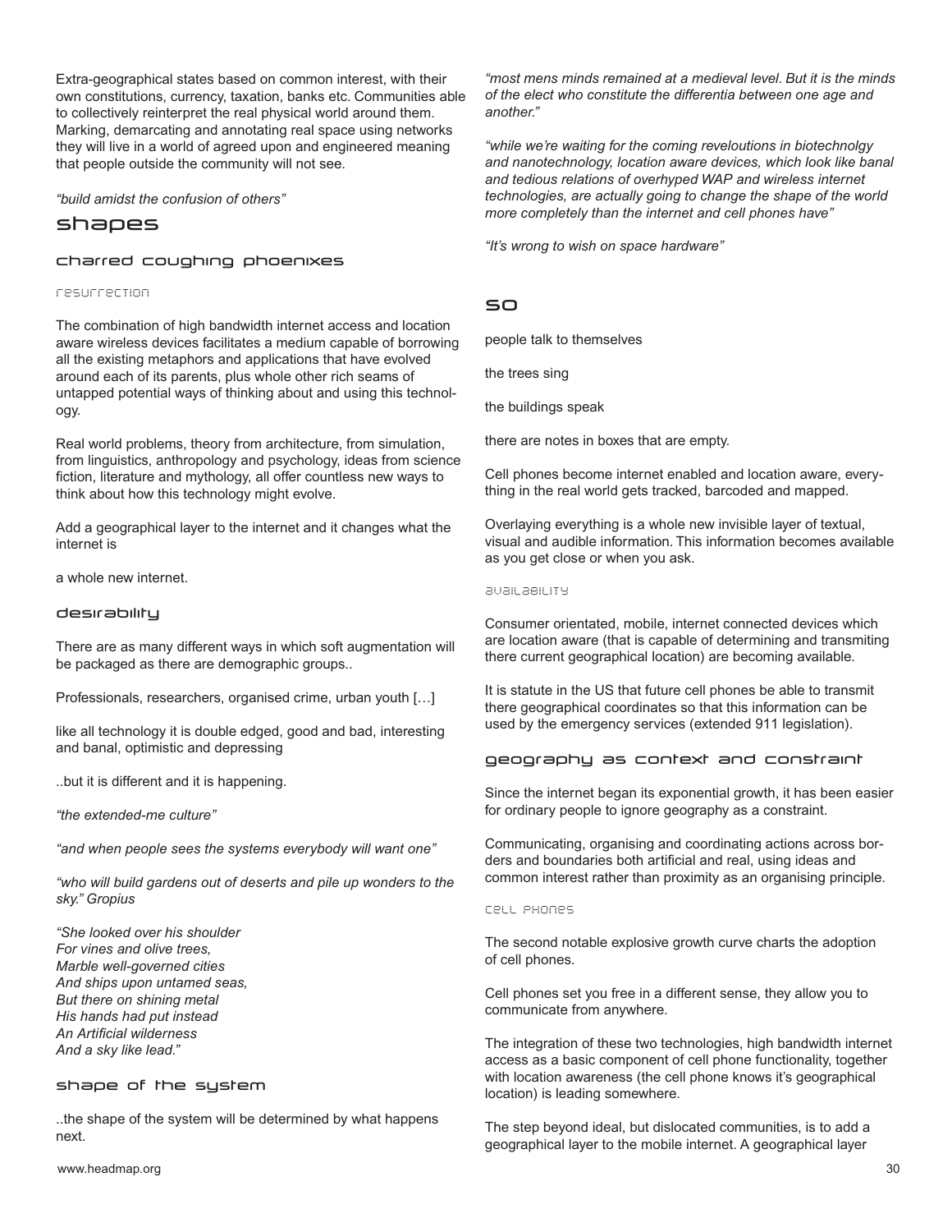Extra-geographical states based on common interest, with their own constitutions, currency, taxation, banks etc. Communities able to collectively reinterpret the real physical world around them. Marking, demarcating and annotating real space using networks they will live in a world of agreed upon and engineered meaning that people outside the community will not see.

*"build amidst the confusion of others"*

# shapes

### charred coughing phoenixes

#### resurrecTion

The combination of high bandwidth internet access and location aware wireless devices facilitates a medium capable of borrowing all the existing metaphors and applications that have evolved around each of its parents, plus whole other rich seams of untapped potential ways of thinking about and using this technology.

Real world problems, theory from architecture, from simulation, from linguistics, anthropology and psychology, ideas from science fiction, literature and mythology, all offer countless new ways to think about how this technology might evolve.

Add a geographical layer to the internet and it changes what the internet is

a whole new internet.

### desirability

There are as many different ways in which soft augmentation will be packaged as there are demographic groups..

Professionals, researchers, organised crime, urban youth […]

like all technology it is double edged, good and bad, interesting and banal, optimistic and depressing

..but it is different and it is happening.

*"the extended-me culture"*

*"and when people sees the systems everybody will want one"* 

*"who will build gardens out of deserts and pile up wonders to the sky." Gropius* 

*"She looked over his shoulder For vines and olive trees, Marble well-governed cities And ships upon untamed seas, But there on shining metal His hands had put instead An Artificial wilderness And a sky like lead."* 

#### shape of the system

..the shape of the system will be determined by what happens next.

*"most mens minds remained at a medieval level. But it is the minds of the elect who constitute the differentia between one age and another."* 

*"while we're waiting for the coming reveloutions in biotechnolgy and nanotechnology, location aware devices, which look like banal and tedious relations of overhyped WAP and wireless internet technologies, are actually going to change the shape of the world more completely than the internet and cell phones have"*

*"It's wrong to wish on space hardware"*

### so

people talk to themselves

the trees sing

the buildings speak

there are notes in boxes that are empty.

Cell phones become internet enabled and location aware, everything in the real world gets tracked, barcoded and mapped.

Overlaying everything is a whole new invisible layer of textual, visual and audible information. This information becomes available as you get close or when you ask.

avaiLaBiLiTY

Consumer orientated, mobile, internet connected devices which are location aware (that is capable of determining and transmiting there current geographical location) are becoming available.

It is statute in the US that future cell phones be able to transmit there geographical coordinates so that this information can be used by the emergency services (extended 911 legislation).

# geography as context and constraint

Since the internet began its exponential growth, it has been easier for ordinary people to ignore geography as a constraint.

Communicating, organising and coordinating actions across borders and boundaries both artificial and real, using ideas and common interest rather than proximity as an organising principle.

#### ceLL PHones

The second notable explosive growth curve charts the adoption of cell phones.

Cell phones set you free in a different sense, they allow you to communicate from anywhere.

The integration of these two technologies, high bandwidth internet access as a basic component of cell phone functionality, together with location awareness (the cell phone knows it's geographical location) is leading somewhere.

The step beyond ideal, but dislocated communities, is to add a geographical layer to the mobile internet. A geographical layer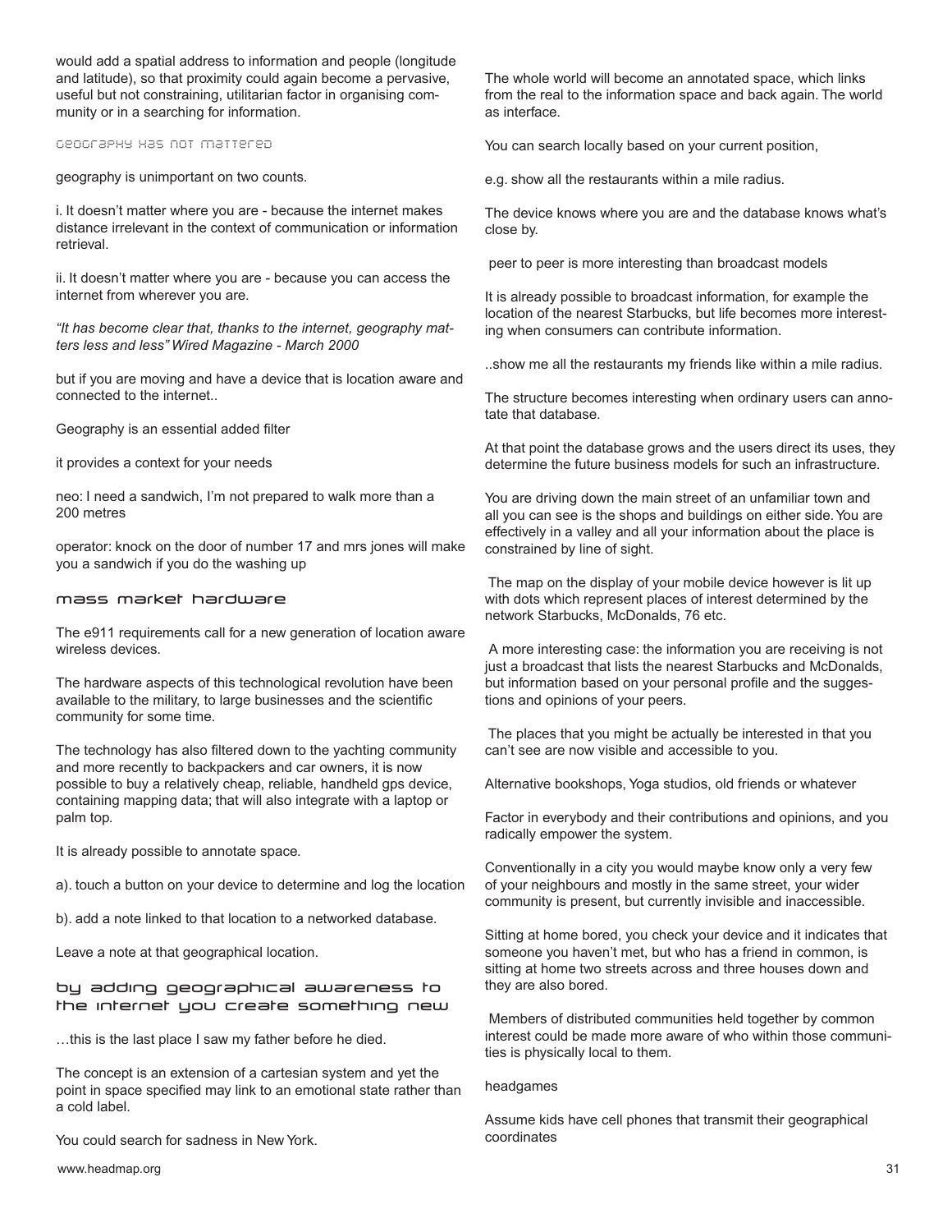would add a spatial address to information and people (longitude and latitude), so that proximity could again become a pervasive, useful but not constraining, utilitarian factor in organising community or in a searching for information.

GeoGraPHY Has noT maTTereD

geography is unimportant on two counts.

i. It doesn't matter where you are - because the internet makes distance irrelevant in the context of communication or information retrieval.

ii. It doesn't matter where you are - because you can access the internet from wherever you are.

*"It has become clear that, thanks to the internet, geography matters less and less" Wired Magazine - March 2000*

but if you are moving and have a device that is location aware and connected to the internet..

Geography is an essential added filter

it provides a context for your needs

neo: I need a sandwich, I'm not prepared to walk more than a 200 metres

operator: knock on the door of number 17 and mrs jones will make you a sandwich if you do the washing up

### mass market hardware

The e911 requirements call for a new generation of location aware wireless devices.

The hardware aspects of this technological revolution have been available to the military, to large businesses and the scientific community for some time.

The technology has also filtered down to the yachting community and more recently to backpackers and car owners, it is now possible to buy a relatively cheap, reliable, handheld gps device, containing mapping data; that will also integrate with a laptop or palm top.

It is already possible to annotate space.

a). touch a button on your device to determine and log the location

b). add a note linked to that location to a networked database.

Leave a note at that geographical location.

### by adding geographical awareness to the internet you create something new

…this is the last place I saw my father before he died.

The concept is an extension of a cartesian system and yet the point in space specified may link to an emotional state rather than a cold label.

You could search for sadness in New York.

30 www.headmap.org 31

The whole world will become an annotated space, which links from the real to the information space and back again. The world as interface.

You can search locally based on your current position,

e.g. show all the restaurants within a mile radius.

The device knows where you are and the database knows what's close by.

peer to peer is more interesting than broadcast models

It is already possible to broadcast information, for example the location of the nearest Starbucks, but life becomes more interesting when consumers can contribute information.

..show me all the restaurants my friends like within a mile radius.

The structure becomes interesting when ordinary users can annotate that database.

At that point the database grows and the users direct its uses, they determine the future business models for such an infrastructure.

You are driving down the main street of an unfamiliar town and all you can see is the shops and buildings on either side. You are effectively in a valley and all your information about the place is constrained by line of sight.

 The map on the display of your mobile device however is lit up with dots which represent places of interest determined by the network Starbucks, McDonalds, 76 etc.

 A more interesting case: the information you are receiving is not just a broadcast that lists the nearest Starbucks and McDonalds, but information based on your personal profile and the suggestions and opinions of your peers.

 The places that you might be actually be interested in that you can't see are now visible and accessible to you.

Alternative bookshops, Yoga studios, old friends or whatever

Factor in everybody and their contributions and opinions, and you radically empower the system.

Conventionally in a city you would maybe know only a very few of your neighbours and mostly in the same street, your wider community is present, but currently invisible and inaccessible.

Sitting at home bored, you check your device and it indicates that someone you haven't met, but who has a friend in common, is sitting at home two streets across and three houses down and they are also bored.

 Members of distributed communities held together by common interest could be made more aware of who within those communities is physically local to them.

### headgames

Assume kids have cell phones that transmit their geographical coordinates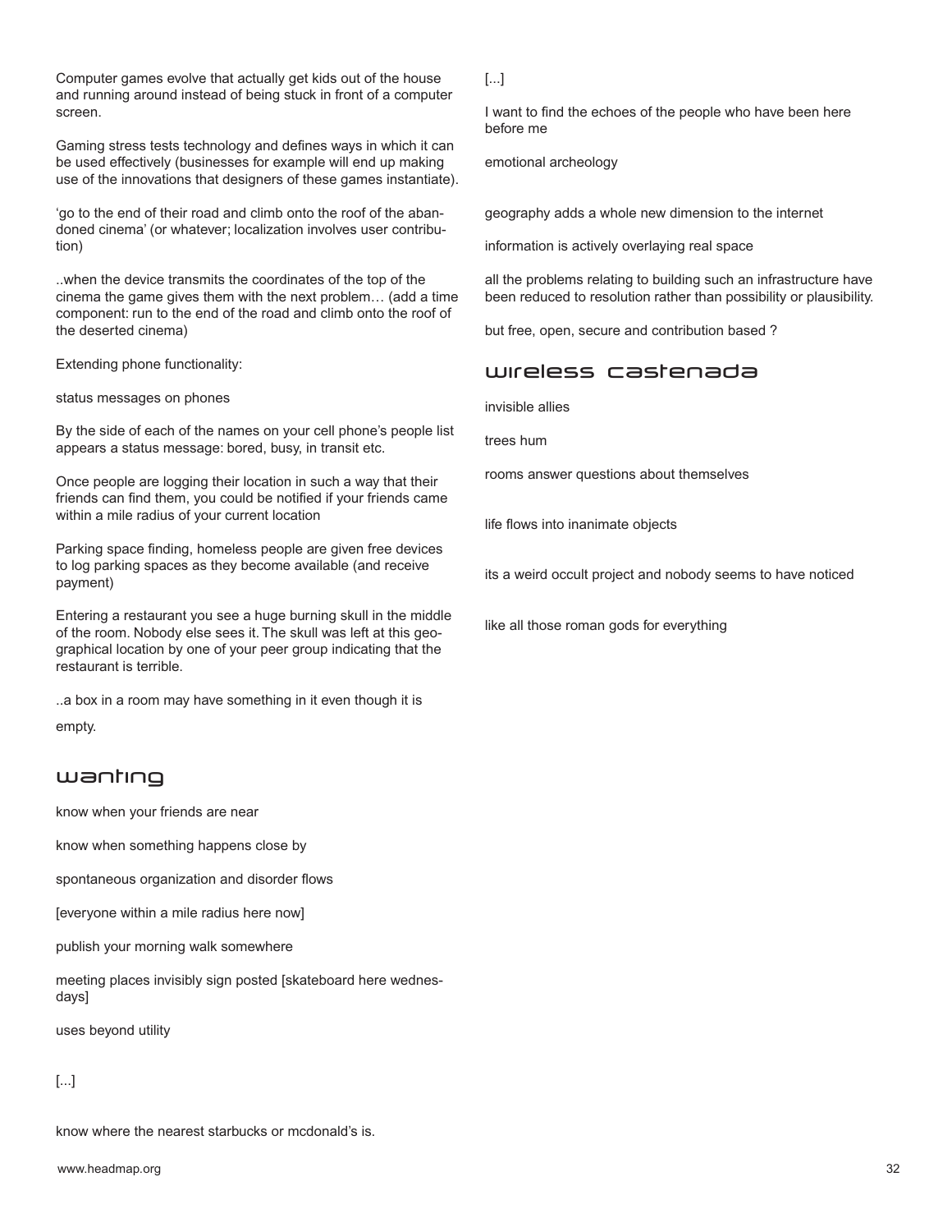Computer games evolve that actually get kids out of the house and running around instead of being stuck in front of a computer screen.

Gaming stress tests technology and defines ways in which it can be used effectively (businesses for example will end up making use of the innovations that designers of these games instantiate).

'go to the end of their road and climb onto the roof of the abandoned cinema' (or whatever; localization involves user contribution)

..when the device transmits the coordinates of the top of the cinema the game gives them with the next problem… (add a time component: run to the end of the road and climb onto the roof of the deserted cinema)

Extending phone functionality:

status messages on phones

By the side of each of the names on your cell phone's people list appears a status message: bored, busy, in transit etc.

Once people are logging their location in such a way that their friends can find them, you could be notified if your friends came within a mile radius of your current location

Parking space finding, homeless people are given free devices to log parking spaces as they become available (and receive payment)

Entering a restaurant you see a huge burning skull in the middle of the room. Nobody else sees it. The skull was left at this geographical location by one of your peer group indicating that the restaurant is terrible.

..a box in a room may have something in it even though it is

empty.

# wanting

know when your friends are near

know when something happens close by

spontaneous organization and disorder flows

[everyone within a mile radius here now]

publish your morning walk somewhere

meeting places invisibly sign posted [skateboard here wednesdays]

uses beyond utility

[...]

know where the nearest starbucks or mcdonald's is.

[...]

I want to find the echoes of the people who have been here before me

emotional archeology

geography adds a whole new dimension to the internet

information is actively overlaying real space

all the problems relating to building such an infrastructure have been reduced to resolution rather than possibility or plausibility.

but free, open, secure and contribution based ?

# wireless castenada

invisible allies

trees hum

rooms answer questions about themselves

life flows into inanimate objects

its a weird occult project and nobody seems to have noticed

like all those roman gods for everything